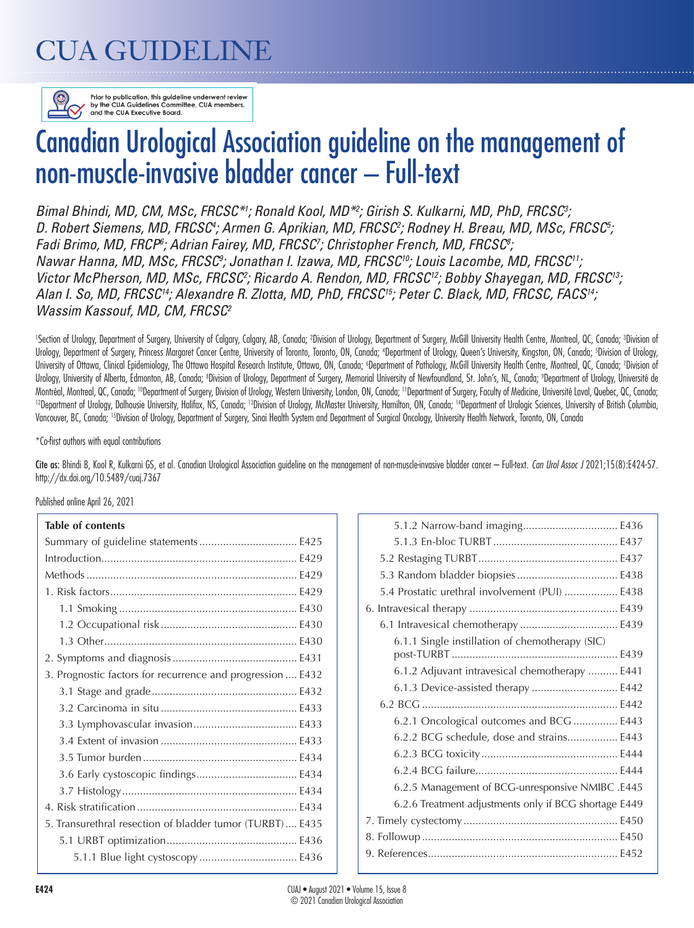# CUA GUIDELINE



Prior to publication, this guideline underwent review by the CUA Guidelines Committee, CUA members, and the CUA Executive Board.

# Canadian Urological Association guideline on the management of non-muscle-invasive bladder cancer – Full-text

Bimal Bhindi, MD, CM, MSc, FRCSC<sup>\*1</sup>; Ronald Kool, MD<sup>\*2</sup>; Girish S. Kulkarni, MD, PhD, FRCSC<sup>3</sup>; D. Robert Siemens, MD, FRCSC<sup>4</sup>; Armen G. Aprikian, MD, FRCSC<sup>2</sup>; Rodney H. Breau, MD, MSc, FRCSC<sup>5</sup>; *Fadi Brimo, MD, FRCP<sup>6</sup>; Adrian Fairey, MD, FRCSC<sup>7</sup>; Christopher French, MD, FRCSC<sup>8</sup>; Nawar Hanna, MD, MSc, FRCSC9 ; Jonathan I. Izawa, MD, FRCSC10; Louis Lacombe, MD, FRCSC11;*  Victor McPherson, MD, MSc, FRCSC<sup>2</sup>; Ricardo A. Rendon, MD, FRCSC<sup>12</sup>; Bobby Shayegan, MD, FRCSC<sup>13</sup>; *Alan I. So, MD, FRCSC14; Alexandre R. Zlotta, MD, PhD, FRCSC15; Peter C. Black, MD, FRCSC, FACS14; Wassim Kassouf, MD, CM, FRCSC2*

'Section of Urology, Department of Surgery, University of Calgary, Calgary, AB, Canada; <sup>2</sup>Division of Urology, Department of Surgery, McGill University Health Centre, Montreal, QC, Canada; 3Division of Urology, Department of Surgery, Princess Margaret Cancer Centre, University of Toronto, Toronto, ON, Canada; 'Department of Urology, Queen's University, Kingston, ON, Canada; 'Division of Urology, University of Ottawa, Clinical Epidemiology, The Ottawa Hospital Research Institute, Ottawa, ON, Canada; 'Department of Pathology, McGill University Health Centre, Montreal, QC, Canada; 'Division of Urology, University of Alberta, Edmonton, AB, Canada; ®Dvision of Urology, Department of Surgery, Memorial University of Newfoundland, St. John's, NL, Canada; ®Department of Urology, Université de Montréal, Montreal, QC, Canada; <sup>10</sup>Department of Surgery, Division of Urology, Western University, London, ON, Canada; <sup>11</sup>Department of Surgery, Faculty of Medicine, Université Laval, Quebec, QC, Canada;<br><sup>12</sup>Department o Vancouver, BC, Canada; <sup>15</sup>Division of Urology, Department of Surgery, Sinai Health System and Department of Surgical Oncology, University Health Network, Toronto, ON, Canada

\*Co-first authors with equal contributions

Cite as: Bhindi B, Kool R, Kulkarni GS, et al. Canadian Urological Association guideline on the management of non-muscle-invasive bladder cancer – Full-text. *Can Urol Assoc J* 2021;15(8):E424-57. http://dx.doi.org/10.5489/cuaj.7367

Published online April 26, 2021

#### **Table of contents**

| iadie of contents                                          |
|------------------------------------------------------------|
|                                                            |
|                                                            |
|                                                            |
|                                                            |
|                                                            |
|                                                            |
|                                                            |
|                                                            |
| 3. Prognostic factors for recurrence and progression  E432 |
|                                                            |
|                                                            |
|                                                            |
|                                                            |
|                                                            |
|                                                            |
|                                                            |
|                                                            |
| 5. Transurethral resection of bladder tumor (TURBT) E435   |
|                                                            |
|                                                            |
|                                                            |

| 5.1.2 Narrow-band imaging E436                        |
|-------------------------------------------------------|
|                                                       |
|                                                       |
|                                                       |
| 5.4 Prostatic urethral involvement (PUI)  E438        |
|                                                       |
|                                                       |
| 6.1.1 Single instillation of chemotherapy (SIC)       |
| 6.1.2 Adjuvant intravesical chemotherapy  E441        |
| 6.1.3 Device-assisted therapy  E442                   |
|                                                       |
| 6.2.1 Oncological outcomes and BCG  E443              |
| 6.2.2 BCG schedule, dose and strains E443             |
|                                                       |
|                                                       |
| 6.2.5 Management of BCG-unresponsive NMIBC .E445      |
| 6.2.6 Treatment adjustments only if BCG shortage E449 |
|                                                       |
|                                                       |
|                                                       |
|                                                       |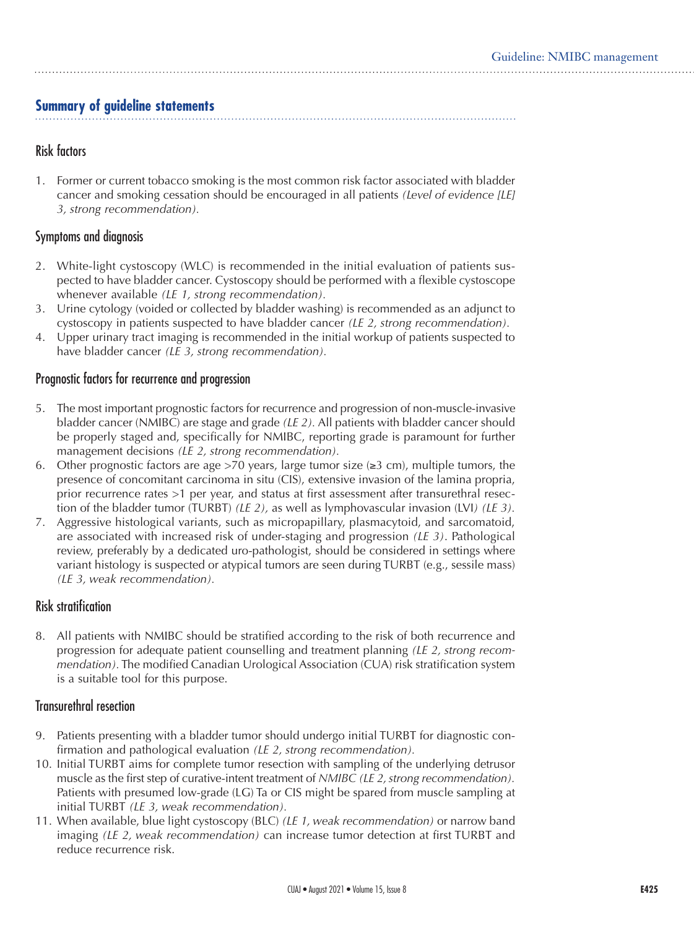# **Summary of guideline statements**

# Risk factors

1. Former or current tobacco smoking is the most common risk factor associated with bladder cancer and smoking cessation should be encouraged in all patients *(Level of evidence [LE] 3, strong recommendation).*

# Symptoms and diagnosis

- 2. White-light cystoscopy (WLC) is recommended in the initial evaluation of patients suspected to have bladder cancer. Cystoscopy should be performed with a flexible cystoscope whenever available *(LE 1, strong recommendation).*
- 3. Urine cytology (voided or collected by bladder washing) is recommended as an adjunct to cystoscopy in patients suspected to have bladder cancer *(LE 2, strong recommendation).*
- 4. Upper urinary tract imaging is recommended in the initial workup of patients suspected to have bladder cancer *(LE 3, strong recommendation).*

# Prognostic factors for recurrence and progression

- 5. The most important prognostic factors for recurrence and progression of non-muscle-invasive bladder cancer (NMIBC) are stage and grade *(LE 2).* All patients with bladder cancer should be properly staged and, specifically for NMIBC, reporting grade is paramount for further management decisions *(LE 2, strong recommendation).*
- 6. Other prognostic factors are age >70 years, large tumor size ( $\geq 3$  cm), multiple tumors, the presence of concomitant carcinoma in situ (CIS), extensive invasion of the lamina propria, prior recurrence rates >1 per year, and status at first assessment after transurethral resection of the bladder tumor (TURBT) *(LE 2),* as well as lymphovascular invasion (LVI*) (LE 3).*
- 7. Aggressive histological variants, such as micropapillary, plasmacytoid, and sarcomatoid, are associated with increased risk of under-staging and progression *(LE 3)*. Pathological review, preferably by a dedicated uro-pathologist, should be considered in settings where variant histology is suspected or atypical tumors are seen during TURBT (e.g., sessile mass) *(LE 3, weak recommendation).*

# Risk stratification

8. All patients with NMIBC should be stratified according to the risk of both recurrence and progression for adequate patient counselling and treatment planning *(LE 2, strong recommendation).* The modified Canadian Urological Association (CUA) risk stratification system is a suitable tool for this purpose.

# Transurethral resection

- 9. Patients presenting with a bladder tumor should undergo initial TURBT for diagnostic confirmation and pathological evaluation *(LE 2, strong recommendation).*
- 10. Initial TURBT aims for complete tumor resection with sampling of the underlying detrusor muscle as the first step of curative-intent treatment of *NMIBC (LE 2, strong recommendation).* Patients with presumed low-grade (LG) Ta or CIS might be spared from muscle sampling at initial TURBT *(LE 3, weak recommendation).*
- 11. When available, blue light cystoscopy (BLC) *(LE 1, weak recommendation)* or narrow band imaging *(LE 2, weak recommendation)* can increase tumor detection at first TURBT and reduce recurrence risk.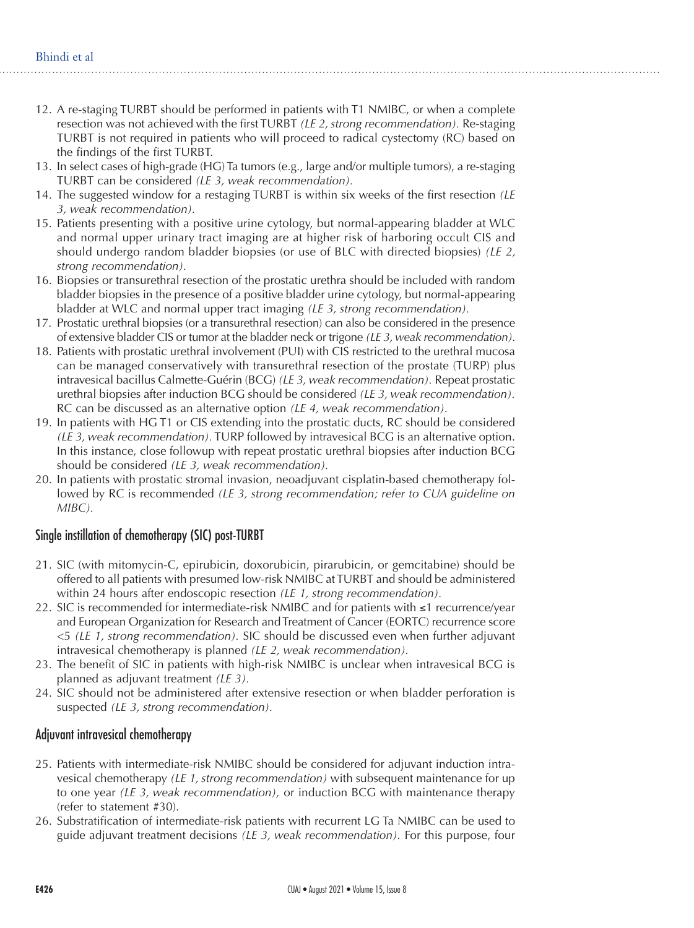- 12. A re-staging TURBT should be performed in patients with T1 NMIBC, or when a complete resection was not achieved with the first TURBT *(LE 2, strong recommendation).* Re-staging TURBT is not required in patients who will proceed to radical cystectomy (RC) based on the findings of the first TURBT.
- 13. In select cases of high-grade (HG) Ta tumors (e.g., large and/or multiple tumors), a re-staging TURBT can be considered *(LE 3, weak recommendation).*
- 14. The suggested window for a restaging TURBT is within six weeks of the first resection *(LE 3, weak recommendation).*
- 15. Patients presenting with a positive urine cytology, but normal-appearing bladder at WLC and normal upper urinary tract imaging are at higher risk of harboring occult CIS and should undergo random bladder biopsies (or use of BLC with directed biopsies) *(LE 2, strong recommendation).*
- 16. Biopsies or transurethral resection of the prostatic urethra should be included with random bladder biopsies in the presence of a positive bladder urine cytology, but normal-appearing bladder at WLC and normal upper tract imaging *(LE 3, strong recommendation).*
- 17. Prostatic urethral biopsies (or a transurethral resection) can also be considered in the presence of extensive bladder CIS or tumor at the bladder neck or trigone *(LE 3, weak recommendation).*
- 18. Patients with prostatic urethral involvement (PUI) with CIS restricted to the urethral mucosa can be managed conservatively with transurethral resection of the prostate (TURP) plus intravesical bacillus Calmette-Guérin (BCG) *(LE 3, weak recommendation).* Repeat prostatic urethral biopsies after induction BCG should be considered *(LE 3, weak recommendation).* RC can be discussed as an alternative option *(LE 4, weak recommendation).*
- 19. In patients with HG T1 or CIS extending into the prostatic ducts, RC should be considered *(LE 3, weak recommendation).* TURP followed by intravesical BCG is an alternative option. In this instance, close followup with repeat prostatic urethral biopsies after induction BCG should be considered *(LE 3, weak recommendation).*
- 20. In patients with prostatic stromal invasion, neoadjuvant cisplatin-based chemotherapy followed by RC is recommended *(LE 3, strong recommendation; refer to CUA guideline on MIBC).*

# Single instillation of chemotherapy (SIC) post-TURBT

- 21. SIC (with mitomycin-C, epirubicin, doxorubicin, pirarubicin, or gemcitabine) should be offered to all patients with presumed low-risk NMIBC at TURBT and should be administered within 24 hours after endoscopic resection *(LE 1, strong recommendation).*
- 22. SIC is recommended for intermediate-risk NMIBC and for patients with ≤1 recurrence/year and European Organization for Research and Treatment of Cancer (EORTC) recurrence score <5 *(LE 1, strong recommendation).* SIC should be discussed even when further adjuvant intravesical chemotherapy is planned *(LE 2, weak recommendation).*
- 23. The benefit of SIC in patients with high-risk NMIBC is unclear when intravesical BCG is planned as adjuvant treatment *(LE 3).*
- 24. SIC should not be administered after extensive resection or when bladder perforation is suspected *(LE 3, strong recommendation).*

# Adjuvant intravesical chemotherapy

- 25. Patients with intermediate-risk NMIBC should be considered for adjuvant induction intravesical chemotherapy *(LE 1, strong recommendation)* with subsequent maintenance for up to one year *(LE 3, weak recommendation),* or induction BCG with maintenance therapy (refer to statement #30).
- 26. Substratification of intermediate-risk patients with recurrent LG Ta NMIBC can be used to guide adjuvant treatment decisions *(LE 3, weak recommendation).* For this purpose, four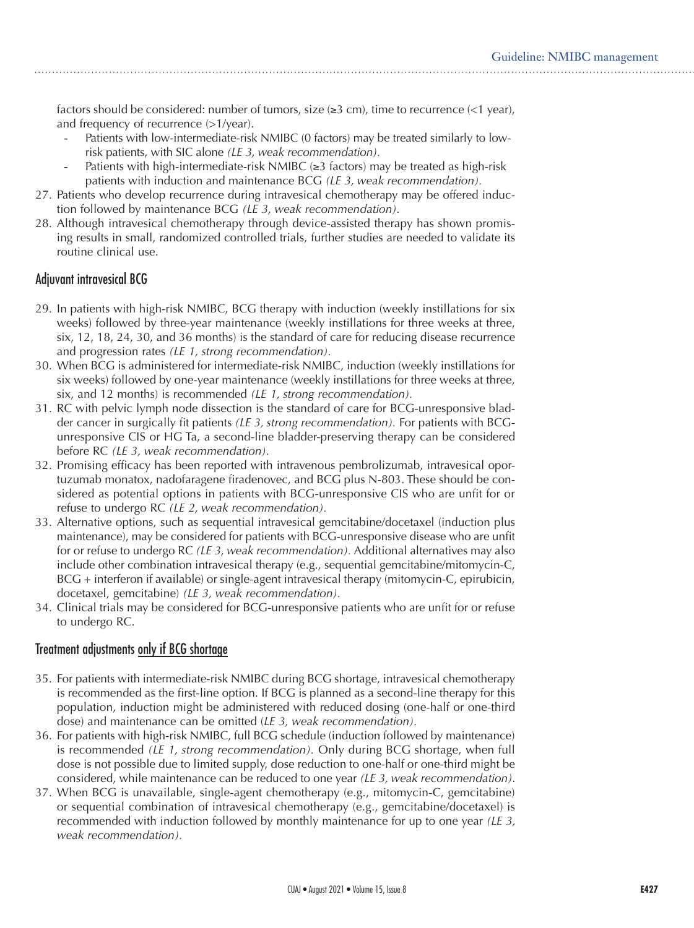factors should be considered: number of tumors, size  $(\geq 3 \text{ cm})$ , time to recurrence  $(\leq 1 \text{ year})$ , and frequency of recurrence (>1/year).

- Patients with low-intermediate-risk NMIBC (0 factors) may be treated similarly to lowrisk patients, with SIC alone *(LE 3, weak recommendation).*
- Patients with high-intermediate-risk NMIBC  $(\geq 3$  factors) may be treated as high-risk patients with induction and maintenance BCG *(LE 3, weak recommendation).*
- 27. Patients who develop recurrence during intravesical chemotherapy may be offered induction followed by maintenance BCG *(LE 3, weak recommendation).*
- 28. Although intravesical chemotherapy through device-assisted therapy has shown promising results in small, randomized controlled trials, further studies are needed to validate its routine clinical use.

# Adjuvant intravesical BCG

- 29. In patients with high-risk NMIBC, BCG therapy with induction (weekly instillations for six weeks) followed by three-year maintenance (weekly instillations for three weeks at three, six, 12, 18, 24, 30, and 36 months) is the standard of care for reducing disease recurrence and progression rates *(LE 1, strong recommendation).*
- 30. When BCG is administered for intermediate-risk NMIBC, induction (weekly instillations for six weeks) followed by one-year maintenance (weekly instillations for three weeks at three, six, and 12 months) is recommended *(LE 1, strong recommendation).*
- 31. RC with pelvic lymph node dissection is the standard of care for BCG-unresponsive bladder cancer in surgically fit patients *(LE 3, strong recommendation).* For patients with BCGunresponsive CIS or HG Ta, a second-line bladder-preserving therapy can be considered before RC *(LE 3, weak recommendation).*
- 32. Promising efficacy has been reported with intravenous pembrolizumab, intravesical oportuzumab monatox, nadofaragene firadenovec, and BCG plus N-803. These should be considered as potential options in patients with BCG-unresponsive CIS who are unfit for or refuse to undergo RC *(LE 2, weak recommendation).*
- 33. Alternative options, such as sequential intravesical gemcitabine/docetaxel (induction plus maintenance), may be considered for patients with BCG-unresponsive disease who are unfit for or refuse to undergo RC *(LE 3, weak recommendation).* Additional alternatives may also include other combination intravesical therapy (e.g., sequential gemcitabine/mitomycin-C, BCG + interferon if available) or single-agent intravesical therapy (mitomycin-C, epirubicin, docetaxel, gemcitabine) *(LE 3, weak recommendation).*
- 34. Clinical trials may be considered for BCG-unresponsive patients who are unfit for or refuse to undergo RC.

# Treatment adjustments only if BCG shortage

- 35. For patients with intermediate-risk NMIBC during BCG shortage, intravesical chemotherapy is recommended as the first-line option. If BCG is planned as a second-line therapy for this population, induction might be administered with reduced dosing (one-half or one-third dose) and maintenance can be omitted (*LE 3, weak recommendation).*
- 36. For patients with high-risk NMIBC, full BCG schedule (induction followed by maintenance) is recommended *(LE 1, strong recommendation).* Only during BCG shortage, when full dose is not possible due to limited supply, dose reduction to one-half or one-third might be considered, while maintenance can be reduced to one year *(LE 3, weak recommendation).*
- 37. When BCG is unavailable, single-agent chemotherapy (e.g., mitomycin-C, gemcitabine) or sequential combination of intravesical chemotherapy (e.g., gemcitabine/docetaxel) is recommended with induction followed by monthly maintenance for up to one year *(LE 3, weak recommendation).*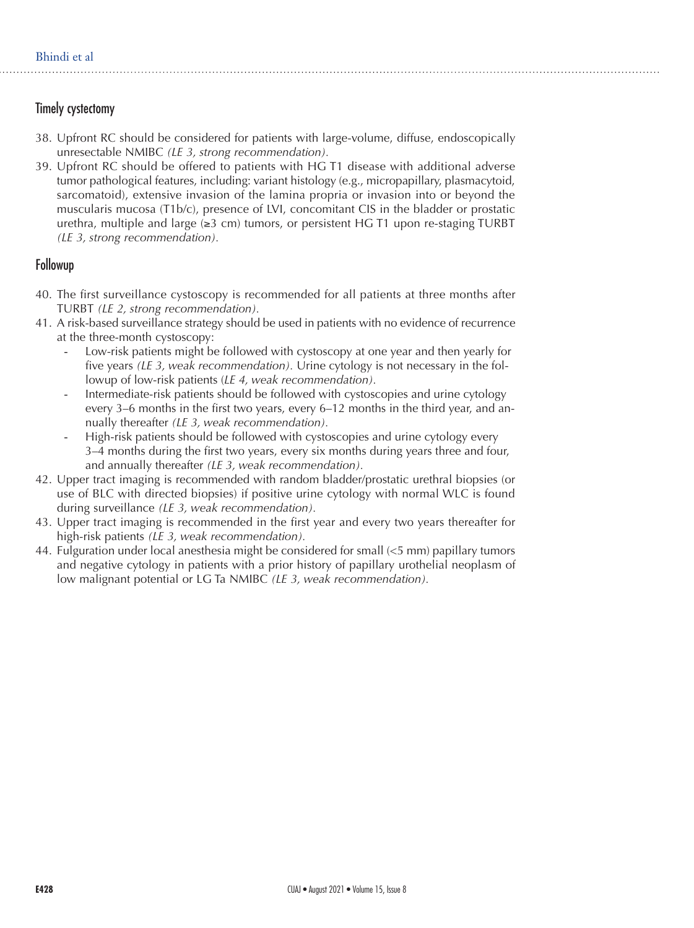# Timely cystectomy

- 38. Upfront RC should be considered for patients with large-volume, diffuse, endoscopically unresectable NMIBC *(LE 3, strong recommendation).*
- 39. Upfront RC should be offered to patients with HG T1 disease with additional adverse tumor pathological features, including: variant histology (e.g., micropapillary, plasmacytoid, sarcomatoid), extensive invasion of the lamina propria or invasion into or beyond the muscularis mucosa (T1b/c), presence of LVI, concomitant CIS in the bladder or prostatic urethra, multiple and large ( $\geq 3$  cm) tumors, or persistent HG T1 upon re-staging TURBT *(LE 3, strong recommendation).*

#### Followup

- 40. The first surveillance cystoscopy is recommended for all patients at three months after TURBT *(LE 2, strong recommendation).*
- 41. A risk-based surveillance strategy should be used in patients with no evidence of recurrence at the three-month cystoscopy:
	- Low-risk patients might be followed with cystoscopy at one year and then yearly for five years *(LE 3, weak recommendation).* Urine cytology is not necessary in the followup of low-risk patients (*LE 4, weak recommendation).*
	- Intermediate-risk patients should be followed with cystoscopies and urine cytology every 3–6 months in the first two years, every 6–12 months in the third year, and annually thereafter *(LE 3, weak recommendation).*
	- High-risk patients should be followed with cystoscopies and urine cytology every 3–4 months during the first two years, every six months during years three and four, and annually thereafter *(LE 3, weak recommendation).*
- 42. Upper tract imaging is recommended with random bladder/prostatic urethral biopsies (or use of BLC with directed biopsies) if positive urine cytology with normal WLC is found during surveillance *(LE 3, weak recommendation).*
- 43. Upper tract imaging is recommended in the first year and every two years thereafter for high-risk patients *(LE 3, weak recommendation).*
- 44. Fulguration under local anesthesia might be considered for small  $\leq$  mm) papillary tumors and negative cytology in patients with a prior history of papillary urothelial neoplasm of low malignant potential or LG Ta NMIBC *(LE 3, weak recommendation).*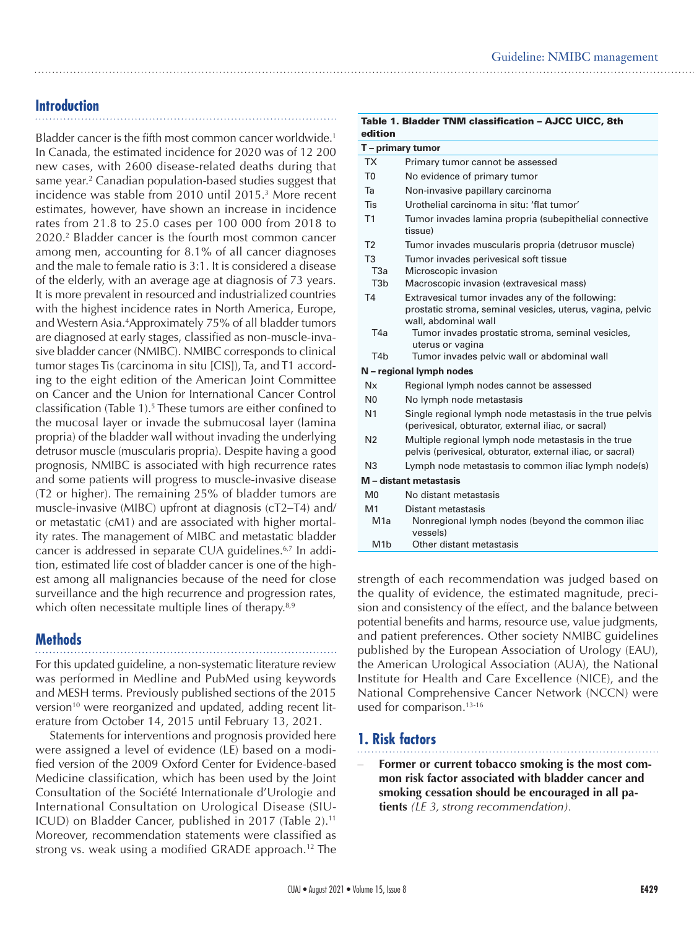# **Introduction**

Bladder cancer is the fifth most common cancer worldwide.<sup>1</sup> In Canada, the estimated incidence for 2020 was of 12 200 new cases, with 2600 disease-related deaths during that same year.2 Canadian population-based studies suggest that incidence was stable from 2010 until 2015.3 More recent estimates, however, have shown an increase in incidence rates from 21.8 to 25.0 cases per 100 000 from 2018 to 2020.2 Bladder cancer is the fourth most common cancer among men, accounting for 8.1% of all cancer diagnoses and the male to female ratio is 3:1. It is considered a disease of the elderly, with an average age at diagnosis of 73 years. It is more prevalent in resourced and industrialized countries with the highest incidence rates in North America, Europe, and Western Asia.4 Approximately 75% of all bladder tumors are diagnosed at early stages, classified as non-muscle-invasive bladder cancer (NMIBC). NMIBC corresponds to clinical tumor stages Tis (carcinoma in situ [CIS]), Ta, and T1 according to the eight edition of the American Joint Committee on Cancer and the Union for International Cancer Control classification (Table 1).5 These tumors are either confined to the mucosal layer or invade the submucosal layer (lamina propria) of the bladder wall without invading the underlying detrusor muscle (muscularis propria). Despite having a good prognosis, NMIBC is associated with high recurrence rates and some patients will progress to muscle-invasive disease (T2 or higher). The remaining 25% of bladder tumors are muscle-invasive (MIBC) upfront at diagnosis (cT2–T4) and/ or metastatic (cM1) and are associated with higher mortality rates. The management of MIBC and metastatic bladder cancer is addressed in separate CUA guidelines.6,7 In addition, estimated life cost of bladder cancer is one of the highest among all malignancies because of the need for close surveillance and the high recurrence and progression rates, which often necessitate multiple lines of therapy.<sup>8,9</sup>

# **Methods**

For this updated guideline, a non-systematic literature review was performed in Medline and PubMed using keywords and MESH terms. Previously published sections of the 2015 version<sup>10</sup> were reorganized and updated, adding recent literature from October 14, 2015 until February 13, 2021.

Statements for interventions and prognosis provided here were assigned a level of evidence (LE) based on a modified version of the 2009 Oxford Center for Evidence-based Medicine classification, which has been used by the Joint Consultation of the Société Internationale d'Urologie and International Consultation on Urological Disease (SIU-ICUD) on Bladder Cancer, published in 2017 (Table 2).<sup>11</sup> Moreover, recommendation statements were classified as strong vs. weak using a modified GRADE approach.12 The

| edition                |                                                                                                                                        |  |
|------------------------|----------------------------------------------------------------------------------------------------------------------------------------|--|
| T - primary tumor      |                                                                                                                                        |  |
| TX                     | Primary tumor cannot be assessed                                                                                                       |  |
| T <sub>0</sub>         | No evidence of primary tumor                                                                                                           |  |
| Та                     | Non-invasive papillary carcinoma                                                                                                       |  |
| Tis                    | Urothelial carcinoma in situ: 'flat tumor'                                                                                             |  |
| T1                     | Tumor invades lamina propria (subepithelial connective<br>tissue)                                                                      |  |
| T2                     | Tumor invades muscularis propria (detrusor muscle)                                                                                     |  |
| T <sub>3</sub><br>T3a  | Tumor invades perivesical soft tissue<br>Microscopic invasion                                                                          |  |
| T <sub>3</sub> b       | Macroscopic invasion (extravesical mass)                                                                                               |  |
| <b>T4</b>              | Extravesical tumor invades any of the following:<br>prostatic stroma, seminal vesicles, uterus, vagina, pelvic<br>wall, abdominal wall |  |
| T4a                    | Tumor invades prostatic stroma, seminal vesicles,<br>uterus or vagina                                                                  |  |
| T <sub>4</sub> h       | Tumor invades pelvic wall or abdominal wall                                                                                            |  |
|                        | N - regional lymph nodes                                                                                                               |  |
| Nx                     | Regional lymph nodes cannot be assessed                                                                                                |  |
| N <sub>0</sub>         | No lymph node metastasis                                                                                                               |  |
| N <sub>1</sub>         | Single regional lymph node metastasis in the true pelvis<br>(perivesical, obturator, external iliac, or sacral)                        |  |
| N <sub>2</sub>         | Multiple regional lymph node metastasis in the true<br>pelvis (perivesical, obturator, external iliac, or sacral)                      |  |
| N <sub>3</sub>         | Lymph node metastasis to common iliac lymph node(s)                                                                                    |  |
| M - distant metastasis |                                                                                                                                        |  |
| M <sub>0</sub>         | No distant metastasis                                                                                                                  |  |
| M <sub>1</sub>         | Distant metastasis                                                                                                                     |  |
| M <sub>1</sub> a       | Nonregional lymph nodes (beyond the common iliac<br>vessels)                                                                           |  |
| M <sub>1</sub> b       | Other distant metastasis                                                                                                               |  |

Table 1. Bladder TNM classification – AJCC UICC, 8th

strength of each recommendation was judged based on the quality of evidence, the estimated magnitude, precision and consistency of the effect, and the balance between potential benefits and harms, resource use, value judgments, and patient preferences. Other society NMIBC guidelines published by the European Association of Urology (EAU), the American Urological Association (AUA), the National Institute for Health and Care Excellence (NICE), and the National Comprehensive Cancer Network (NCCN) were used for comparison.<sup>13-16</sup>

# **1. Risk factors**

Former or current tobacco smoking is the most com**mon risk factor associated with bladder cancer and smoking cessation should be encouraged in all patients** *(LE 3, strong recommendation).*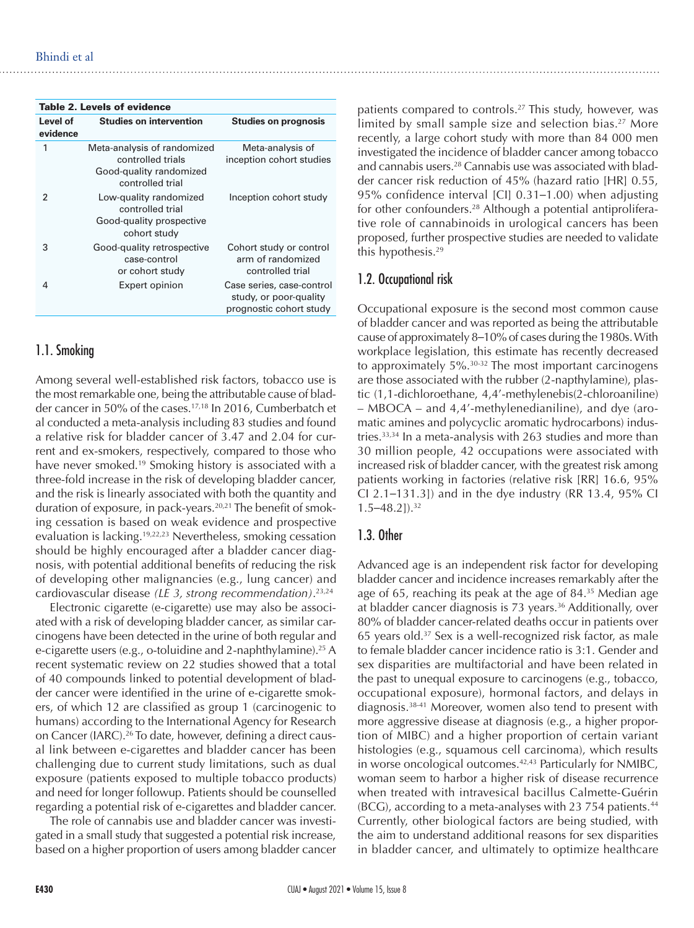| <b>Studies on prognosis</b>                                                    |
|--------------------------------------------------------------------------------|
| Meta-analysis of<br>inception cohort studies                                   |
| Inception cohort study                                                         |
| Cohort study or control<br>arm of randomized<br>controlled trial               |
| Case series, case-control<br>study, or poor-quality<br>prognostic cohort study |
|                                                                                |

# 1.1. Smoking

Among several well-established risk factors, tobacco use is the most remarkable one, being the attributable cause of bladder cancer in 50% of the cases.17,18 In 2016, Cumberbatch et al conducted a meta-analysis including 83 studies and found a relative risk for bladder cancer of 3.47 and 2.04 for current and ex-smokers, respectively, compared to those who have never smoked.<sup>19</sup> Smoking history is associated with a three-fold increase in the risk of developing bladder cancer, and the risk is linearly associated with both the quantity and duration of exposure, in pack-years.<sup>20,21</sup> The benefit of smoking cessation is based on weak evidence and prospective evaluation is lacking.19,22,23 Nevertheless, smoking cessation should be highly encouraged after a bladder cancer diagnosis, with potential additional benefits of reducing the risk of developing other malignancies (e.g., lung cancer) and cardiovascular disease *(LE 3, strong recommendation)*. 23,24

Electronic cigarette (e-cigarette) use may also be associated with a risk of developing bladder cancer, as similar carcinogens have been detected in the urine of both regular and e-cigarette users (e.g., o-toluidine and 2-naphthylamine).<sup>25</sup> A recent systematic review on 22 studies showed that a total of 40 compounds linked to potential development of bladder cancer were identified in the urine of e-cigarette smokers, of which 12 are classified as group 1 (carcinogenic to humans) according to the International Agency for Research on Cancer (IARC).26 To date, however, defining a direct causal link between e-cigarettes and bladder cancer has been challenging due to current study limitations, such as dual exposure (patients exposed to multiple tobacco products) and need for longer followup. Patients should be counselled regarding a potential risk of e-cigarettes and bladder cancer.

The role of cannabis use and bladder cancer was investigated in a small study that suggested a potential risk increase, based on a higher proportion of users among bladder cancer

patients compared to controls.<sup>27</sup> This study, however, was limited by small sample size and selection bias.<sup>27</sup> More recently, a large cohort study with more than 84 000 men investigated the incidence of bladder cancer among tobacco and cannabis users.28 Cannabis use was associated with bladder cancer risk reduction of 45% (hazard ratio [HR] 0.55, 95% confidence interval [CI] 0.31–1.00) when adjusting for other confounders.<sup>28</sup> Although a potential antiproliferative role of cannabinoids in urological cancers has been proposed, further prospective studies are needed to validate this hypothesis.29

# 1.2. Occupational risk

Occupational exposure is the second most common cause of bladder cancer and was reported as being the attributable cause of approximately 8–10% of cases during the 1980s. With workplace legislation, this estimate has recently decreased to approximately  $5\%$ <sup>30-32</sup> The most important carcinogens are those associated with the rubber (2-napthylamine), plastic (1,1-dichloroethane, 4,4'-methylenebis(2-chloroaniline) – MBOCA – and 4,4'-methylenedianiline), and dye (aromatic amines and polycyclic aromatic hydrocarbons) industries.33,34 In a meta-analysis with 263 studies and more than 30 million people, 42 occupations were associated with increased risk of bladder cancer, with the greatest risk among patients working in factories (relative risk [RR] 16.6, 95% CI 2.1–131.3]) and in the dye industry (RR 13.4, 95% CI  $1.5 - 48.2$ ]).<sup>32</sup>

# 1.3. Other

Advanced age is an independent risk factor for developing bladder cancer and incidence increases remarkably after the age of 65, reaching its peak at the age of 84.<sup>35</sup> Median age at bladder cancer diagnosis is 73 years.<sup>36</sup> Additionally, over 80% of bladder cancer-related deaths occur in patients over 65 years old.37 Sex is a well-recognized risk factor, as male to female bladder cancer incidence ratio is 3:1. Gender and sex disparities are multifactorial and have been related in the past to unequal exposure to carcinogens (e.g., tobacco, occupational exposure), hormonal factors, and delays in diagnosis.38-41 Moreover, women also tend to present with more aggressive disease at diagnosis (e.g., a higher proportion of MIBC) and a higher proportion of certain variant histologies (e.g., squamous cell carcinoma), which results in worse oncological outcomes.42,43 Particularly for NMIBC, woman seem to harbor a higher risk of disease recurrence when treated with intravesical bacillus Calmette-Guérin  $(BCG)$ , according to a meta-analyses with 23 754 patients.<sup>44</sup> Currently, other biological factors are being studied, with the aim to understand additional reasons for sex disparities in bladder cancer, and ultimately to optimize healthcare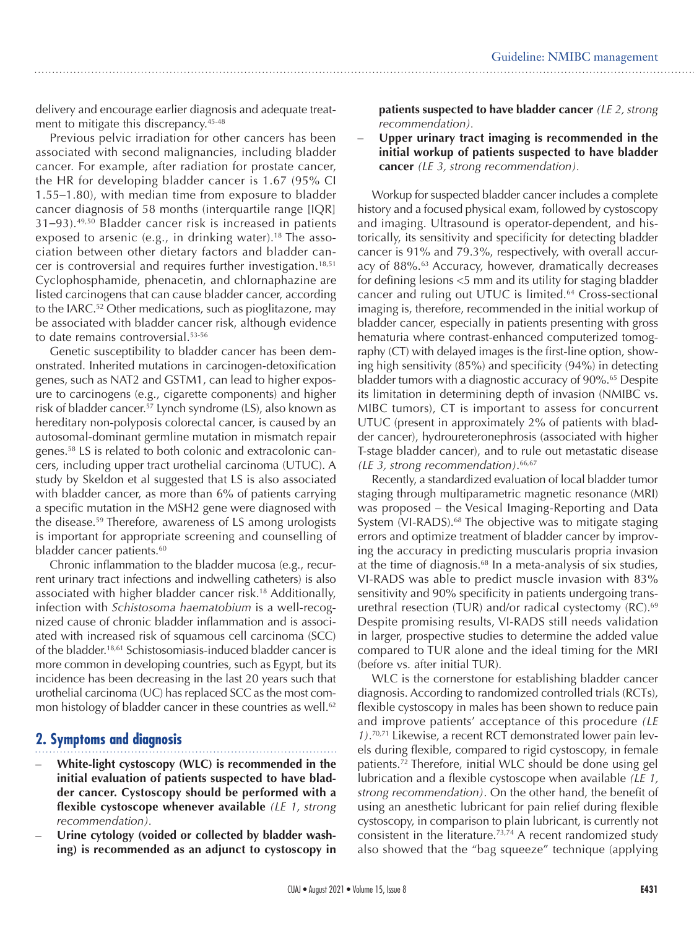delivery and encourage earlier diagnosis and adequate treatment to mitigate this discrepancy.<sup>45-48</sup>

Previous pelvic irradiation for other cancers has been associated with second malignancies, including bladder cancer. For example, after radiation for prostate cancer, the HR for developing bladder cancer is 1.67 (95% CI 1.55–1.80), with median time from exposure to bladder cancer diagnosis of 58 months (interquartile range [IQR] 31–93).49,50 Bladder cancer risk is increased in patients exposed to arsenic (e.g., in drinking water).<sup>18</sup> The association between other dietary factors and bladder cancer is controversial and requires further investigation.<sup>18,51</sup> Cyclophosphamide, phenacetin, and chlornaphazine are listed carcinogens that can cause bladder cancer, according to the IARC.52 Other medications, such as pioglitazone, may be associated with bladder cancer risk, although evidence to date remains controversial.<sup>53-56</sup>

Genetic susceptibility to bladder cancer has been demonstrated. Inherited mutations in carcinogen-detoxification genes, such as NAT2 and GSTM1, can lead to higher exposure to carcinogens (e.g., cigarette components) and higher risk of bladder cancer.<sup>57</sup> Lynch syndrome (LS), also known as hereditary non-polyposis colorectal cancer, is caused by an autosomal-dominant germline mutation in mismatch repair genes.58 LS is related to both colonic and extracolonic cancers, including upper tract urothelial carcinoma (UTUC). A study by Skeldon et al suggested that LS is also associated with bladder cancer, as more than 6% of patients carrying a specific mutation in the MSH2 gene were diagnosed with the disease.59 Therefore, awareness of LS among urologists is important for appropriate screening and counselling of bladder cancer patients.<sup>60</sup>

Chronic inflammation to the bladder mucosa (e.g., recurrent urinary tract infections and indwelling catheters) is also associated with higher bladder cancer risk.18 Additionally, infection with *Schistosoma haematobium* is a well-recognized cause of chronic bladder inflammation and is associated with increased risk of squamous cell carcinoma (SCC) of the bladder.18,61 Schistosomiasis-induced bladder cancer is more common in developing countries, such as Egypt, but its incidence has been decreasing in the last 20 years such that urothelial carcinoma (UC) has replaced SCC as the most common histology of bladder cancer in these countries as well.<sup>62</sup>

# **2. Symptoms and diagnosis**

- **– White-light cystoscopy (WLC) is recommended in the initial evaluation of patients suspected to have bladder cancer. Cystoscopy should be performed with a flexible cystoscope whenever available** *(LE 1, strong recommendation).*
- Urine cytology (voided or collected by bladder wash**ing) is recommended as an adjunct to cystoscopy in**

**patients suspected to have bladder cancer** *(LE 2, strong recommendation).* 

**– Upper urinary tract imaging is recommended in the initial workup of patients suspected to have bladder cancer** *(LE 3, strong recommendation).*

Workup for suspected bladder cancer includes a complete history and a focused physical exam, followed by cystoscopy and imaging. Ultrasound is operator-dependent, and historically, its sensitivity and specificity for detecting bladder cancer is 91% and 79.3%, respectively, with overall accuracy of 88%.<sup>63</sup> Accuracy, however, dramatically decreases for defining lesions <5 mm and its utility for staging bladder cancer and ruling out UTUC is limited.<sup>64</sup> Cross-sectional imaging is, therefore, recommended in the initial workup of bladder cancer, especially in patients presenting with gross hematuria where contrast-enhanced computerized tomography (CT) with delayed images is the first-line option, showing high sensitivity (85%) and specificity (94%) in detecting bladder tumors with a diagnostic accuracy of 90%.<sup>65</sup> Despite its limitation in determining depth of invasion (NMIBC vs. MIBC tumors), CT is important to assess for concurrent UTUC (present in approximately 2% of patients with bladder cancer), hydroureteronephrosis (associated with higher T-stage bladder cancer), and to rule out metastatic disease *(LE 3, strong recommendation)*. 66,67

Recently, a standardized evaluation of local bladder tumor staging through multiparametric magnetic resonance (MRI) was proposed – the Vesical Imaging-Reporting and Data System (VI-RADS).<sup>68</sup> The objective was to mitigate staging errors and optimize treatment of bladder cancer by improving the accuracy in predicting muscularis propria invasion at the time of diagnosis.68 In a meta-analysis of six studies, VI-RADS was able to predict muscle invasion with 83% sensitivity and 90% specificity in patients undergoing transurethral resection (TUR) and/or radical cystectomy  $(RC)$ .<sup>69</sup> Despite promising results, VI-RADS still needs validation in larger, prospective studies to determine the added value compared to TUR alone and the ideal timing for the MRI (before vs. after initial TUR).

WLC is the cornerstone for establishing bladder cancer diagnosis. According to randomized controlled trials (RCTs), flexible cystoscopy in males has been shown to reduce pain and improve patients' acceptance of this procedure *(LE 1)*. 70,71 Likewise, a recent RCT demonstrated lower pain levels during flexible, compared to rigid cystoscopy, in female patients.72 Therefore, initial WLC should be done using gel lubrication and a flexible cystoscope when available *(LE 1, strong recommendation)*. On the other hand, the benefit of using an anesthetic lubricant for pain relief during flexible cystoscopy, in comparison to plain lubricant, is currently not consistent in the literature.73,74 A recent randomized study also showed that the "bag squeeze" technique (applying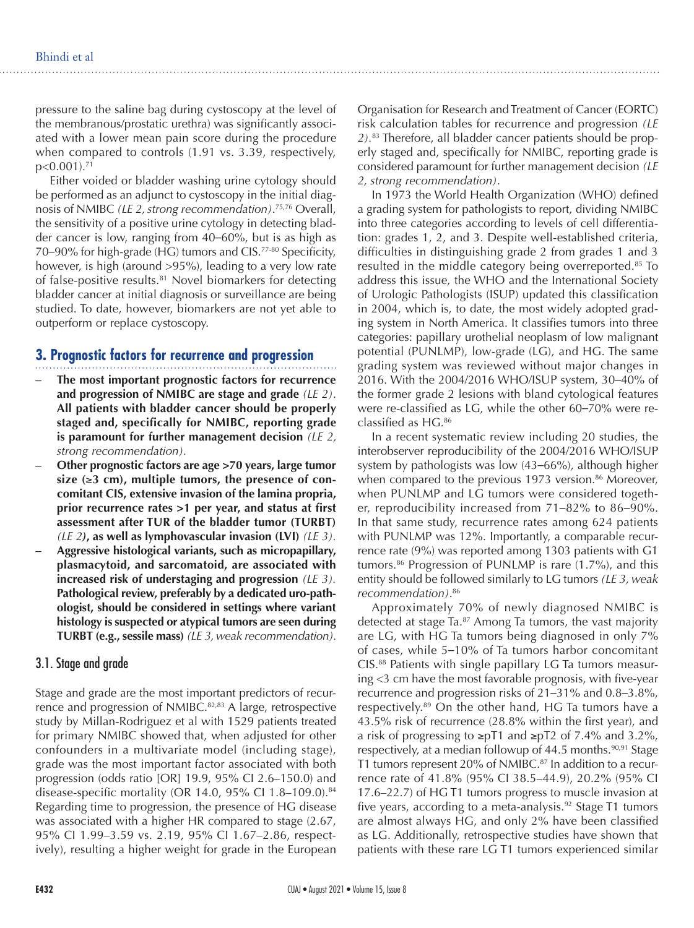pressure to the saline bag during cystoscopy at the level of the membranous/prostatic urethra) was significantly associated with a lower mean pain score during the procedure when compared to controls (1.91 vs. 3.39, respectively, p<0.001).71

Either voided or bladder washing urine cytology should be performed as an adjunct to cystoscopy in the initial diagnosis of NMIBC *(LE 2, strong recommendation)*. 75,76 Overall, the sensitivity of a positive urine cytology in detecting bladder cancer is low, ranging from 40–60%, but is as high as 70–90% for high-grade (HG) tumors and CIS.77-80 Specificity, however, is high (around >95%), leading to a very low rate of false-positive results.81 Novel biomarkers for detecting bladder cancer at initial diagnosis or surveillance are being studied. To date, however, biomarkers are not yet able to outperform or replace cystoscopy.

# **3. Prognostic factors for recurrence and progression**

- **The most important prognostic factors for recurrence and progression of NMIBC are stage and grade** *(LE 2)*. **All patients with bladder cancer should be properly staged and, specifically for NMIBC, reporting grade is paramount for further management decision** *(LE 2, strong recommendation).*
- **– Other prognostic factors are age >70 years, large tumor size (**≥**3 cm), multiple tumors, the presence of concomitant CIS, extensive invasion of the lamina propria, prior recurrence rates >1 per year, and status at first assessment after TUR of the bladder tumor (TURBT)** *(LE 2)***, as well as lymphovascular invasion (LVI)** *(LE 3).*
- **– Aggressive histological variants, such as micropapillary, plasmacytoid, and sarcomatoid, are associated with increased risk of understaging and progression** *(LE 3).* **Pathological review, preferably by a dedicated uro-pathologist, should be considered in settings where variant histology is suspected or atypical tumors are seen during TURBT (e.g., sessile mass)** *(LE 3, weak recommendation).*

#### 3.1. Stage and grade

Stage and grade are the most important predictors of recurrence and progression of NMIBC.<sup>82,83</sup> A large, retrospective study by Millan-Rodriguez et al with 1529 patients treated for primary NMIBC showed that, when adjusted for other confounders in a multivariate model (including stage), grade was the most important factor associated with both progression (odds ratio [OR] 19.9, 95% CI 2.6–150.0) and disease-specific mortality (OR 14.0, 95% CI 1.8–109.0).84 Regarding time to progression, the presence of HG disease was associated with a higher HR compared to stage (2.67, 95% CI 1.99–3.59 vs. 2.19, 95% CI 1.67–2.86, respectively), resulting a higher weight for grade in the European

Organisation for Research and Treatment of Cancer (EORTC) risk calculation tables for recurrence and progression *(LE 2).*83 Therefore, all bladder cancer patients should be properly staged and, specifically for NMIBC, reporting grade is considered paramount for further management decision *(LE 2, strong recommendation)*.

In 1973 the World Health Organization (WHO) defined a grading system for pathologists to report, dividing NMIBC into three categories according to levels of cell differentiation: grades 1, 2, and 3. Despite well-established criteria, difficulties in distinguishing grade 2 from grades 1 and 3 resulted in the middle category being overreported.<sup>85</sup> To address this issue, the WHO and the International Society of Urologic Pathologists (ISUP) updated this classification in 2004, which is, to date, the most widely adopted grading system in North America. It classifies tumors into three categories: papillary urothelial neoplasm of low malignant potential (PUNLMP), low-grade (LG), and HG. The same grading system was reviewed without major changes in 2016. With the 2004/2016 WHO/ISUP system, 30–40% of the former grade 2 lesions with bland cytological features were re-classified as LG, while the other 60–70% were reclassified as HG.86

In a recent systematic review including 20 studies, the interobserver reproducibility of the 2004/2016 WHO/ISUP system by pathologists was low (43–66%), although higher when compared to the previous 1973 version.<sup>86</sup> Moreover, when PUNLMP and LG tumors were considered together, reproducibility increased from 71–82% to 86–90%. In that same study, recurrence rates among 624 patients with PUNLMP was 12%. Importantly, a comparable recurrence rate (9%) was reported among 1303 patients with G1 tumors.86 Progression of PUNLMP is rare (1.7%), and this entity should be followed similarly to LG tumors *(LE 3, weak recommendation)*. 86

Approximately 70% of newly diagnosed NMIBC is detected at stage Ta.<sup>87</sup> Among Ta tumors, the vast majority are LG, with HG Ta tumors being diagnosed in only 7% of cases, while 5–10% of Ta tumors harbor concomitant CIS.88 Patients with single papillary LG Ta tumors measuring <3 cm have the most favorable prognosis, with five-year recurrence and progression risks of 21–31% and 0.8–3.8%, respectively.89 On the other hand, HG Ta tumors have a 43.5% risk of recurrence (28.8% within the first year), and a risk of progressing to ≥pT1 and ≥pT2 of 7.4% and 3.2%, respectively, at a median followup of  $44.5$  months.<sup>90,91</sup> Stage T1 tumors represent 20% of NMIBC.<sup>87</sup> In addition to a recurrence rate of 41.8% (95% CI 38.5–44.9), 20.2% (95% CI 17.6–22.7) of HG T1 tumors progress to muscle invasion at five years, according to a meta-analysis.<sup>92</sup> Stage T1 tumors are almost always HG, and only 2% have been classified as LG. Additionally, retrospective studies have shown that patients with these rare LG T1 tumors experienced similar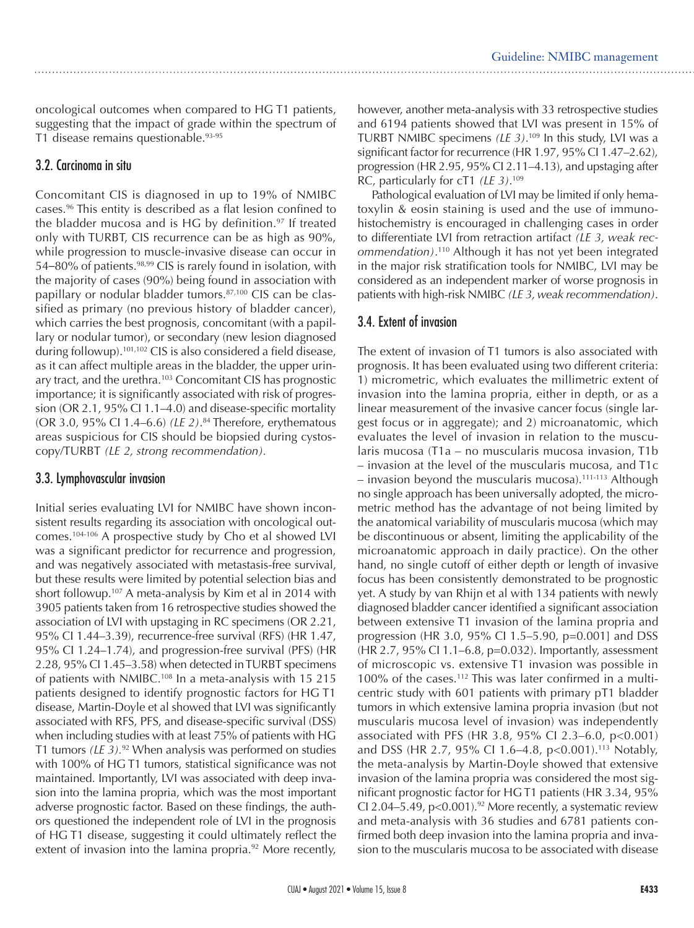oncological outcomes when compared to HG T1 patients, suggesting that the impact of grade within the spectrum of T1 disease remains questionable.93-95

# 3.2. Carcinoma in situ

Concomitant CIS is diagnosed in up to 19% of NMIBC cases.96 This entity is described as a flat lesion confined to the bladder mucosa and is HG by definition. $97$  If treated only with TURBT, CIS recurrence can be as high as 90%, while progression to muscle-invasive disease can occur in 54–80% of patients.<sup>98,99</sup> CIS is rarely found in isolation, with the majority of cases (90%) being found in association with papillary or nodular bladder tumors.<sup>87,100</sup> CIS can be classified as primary (no previous history of bladder cancer), which carries the best prognosis, concomitant (with a papillary or nodular tumor), or secondary (new lesion diagnosed during followup).101,102 CIS is also considered a field disease, as it can affect multiple areas in the bladder, the upper urinary tract, and the urethra.<sup>103</sup> Concomitant CIS has prognostic importance; it is significantly associated with risk of progression (OR 2.1, 95% CI 1.1–4.0) and disease-specific mortality (OR 3.0, 95% CI 1.4–6.6) *(LE 2)*. 84 Therefore, erythematous areas suspicious for CIS should be biopsied during cystoscopy/TURBT *(LE 2, strong recommendation).*

# 3.3. Lymphovascular invasion

Initial series evaluating LVI for NMIBC have shown inconsistent results regarding its association with oncological outcomes.104-106 A prospective study by Cho et al showed LVI was a significant predictor for recurrence and progression, and was negatively associated with metastasis-free survival, but these results were limited by potential selection bias and short followup.<sup>107</sup> A meta-analysis by Kim et al in 2014 with 3905 patients taken from 16 retrospective studies showed the association of LVI with upstaging in RC specimens (OR 2.21, 95% CI 1.44–3.39), recurrence-free survival (RFS) (HR 1.47, 95% CI 1.24–1.74), and progression-free survival (PFS) (HR 2.28, 95% CI 1.45–3.58) when detected in TURBT specimens of patients with NMIBC.<sup>108</sup> In a meta-analysis with 15 215 patients designed to identify prognostic factors for HG T1 disease, Martin-Doyle et al showed that LVI was significantly associated with RFS, PFS, and disease-specific survival (DSS) when including studies with at least 75% of patients with HG T1 tumors *(LE 3).*92 When analysis was performed on studies with 100% of HG T1 tumors, statistical significance was not maintained. Importantly, LVI was associated with deep invasion into the lamina propria, which was the most important adverse prognostic factor. Based on these findings, the authors questioned the independent role of LVI in the prognosis of HG T1 disease, suggesting it could ultimately reflect the extent of invasion into the lamina propria.<sup>92</sup> More recently,

however, another meta-analysis with 33 retrospective studies and 6194 patients showed that LVI was present in 15% of TURBT NMIBC specimens *(LE 3)*. 109 In this study, LVI was a significant factor for recurrence (HR 1.97, 95% CI 1.47–2.62), progression (HR 2.95, 95% CI 2.11–4.13), and upstaging after RC, particularly for cT1 *(LE 3)*. 109

Pathological evaluation of LVI may be limited if only hematoxylin & eosin staining is used and the use of immunohistochemistry is encouraged in challenging cases in order to differentiate LVI from retraction artifact *(LE 3, weak recommendation)*. 110 Although it has not yet been integrated in the major risk stratification tools for NMIBC, LVI may be considered as an independent marker of worse prognosis in patients with high-risk NMIBC *(LE 3, weak recommendation)*.

# 3.4. Extent of invasion

The extent of invasion of T1 tumors is also associated with prognosis. It has been evaluated using two different criteria: 1) micrometric, which evaluates the millimetric extent of invasion into the lamina propria, either in depth, or as a linear measurement of the invasive cancer focus (single largest focus or in aggregate); and 2) microanatomic, which evaluates the level of invasion in relation to the muscularis mucosa (T1a – no muscularis mucosa invasion, T1b – invasion at the level of the muscularis mucosa, and T1c  $-$  invasion beyond the muscularis mucosa).<sup>111-113</sup> Although no single approach has been universally adopted, the micrometric method has the advantage of not being limited by the anatomical variability of muscularis mucosa (which may be discontinuous or absent, limiting the applicability of the microanatomic approach in daily practice). On the other hand, no single cutoff of either depth or length of invasive focus has been consistently demonstrated to be prognostic yet. A study by van Rhijn et al with 134 patients with newly diagnosed bladder cancer identified a significant association between extensive T1 invasion of the lamina propria and progression (HR 3.0, 95% CI 1.5–5.90, p=0.001] and DSS (HR 2.7, 95% CI 1.1–6.8, p=0.032). Importantly, assessment of microscopic vs. extensive T1 invasion was possible in 100% of the cases.112 This was later confirmed in a multicentric study with 601 patients with primary pT1 bladder tumors in which extensive lamina propria invasion (but not muscularis mucosa level of invasion) was independently associated with PFS (HR 3.8, 95% CI 2.3–6.0, p<0.001) and DSS (HR 2.7, 95% CI 1.6–4.8, p<0.001).<sup>113</sup> Notably, the meta-analysis by Martin-Doyle showed that extensive invasion of the lamina propria was considered the most significant prognostic factor for HG T1 patients (HR 3.34, 95% CI 2.04–5.49,  $p<0.001$ ).<sup>92</sup> More recently, a systematic review and meta-analysis with 36 studies and 6781 patients confirmed both deep invasion into the lamina propria and invasion to the muscularis mucosa to be associated with disease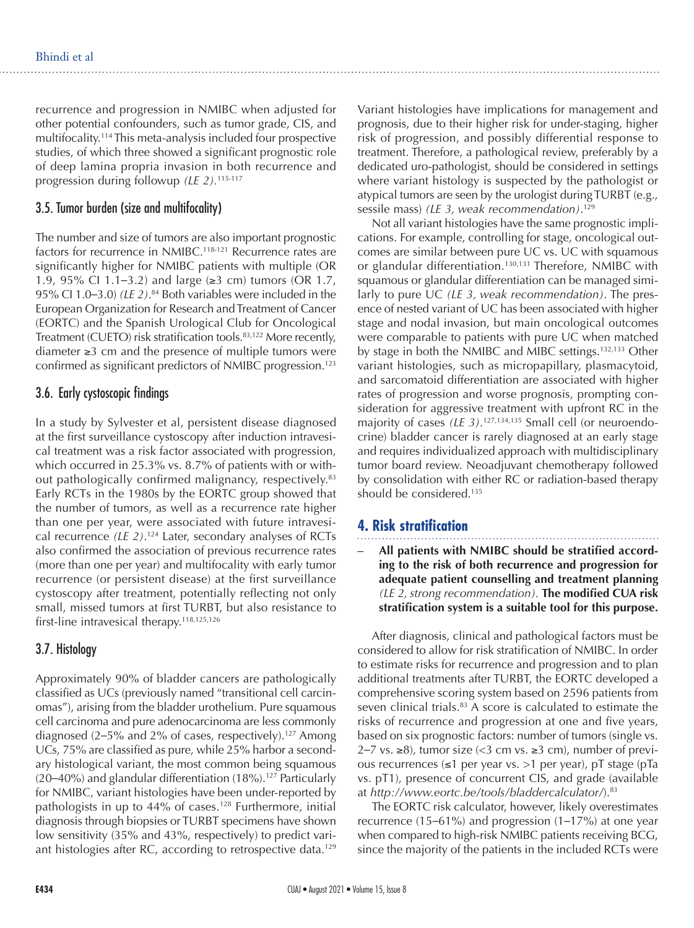recurrence and progression in NMIBC when adjusted for other potential confounders, such as tumor grade, CIS, and multifocality.114 This meta-analysis included four prospective studies, of which three showed a significant prognostic role of deep lamina propria invasion in both recurrence and progression during followup *(LE 2).*115-117

### 3.5. Tumor burden (size and multifocality)

The number and size of tumors are also important prognostic factors for recurrence in NMIBC.<sup>118-121</sup> Recurrence rates are significantly higher for NMIBC patients with multiple (OR 1.9, 95% CI 1.1–3.2) and large (≥3 cm) tumors (OR 1.7, 95% CI 1.0–3.0) *(LE 2)*. 84 Both variables were included in the European Organization for Research and Treatment of Cancer (EORTC) and the Spanish Urological Club for Oncological Treatment (CUETO) risk stratification tools.<sup>83,122</sup> More recently, diameter ≥3 cm and the presence of multiple tumors were confirmed as significant predictors of NMIBC progression.123

#### 3.6. Early cystoscopic findings

In a study by Sylvester et al, persistent disease diagnosed at the first surveillance cystoscopy after induction intravesical treatment was a risk factor associated with progression, which occurred in 25.3% vs. 8.7% of patients with or without pathologically confirmed malignancy, respectively.<sup>83</sup> Early RCTs in the 1980s by the EORTC group showed that the number of tumors, as well as a recurrence rate higher than one per year, were associated with future intravesical recurrence *(LE 2)*. 124 Later, secondary analyses of RCTs also confirmed the association of previous recurrence rates (more than one per year) and multifocality with early tumor recurrence (or persistent disease) at the first surveillance cystoscopy after treatment, potentially reflecting not only small, missed tumors at first TURBT, but also resistance to first-line intravesical therapy.<sup>118,125,126</sup>

# 3.7. Histology

Approximately 90% of bladder cancers are pathologically classified as UCs (previously named "transitional cell carcinomas"), arising from the bladder urothelium. Pure squamous cell carcinoma and pure adenocarcinoma are less commonly diagnosed  $(2-5\%$  and 2% of cases, respectively).<sup>127</sup> Among UCs, 75% are classified as pure, while 25% harbor a secondary histological variant, the most common being squamous  $(20-40%)$  and glandular differentiation  $(18%)$ .<sup>127</sup> Particularly for NMIBC, variant histologies have been under-reported by pathologists in up to  $44\%$  of cases.<sup>128</sup> Furthermore, initial diagnosis through biopsies or TURBT specimens have shown low sensitivity (35% and 43%, respectively) to predict variant histologies after RC, according to retrospective data.<sup>129</sup>

Variant histologies have implications for management and prognosis, due to their higher risk for under-staging, higher risk of progression, and possibly differential response to treatment. Therefore, a pathological review, preferably by a dedicated uro-pathologist, should be considered in settings where variant histology is suspected by the pathologist or atypical tumors are seen by the urologist during TURBT (e.g., sessile mass) *(LE 3, weak recommendation)*. 129

Not all variant histologies have the same prognostic implications. For example, controlling for stage, oncological outcomes are similar between pure UC vs. UC with squamous or glandular differentiation.<sup>130,131</sup> Therefore, NMIBC with squamous or glandular differentiation can be managed similarly to pure UC *(LE 3, weak recommendation)*. The presence of nested variant of UC has been associated with higher stage and nodal invasion, but main oncological outcomes were comparable to patients with pure UC when matched by stage in both the NMIBC and MIBC settings.132,133 Other variant histologies, such as micropapillary, plasmacytoid, and sarcomatoid differentiation are associated with higher rates of progression and worse prognosis, prompting consideration for aggressive treatment with upfront RC in the majority of cases *(LE 3)*. 127,134,135 Small cell (or neuroendocrine) bladder cancer is rarely diagnosed at an early stage and requires individualized approach with multidisciplinary tumor board review. Neoadjuvant chemotherapy followed by consolidation with either RC or radiation-based therapy should be considered.135

# **4. Risk stratification**

All patients with NMIBC should be stratified accord**ing to the risk of both recurrence and progression for adequate patient counselling and treatment planning**  *(LE 2, strong recommendation).* **The modified CUA risk stratification system is a suitable tool for this purpose.**

After diagnosis, clinical and pathological factors must be considered to allow for risk stratification of NMIBC. In order to estimate risks for recurrence and progression and to plan additional treatments after TURBT, the EORTC developed a comprehensive scoring system based on 2596 patients from seven clinical trials.<sup>83</sup> A score is calculated to estimate the risks of recurrence and progression at one and five years, based on six prognostic factors: number of tumors (single vs. 2–7 vs. ≥8), tumor size (<3 cm vs. ≥3 cm), number of previous recurrences (≤1 per year vs. >1 per year), pT stage (pTa vs. pT1), presence of concurrent CIS, and grade (available at *http://www.eortc.be/tools/bladdercalculator/*).83

The EORTC risk calculator, however, likely overestimates recurrence (15–61%) and progression (1–17%) at one year when compared to high-risk NMIBC patients receiving BCG, since the majority of the patients in the included RCTs were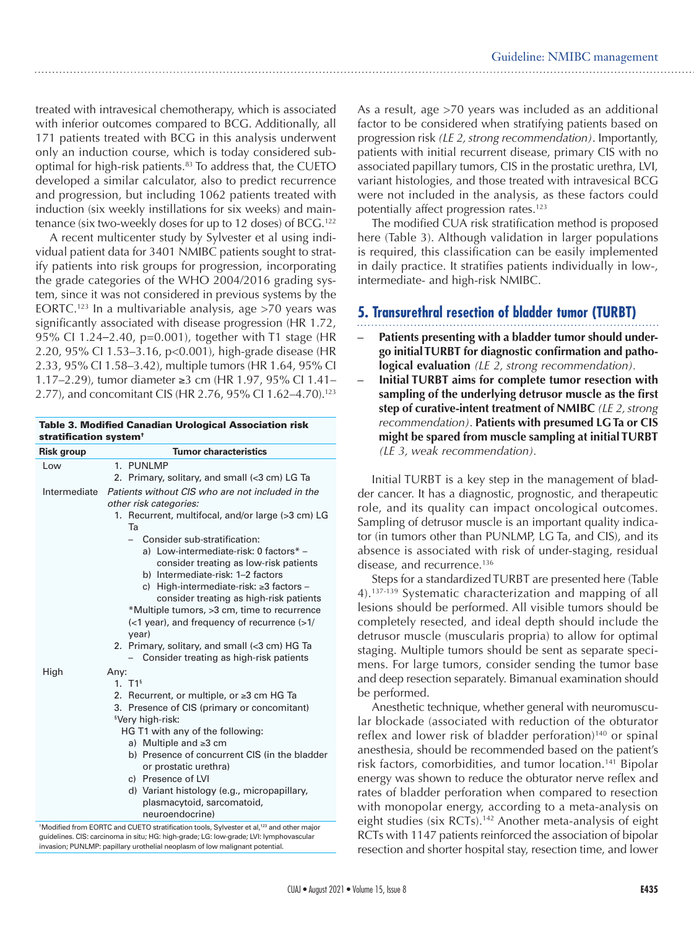treated with intravesical chemotherapy, which is associated with inferior outcomes compared to BCG. Additionally, all 171 patients treated with BCG in this analysis underwent only an induction course, which is today considered suboptimal for high-risk patients.83 To address that, the CUETO developed a similar calculator, also to predict recurrence and progression, but including 1062 patients treated with induction (six weekly instillations for six weeks) and maintenance (six two-weekly doses for up to 12 doses) of BCG.<sup>122</sup>

A recent multicenter study by Sylvester et al using individual patient data for 3401 NMIBC patients sought to stratify patients into risk groups for progression, incorporating the grade categories of the WHO 2004/2016 grading system, since it was not considered in previous systems by the EORTC.123 In a multivariable analysis, age >70 years was significantly associated with disease progression (HR 1.72, 95% CI 1.24–2.40, p=0.001), together with T1 stage (HR 2.20, 95% CI 1.53–3.16, p<0.001), high-grade disease (HR 2.33, 95% CI 1.58–3.42), multiple tumors (HR 1.64, 95% CI 1.17–2.29), tumor diameter ≥3 cm (HR 1.97, 95% CI 1.41– 2.77), and concomitant CIS (HR 2.76, 95% CI 1.62-4.70).<sup>123</sup>

Table 3. Modified Canadian Urological Association risk

| stratification system <sup>+</sup> |                                                                                                                                                                                                                                                                                                                                                                                                                                                                 |  |
|------------------------------------|-----------------------------------------------------------------------------------------------------------------------------------------------------------------------------------------------------------------------------------------------------------------------------------------------------------------------------------------------------------------------------------------------------------------------------------------------------------------|--|
| <b>Risk group</b>                  | <b>Tumor characteristics</b>                                                                                                                                                                                                                                                                                                                                                                                                                                    |  |
| Low                                | 1. PUNLMP<br>2. Primary, solitary, and small (<3 cm) LG Ta                                                                                                                                                                                                                                                                                                                                                                                                      |  |
| Intermediate                       | Patients without CIS who are not included in the                                                                                                                                                                                                                                                                                                                                                                                                                |  |
|                                    | other risk categories:<br>1. Recurrent, multifocal, and/or large (>3 cm) LG<br>Ta                                                                                                                                                                                                                                                                                                                                                                               |  |
|                                    | Consider sub-stratification:<br>a) Low-intermediate-risk: 0 factors* -<br>consider treating as low-risk patients<br>b) Intermediate-risk: 1-2 factors<br>c) High-intermediate-risk: ≥3 factors -<br>consider treating as high-risk patients<br>*Multiple tumors, >3 cm, time to recurrence<br>$\left($ <1 year), and frequency of recurrence $\left($ > 1/<br>year)<br>2. Primary, solitary, and small (<3 cm) HG Ta<br>Consider treating as high-risk patients |  |
| High                               | Any:<br>1. $T1^s$<br>2. Recurrent, or multiple, or ≥3 cm HG Ta<br>3. Presence of CIS (primary or concomitant)<br><sup>§</sup> Very high-risk:<br>HG T1 with any of the following:<br>a) Multiple and $\geq 3$ cm<br>b) Presence of concurrent CIS (in the bladder<br>or prostatic urethra)<br>c) Presence of LVI<br>d) Variant histology (e.g., micropapillary,<br>plasmacytoid, sarcomatoid,<br>neuroendocrine)                                                |  |

<sup>&</sup>lt;sup>†</sup>Modified from EORTC and CUETO stratification tools, Sylvester et al,<sup>123</sup> and other major guidelines. CIS: carcinoma in situ; HG: high-grade; LG: low-grade; LVI: lymphovascular invasion; PUNLMP: papillary urothelial neoplasm of low malignant potential.

As a result, age >70 years was included as an additional factor to be considered when stratifying patients based on progression risk *(LE 2, strong recommendation)*. Importantly, patients with initial recurrent disease, primary CIS with no associated papillary tumors, CIS in the prostatic urethra, LVI, variant histologies, and those treated with intravesical BCG were not included in the analysis, as these factors could potentially affect progression rates.<sup>123</sup>

The modified CUA risk stratification method is proposed here (Table 3). Although validation in larger populations is required, this classification can be easily implemented in daily practice. It stratifies patients individually in low-, intermediate- and high-risk NMIBC.

# **5. Transurethral resection of bladder tumor (TURBT)**

- Patients presenting with a bladder tumor should under**go initial TURBT for diagnostic confirmation and pathological evaluation** *(LE 2, strong recommendation).*
- **Initial TURBT aims for complete tumor resection with sampling of the underlying detrusor muscle as the first step of curative-intent treatment of NMIBC** *(LE 2, strong recommendation)*. **Patients with presumed LG Ta or CIS might be spared from muscle sampling at initial TURBT** *(LE 3, weak recommendation).*

Initial TURBT is a key step in the management of bladder cancer. It has a diagnostic, prognostic, and therapeutic role, and its quality can impact oncological outcomes. Sampling of detrusor muscle is an important quality indicator (in tumors other than PUNLMP, LG Ta, and CIS), and its absence is associated with risk of under-staging, residual disease, and recurrence.<sup>136</sup>

Steps for a standardized TURBT are presented here (Table 4).137-139 Systematic characterization and mapping of all lesions should be performed. All visible tumors should be completely resected, and ideal depth should include the detrusor muscle (muscularis propria) to allow for optimal staging. Multiple tumors should be sent as separate specimens. For large tumors, consider sending the tumor base and deep resection separately. Bimanual examination should be performed.

Anesthetic technique, whether general with neuromuscular blockade (associated with reduction of the obturator reflex and lower risk of bladder perforation)<sup>140</sup> or spinal anesthesia, should be recommended based on the patient's risk factors, comorbidities, and tumor location.141 Bipolar energy was shown to reduce the obturator nerve reflex and rates of bladder perforation when compared to resection with monopolar energy, according to a meta-analysis on eight studies (six RCTs).<sup>142</sup> Another meta-analysis of eight RCTs with 1147 patients reinforced the association of bipolar resection and shorter hospital stay, resection time, and lower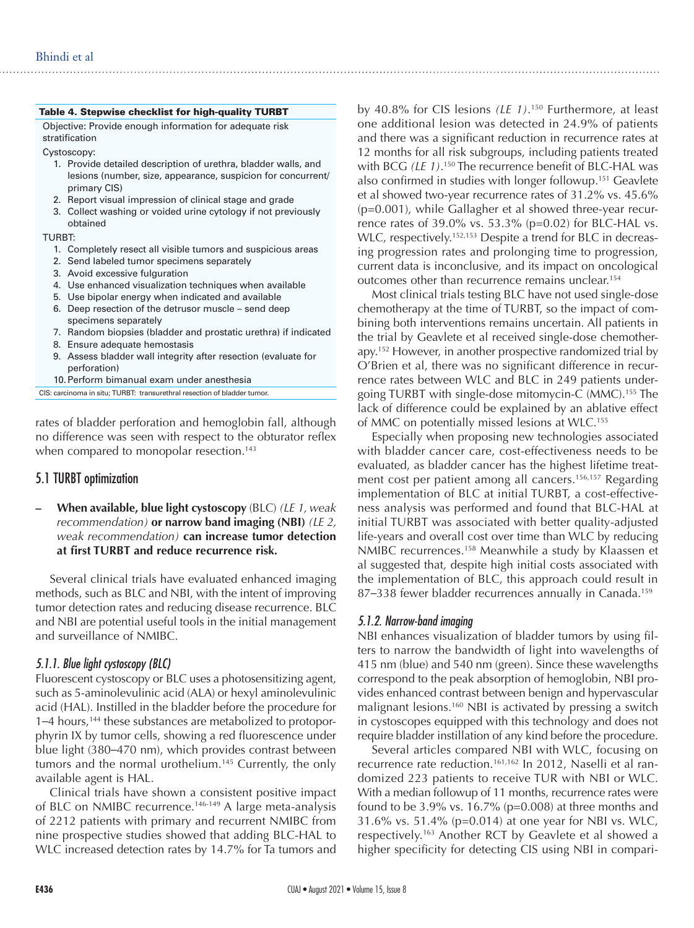|        | Table 4. Stepwise checklist for high-quality TURBT                                                                                             |
|--------|------------------------------------------------------------------------------------------------------------------------------------------------|
|        | Objective: Provide enough information for adequate risk<br>stratification                                                                      |
|        | Cystoscopy:                                                                                                                                    |
|        | 1. Provide detailed description of urethra, bladder walls, and<br>lesions (number, size, appearance, suspicion for concurrent/<br>primary CIS) |
|        | 2. Report visual impression of clinical stage and grade                                                                                        |
|        | 3. Collect washing or voided urine cytology if not previously<br>obtained                                                                      |
| TURBT: |                                                                                                                                                |
|        | 1. Completely resect all visible tumors and suspicious areas                                                                                   |
|        | 2. Send labeled tumor specimens separately                                                                                                     |
|        | 3. Avoid excessive fulguration                                                                                                                 |
|        | 4. Use enhanced visualization techniques when available                                                                                        |
|        | 5. Use bipolar energy when indicated and available                                                                                             |
|        | 6. Deep resection of the detrusor muscle – send deep<br>specimens separately                                                                   |
|        | 7. Random biopsies (bladder and prostatic urethra) if indicated                                                                                |
|        | 8. Ensure adequate hemostasis                                                                                                                  |
|        | 9. Assess bladder wall integrity after resection (evaluate for<br>perforation)                                                                 |

10.Perform bimanual exam under anesthesia

CIS: carcinoma in situ; TURBT: transurethral resection of bladder tumor.

rates of bladder perforation and hemoglobin fall, although no difference was seen with respect to the obturator reflex when compared to monopolar resection.<sup>143</sup>

#### 5.1 TURBT optimization

**– When available, blue light cystoscopy** (BLC) *(LE 1, weak recommendation)* **or narrow band imaging (NBI)** *(LE 2, weak recommendation)* **can increase tumor detection at first TURBT and reduce recurrence risk.**

Several clinical trials have evaluated enhanced imaging methods, such as BLC and NBI, with the intent of improving tumor detection rates and reducing disease recurrence. BLC and NBI are potential useful tools in the initial management and surveillance of NMIBC.

#### *5.1.1. Blue light cystoscopy (BLC)*

Fluorescent cystoscopy or BLC uses a photosensitizing agent, such as 5-aminolevulinic acid (ALA) or hexyl aminolevulinic acid (HAL). Instilled in the bladder before the procedure for 1–4 hours,<sup>144</sup> these substances are metabolized to protoporphyrin IX by tumor cells, showing a red fluorescence under blue light (380–470 nm), which provides contrast between tumors and the normal urothelium.<sup>145</sup> Currently, the only available agent is HAL.

Clinical trials have shown a consistent positive impact of BLC on NMIBC recurrence.<sup>146-149</sup> A large meta-analysis of 2212 patients with primary and recurrent NMIBC from nine prospective studies showed that adding BLC-HAL to WLC increased detection rates by 14.7% for Ta tumors and

by 40.8% for CIS lesions *(LE 1)*. 150 Furthermore, at least one additional lesion was detected in 24.9% of patients and there was a significant reduction in recurrence rates at 12 months for all risk subgroups, including patients treated with BCG *(LE 1)*. 150 The recurrence benefit of BLC-HAL was also confirmed in studies with longer followup.151 Geavlete et al showed two-year recurrence rates of 31.2% vs. 45.6% (p=0.001), while Gallagher et al showed three-year recurrence rates of 39.0% vs. 53.3% (p=0.02) for BLC-HAL vs. WLC, respectively.<sup>152,153</sup> Despite a trend for BLC in decreasing progression rates and prolonging time to progression, current data is inconclusive, and its impact on oncological outcomes other than recurrence remains unclear.154

Most clinical trials testing BLC have not used single-dose chemotherapy at the time of TURBT, so the impact of combining both interventions remains uncertain. All patients in the trial by Geavlete et al received single-dose chemotherapy.152 However, in another prospective randomized trial by O'Brien et al, there was no significant difference in recurrence rates between WLC and BLC in 249 patients undergoing TURBT with single-dose mitomycin-C (MMC).155 The lack of difference could be explained by an ablative effect of MMC on potentially missed lesions at WLC.<sup>155</sup>

Especially when proposing new technologies associated with bladder cancer care, cost-effectiveness needs to be evaluated, as bladder cancer has the highest lifetime treatment cost per patient among all cancers.<sup>156,157</sup> Regarding implementation of BLC at initial TURBT, a cost-effectiveness analysis was performed and found that BLC-HAL at initial TURBT was associated with better quality-adjusted life-years and overall cost over time than WLC by reducing NMIBC recurrences.158 Meanwhile a study by Klaassen et al suggested that, despite high initial costs associated with the implementation of BLC, this approach could result in 87–338 fewer bladder recurrences annually in Canada.<sup>159</sup>

#### *5.1.2. Narrow-band imaging*

NBI enhances visualization of bladder tumors by using filters to narrow the bandwidth of light into wavelengths of 415 nm (blue) and 540 nm (green). Since these wavelengths correspond to the peak absorption of hemoglobin, NBI provides enhanced contrast between benign and hypervascular malignant lesions.160 NBI is activated by pressing a switch in cystoscopes equipped with this technology and does not require bladder instillation of any kind before the procedure.

Several articles compared NBI with WLC, focusing on recurrence rate reduction.<sup>161,162</sup> In 2012, Naselli et al randomized 223 patients to receive TUR with NBI or WLC. With a median followup of 11 months, recurrence rates were found to be 3.9% vs.  $16.7\%$  (p=0.008) at three months and 31.6% vs. 51.4% (p=0.014) at one year for NBI vs. WLC, respectively.163 Another RCT by Geavlete et al showed a higher specificity for detecting CIS using NBI in compari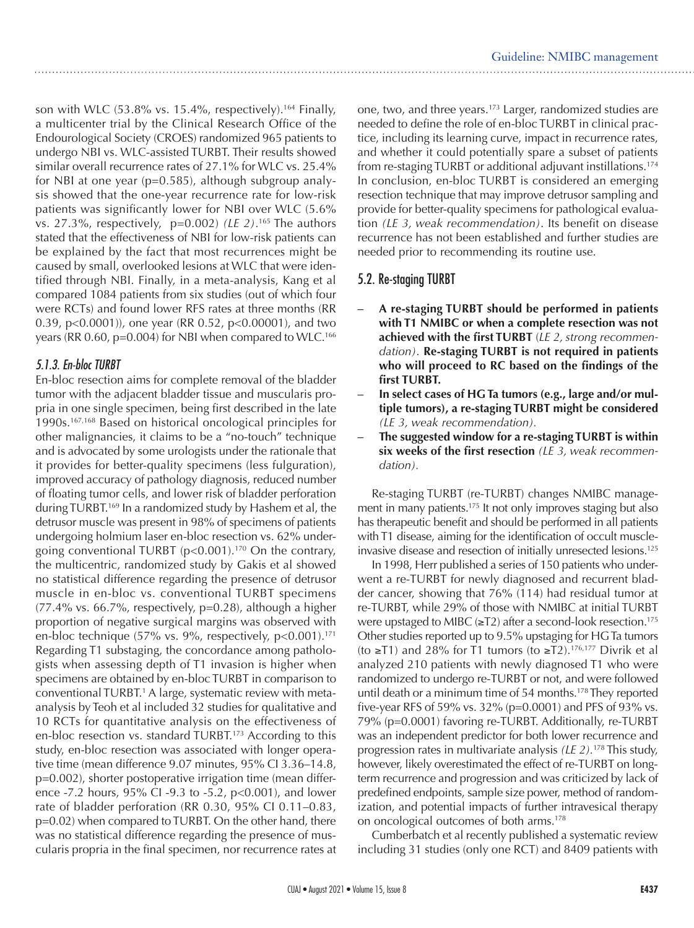son with WLC  $(53.8\% \text{ vs. } 15.4\%$ , respectively).<sup>164</sup> Finally, a multicenter trial by the Clinical Research Office of the Endourological Society (CROES) randomized 965 patients to undergo NBI vs. WLC-assisted TURBT. Their results showed similar overall recurrence rates of 27.1% for WLC vs. 25.4% for NBI at one year (p=0.585), although subgroup analysis showed that the one-year recurrence rate for low-risk patients was significantly lower for NBI over WLC (5.6% vs. 27.3%, respectively, p=0.002) *(LE 2)*. 165 The authors stated that the effectiveness of NBI for low-risk patients can be explained by the fact that most recurrences might be caused by small, overlooked lesions at WLC that were identified through NBI. Finally, in a meta-analysis, Kang et al compared 1084 patients from six studies (out of which four were RCTs) and found lower RFS rates at three months (RR 0.39, p<0.0001)), one year (RR 0.52, p<0.00001), and two years (RR 0.60, p=0.004) for NBI when compared to WLC.<sup>166</sup>

# *5.1.3. En-bloc TURBT*

En-bloc resection aims for complete removal of the bladder tumor with the adjacent bladder tissue and muscularis propria in one single specimen, being first described in the late 1990s.167,168 Based on historical oncological principles for other malignancies, it claims to be a "no-touch" technique and is advocated by some urologists under the rationale that it provides for better-quality specimens (less fulguration), improved accuracy of pathology diagnosis, reduced number of floating tumor cells, and lower risk of bladder perforation during TURBT.169 In a randomized study by Hashem et al, the detrusor muscle was present in 98% of specimens of patients undergoing holmium laser en-bloc resection vs. 62% undergoing conventional TURBT (p<0.001).170 On the contrary, the multicentric, randomized study by Gakis et al showed no statistical difference regarding the presence of detrusor muscle in en-bloc vs. conventional TURBT specimens (77.4% vs. 66.7%, respectively, p=0.28), although a higher proportion of negative surgical margins was observed with en-bloc technique (57% vs. 9%, respectively, p<0.001).<sup>171</sup> Regarding T1 substaging, the concordance among pathologists when assessing depth of T1 invasion is higher when specimens are obtained by en-bloc TURBT in comparison to conventional TURBT.<sup>1</sup> A large, systematic review with metaanalysis by Teoh et al included 32 studies for qualitative and 10 RCTs for quantitative analysis on the effectiveness of en-bloc resection vs. standard TURBT.173 According to this study, en-bloc resection was associated with longer operative time (mean difference 9.07 minutes, 95% CI 3.36–14.8, p=0.002), shorter postoperative irrigation time (mean difference -7.2 hours, 95% CI -9.3 to -5.2, p<0.001), and lower rate of bladder perforation (RR 0.30, 95% CI 0.11–0.83, p=0.02) when compared to TURBT. On the other hand, there was no statistical difference regarding the presence of muscularis propria in the final specimen, nor recurrence rates at one, two, and three years.173 Larger, randomized studies are needed to define the role of en-bloc TURBT in clinical practice, including its learning curve, impact in recurrence rates, and whether it could potentially spare a subset of patients from re-staging TURBT or additional adjuvant instillations.174 In conclusion, en-bloc TURBT is considered an emerging resection technique that may improve detrusor sampling and provide for better-quality specimens for pathological evaluation *(LE 3, weak recommendation)*. Its benefit on disease recurrence has not been established and further studies are needed prior to recommending its routine use.

# 5.2. Re-staging TURBT

- **– A re-staging TURBT should be performed in patients with T1 NMIBC or when a complete resection was not achieved with the first TURBT** (*LE 2, strong recommendation)*. **Re-staging TURBT is not required in patients who will proceed to RC based on the findings of the first TURBT.**
- In select cases of HG Ta tumors (e.g., large and/or mul**tiple tumors), a re-staging TURBT might be considered** *(LE 3, weak recommendation).*
- The suggested window for a re-staging TURBT is within **six weeks of the first resection** *(LE 3, weak recommendation).*

Re-staging TURBT (re-TURBT) changes NMIBC management in many patients.<sup>175</sup> It not only improves staging but also has therapeutic benefit and should be performed in all patients with T1 disease, aiming for the identification of occult muscleinvasive disease and resection of initially unresected lesions.125

In 1998, Herr published a series of 150 patients who underwent a re-TURBT for newly diagnosed and recurrent bladder cancer, showing that 76% (114) had residual tumor at re-TURBT, while 29% of those with NMIBC at initial TURBT were upstaged to MIBC ( $\geq$ T2) after a second-look resection.<sup>175</sup> Other studies reported up to 9.5% upstaging for HG Ta tumors (to ≥T1) and 28% for T1 tumors (to ≥T2).<sup>176,177</sup> Divrik et al analyzed 210 patients with newly diagnosed T1 who were randomized to undergo re-TURBT or not, and were followed until death or a minimum time of 54 months.<sup>178</sup> They reported five-year RFS of 59% vs. 32% (p=0.0001) and PFS of 93% vs. 79% (p=0.0001) favoring re-TURBT. Additionally, re-TURBT was an independent predictor for both lower recurrence and progression rates in multivariate analysis *(LE 2).*178 This study, however, likely overestimated the effect of re-TURBT on longterm recurrence and progression and was criticized by lack of predefined endpoints, sample size power, method of randomization, and potential impacts of further intravesical therapy on oncological outcomes of both arms.178

Cumberbatch et al recently published a systematic review including 31 studies (only one RCT) and 8409 patients with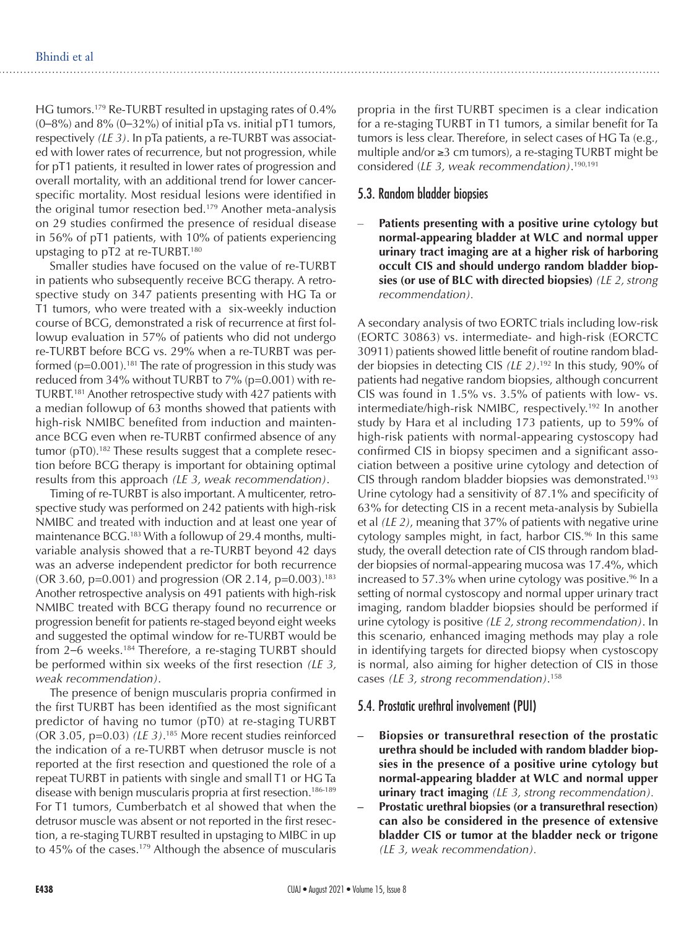HG tumors.179 Re-TURBT resulted in upstaging rates of 0.4%  $(0-8\%)$  and  $8\%$   $(0-32\%)$  of initial pTa vs. initial pT1 tumors, respectively *(LE 3)*. In pTa patients, a re-TURBT was associated with lower rates of recurrence, but not progression, while for pT1 patients, it resulted in lower rates of progression and overall mortality, with an additional trend for lower cancerspecific mortality. Most residual lesions were identified in the original tumor resection bed.179 Another meta-analysis on 29 studies confirmed the presence of residual disease in 56% of pT1 patients, with 10% of patients experiencing upstaging to pT2 at re-TURBT.180

Smaller studies have focused on the value of re-TURBT in patients who subsequently receive BCG therapy. A retrospective study on 347 patients presenting with HG Ta or T1 tumors, who were treated with a six-weekly induction course of BCG, demonstrated a risk of recurrence at first followup evaluation in 57% of patients who did not undergo re-TURBT before BCG vs. 29% when a re-TURBT was performed  $(p=0.001)$ .<sup>181</sup> The rate of progression in this study was reduced from 34% without TURBT to 7% (p=0.001) with re-TURBT.181 Another retrospective study with 427 patients with a median followup of 63 months showed that patients with high-risk NMIBC benefited from induction and maintenance BCG even when re-TURBT confirmed absence of any tumor (pT0).<sup>182</sup> These results suggest that a complete resection before BCG therapy is important for obtaining optimal results from this approach *(LE 3, weak recommendation)*.

Timing of re-TURBT is also important. A multicenter, retrospective study was performed on 242 patients with high-risk NMIBC and treated with induction and at least one year of maintenance BCG.183 With a followup of 29.4 months, multivariable analysis showed that a re-TURBT beyond 42 days was an adverse independent predictor for both recurrence (OR 3.60, p=0.001) and progression (OR 2.14, p=0.003).<sup>183</sup> Another retrospective analysis on 491 patients with high-risk NMIBC treated with BCG therapy found no recurrence or progression benefit for patients re-staged beyond eight weeks and suggested the optimal window for re-TURBT would be from 2–6 weeks.<sup>184</sup> Therefore, a re-staging TURBT should be performed within six weeks of the first resection *(LE 3, weak recommendation)*.

The presence of benign muscularis propria confirmed in the first TURBT has been identified as the most significant predictor of having no tumor (pT0) at re-staging TURBT (OR 3.05, p=0.03) *(LE 3)*. 185 More recent studies reinforced the indication of a re-TURBT when detrusor muscle is not reported at the first resection and questioned the role of a repeat TURBT in patients with single and small T1 or HG Ta disease with benign muscularis propria at first resection.<sup>186-189</sup> For T1 tumors, Cumberbatch et al showed that when the detrusor muscle was absent or not reported in the first resection, a re-staging TURBT resulted in upstaging to MIBC in up to 45% of the cases.179 Although the absence of muscularis

propria in the first TURBT specimen is a clear indication for a re-staging TURBT in T1 tumors, a similar benefit for Ta tumors is less clear. Therefore, in select cases of HG Ta (e.g., multiple and/or ≥3 cm tumors), a re-staging TURBT might be considered (*LE 3, weak recommendation)*. 190,191

#### 5.3. Random bladder biopsies

Patients presenting with a positive urine cytology but **normal-appearing bladder at WLC and normal upper urinary tract imaging are at a higher risk of harboring occult CIS and should undergo random bladder biopsies (or use of BLC with directed biopsies)** *(LE 2, strong recommendation).*

A secondary analysis of two EORTC trials including low-risk (EORTC 30863) vs. intermediate- and high-risk (EORCTC 30911) patients showed little benefit of routine random bladder biopsies in detecting CIS *(LE 2)*. 192 In this study, 90% of patients had negative random biopsies, although concurrent CIS was found in 1.5% vs. 3.5% of patients with low- vs. intermediate/high-risk NMIBC, respectively.<sup>192</sup> In another study by Hara et al including 173 patients, up to 59% of high-risk patients with normal-appearing cystoscopy had confirmed CIS in biopsy specimen and a significant association between a positive urine cytology and detection of CIS through random bladder biopsies was demonstrated.193 Urine cytology had a sensitivity of 87.1% and specificity of 63% for detecting CIS in a recent meta-analysis by Subiella et al *(LE 2)*, meaning that 37% of patients with negative urine cytology samples might, in fact, harbor CIS.<sup>96</sup> In this same study, the overall detection rate of CIS through random bladder biopsies of normal-appearing mucosa was 17.4%, which increased to 57.3% when urine cytology was positive.<sup>96</sup> In a setting of normal cystoscopy and normal upper urinary tract imaging, random bladder biopsies should be performed if urine cytology is positive *(LE 2, strong recommendation)*. In this scenario, enhanced imaging methods may play a role in identifying targets for directed biopsy when cystoscopy is normal, also aiming for higher detection of CIS in those cases *(LE 3, strong recommendation)*. 158

#### 5.4. Prostatic urethral involvement (PUI)

- **– Biopsies or transurethral resection of the prostatic urethra should be included with random bladder biopsies in the presence of a positive urine cytology but normal-appearing bladder at WLC and normal upper urinary tract imaging** *(LE 3, strong recommendation).*
- **Prostatic urethral biopsies (or a transurethral resection) can also be considered in the presence of extensive bladder CIS or tumor at the bladder neck or trigone** *(LE 3, weak recommendation).*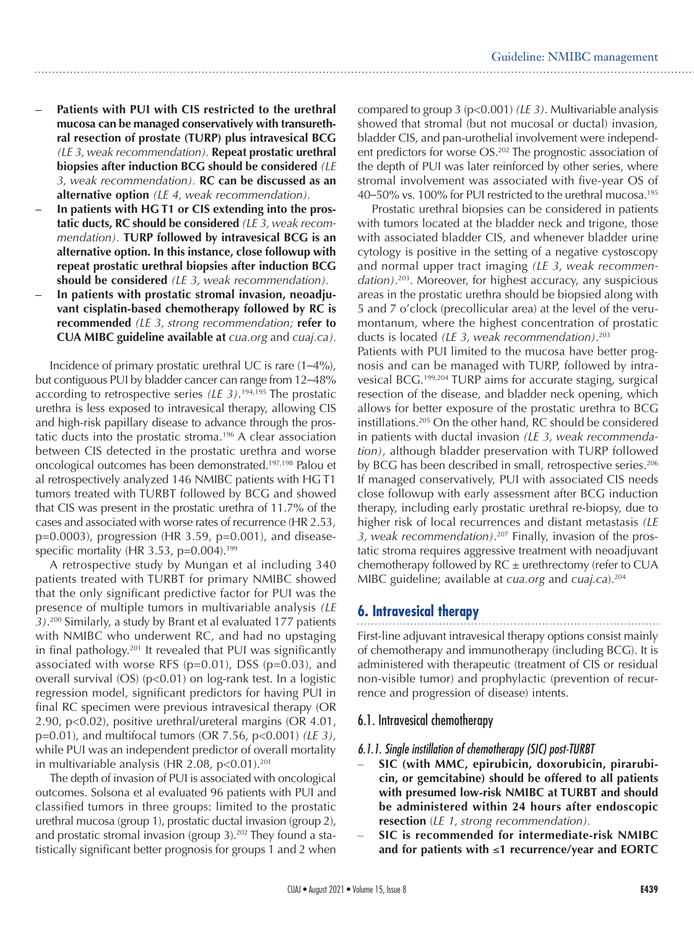- **Patients with PUI with CIS restricted to the urethral mucosa can be managed conservatively with transurethral resection of prostate (TURP) plus intravesical BCG** *(LE 3, weak recommendation).* **Repeat prostatic urethral biopsies after induction BCG should be considered** *(LE 3, weak recommendation).* **RC can be discussed as an alternative option** *(LE 4, weak recommendation).*
- In patients with HGT1 or CIS extending into the pros**tatic ducts, RC should be considered** *(LE 3, weak recommendation).* **TURP followed by intravesical BCG is an alternative option. In this instance, close followup with repeat prostatic urethral biopsies after induction BCG should be considered** *(LE 3, weak recommendation).*
- In patients with prostatic stromal invasion, neoadju**vant cisplatin-based chemotherapy followed by RC is recommended** *(LE 3, strong recommendation;* **refer to CUA MIBC guideline available at** *cua.org* and *cuaj.ca).*

Incidence of primary prostatic urethral UC is rare (1–4%), but contiguous PUI by bladder cancer can range from 12–48% according to retrospective series *(LE 3)*. 194,195 The prostatic urethra is less exposed to intravesical therapy, allowing CIS and high-risk papillary disease to advance through the prostatic ducts into the prostatic stroma.196 A clear association between CIS detected in the prostatic urethra and worse oncological outcomes has been demonstrated.197,198 Palou et al retrospectively analyzed 146 NMIBC patients with HG T1 tumors treated with TURBT followed by BCG and showed that CIS was present in the prostatic urethra of 11.7% of the cases and associated with worse rates of recurrence (HR 2.53, p=0.0003), progression (HR 3.59, p=0.001), and diseasespecific mortality (HR 3.53, p= $0.004$ ).<sup>199</sup>

A retrospective study by Mungan et al including 340 patients treated with TURBT for primary NMIBC showed that the only significant predictive factor for PUI was the presence of multiple tumors in multivariable analysis *(LE 3)*. 200 Similarly, a study by Brant et al evaluated 177 patients with NMIBC who underwent RC, and had no upstaging in final pathology.201 It revealed that PUI was significantly associated with worse RFS  $(p=0.01)$ , DSS  $(p=0.03)$ , and overall survival (OS) (p<0.01) on log-rank test. In a logistic regression model, significant predictors for having PUI in final RC specimen were previous intravesical therapy (OR 2.90, p<0.02), positive urethral/ureteral margins (OR 4.01, p=0.01), and multifocal tumors (OR 7.56, p<0.001) *(LE 3)*, while PUI was an independent predictor of overall mortality in multivariable analysis (HR 2.08,  $p < 0.01$ ).<sup>201</sup>

The depth of invasion of PUI is associated with oncological outcomes. Solsona et al evaluated 96 patients with PUI and classified tumors in three groups: limited to the prostatic urethral mucosa (group 1), prostatic ductal invasion (group 2), and prostatic stromal invasion (group  $3$ ).<sup>202</sup> They found a statistically significant better prognosis for groups 1 and 2 when

compared to group 3 (p<0.001) *(LE 3)*. Multivariable analysis showed that stromal (but not mucosal or ductal) invasion, bladder CIS, and pan-urothelial involvement were independent predictors for worse OS.<sup>202</sup> The prognostic association of the depth of PUI was later reinforced by other series, where stromal involvement was associated with five-year OS of 40–50% vs. 100% for PUI restricted to the urethral mucosa.195

Prostatic urethral biopsies can be considered in patients with tumors located at the bladder neck and trigone, those with associated bladder CIS, and whenever bladder urine cytology is positive in the setting of a negative cystoscopy and normal upper tract imaging *(LE 3, weak recommendation)*. 203. Moreover, for highest accuracy, any suspicious areas in the prostatic urethra should be biopsied along with 5 and 7 o'clock (precollicular area) at the level of the verumontanum, where the highest concentration of prostatic ducts is located *(LE 3, weak recommendation)*. 203

Patients with PUI limited to the mucosa have better prognosis and can be managed with TURP, followed by intravesical BCG.199,204 TURP aims for accurate staging, surgical resection of the disease, and bladder neck opening, which allows for better exposure of the prostatic urethra to BCG instillations.205 On the other hand, RC should be considered in patients with ductal invasion *(LE 3, weak recommendation)*, although bladder preservation with TURP followed by BCG has been described in small, retrospective series.<sup>206</sup> If managed conservatively, PUI with associated CIS needs close followup with early assessment after BCG induction therapy, including early prostatic urethral re-biopsy, due to higher risk of local recurrences and distant metastasis *(LE 3, weak recommendation)*. 207 Finally, invasion of the prostatic stroma requires aggressive treatment with neoadjuvant chemotherapy followed by  $RC \pm$  urethrectomy (refer to CUA MIBC guideline; available at *cua.org* and *cuaj.ca*).204

# **6. Intravesical therapy**

First-line adjuvant intravesical therapy options consist mainly of chemotherapy and immunotherapy (including BCG). It is administered with therapeutic (treatment of CIS or residual non-visible tumor) and prophylactic (prevention of recurrence and progression of disease) intents.

# 6.1. Intravesical chemotherapy

#### *6.1.1. Single instillation of chemotherapy (SIC) post-TURBT*

- SIC (with MMC, epirubicin, doxorubicin, pirarubi**cin, or gemcitabine) should be offered to all patients with presumed low-risk NMIBC at TURBT and should be administered within 24 hours after endoscopic resection** (*LE 1, strong recommendation).*
- **SIC** is recommended for intermediate-risk NMIBC **and for patients with** ≤**1 recurrence/year and EORTC**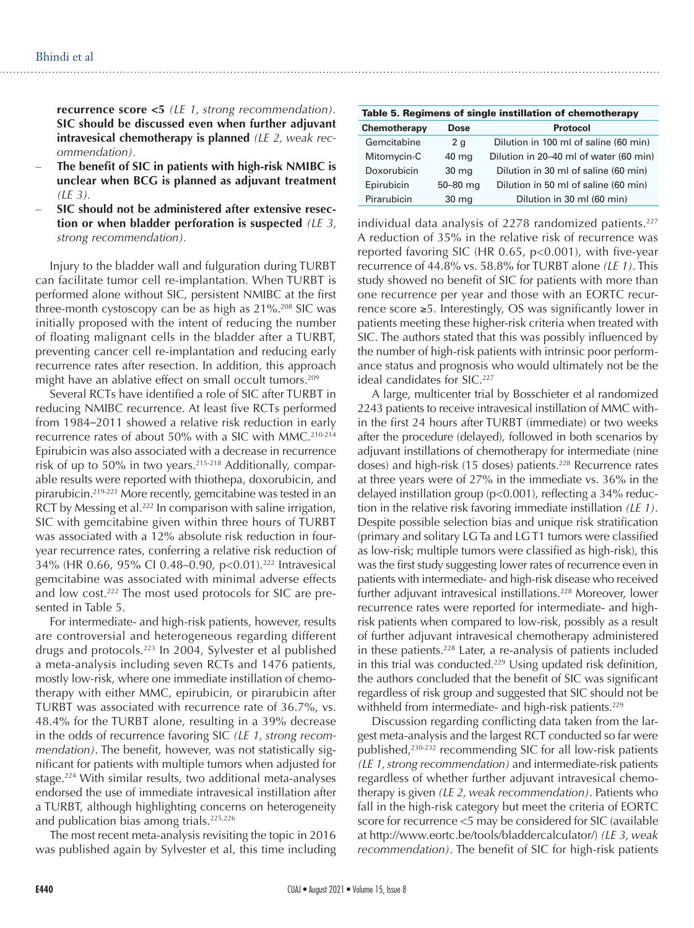**recurrence score <5** *(LE 1, strong recommendation).* **SIC should be discussed even when further adjuvant intravesical chemotherapy is planned** *(LE 2, weak recommendation).*

- The benefit of SIC in patients with high-risk NMIBC is **unclear when BCG is planned as adjuvant treatment** *(LE 3).*
- SIC should not be administered after extensive resec**tion or when bladder perforation is suspected** *(LE 3, strong recommendation).*

Injury to the bladder wall and fulguration during TURBT can facilitate tumor cell re-implantation. When TURBT is performed alone without SIC, persistent NMIBC at the first three-month cystoscopy can be as high as  $21\%$ <sup>208</sup> SIC was initially proposed with the intent of reducing the number of floating malignant cells in the bladder after a TURBT, preventing cancer cell re-implantation and reducing early recurrence rates after resection. In addition, this approach might have an ablative effect on small occult tumors.<sup>209</sup>

Several RCTs have identified a role of SIC after TURBT in reducing NMIBC recurrence. At least five RCTs performed from 1984–2011 showed a relative risk reduction in early recurrence rates of about 50% with a SIC with MMC.<sup>210-214</sup> Epirubicin was also associated with a decrease in recurrence risk of up to 50% in two years.<sup>215-218</sup> Additionally, comparable results were reported with thiothepa, doxorubicin, and pirarubicin.219-221 More recently, gemcitabine was tested in an RCT by Messing et al.<sup>222</sup> In comparison with saline irrigation, SIC with gemcitabine given within three hours of TURBT was associated with a 12% absolute risk reduction in fouryear recurrence rates, conferring a relative risk reduction of 34% (HR 0.66, 95% CI 0.48-0.90, p<0.01).<sup>222</sup> Intravesical gemcitabine was associated with minimal adverse effects and low cost.<sup>222</sup> The most used protocols for SIC are presented in Table 5.

For intermediate- and high-risk patients, however, results are controversial and heterogeneous regarding different drugs and protocols.223 In 2004, Sylvester et al published a meta-analysis including seven RCTs and 1476 patients, mostly low-risk, where one immediate instillation of chemotherapy with either MMC, epirubicin, or pirarubicin after TURBT was associated with recurrence rate of 36.7%, vs. 48.4% for the TURBT alone, resulting in a 39% decrease in the odds of recurrence favoring SIC *(LE 1, strong recommendation)*. The benefit, however, was not statistically significant for patients with multiple tumors when adjusted for stage.224 With similar results, two additional meta-analyses endorsed the use of immediate intravesical instillation after a TURBT, although highlighting concerns on heterogeneity and publication bias among trials.225,226

The most recent meta-analysis revisiting the topic in 2016 was published again by Sylvester et al, this time including

Table 5. Regimens of single instillation of chemotherapy **Chemotherapy Dose Protocol** Gemcitabine 2 g Dilution in 100 ml of saline (60 min) Mitomycin-C 40 mg Dilution in 20–40 ml of water (60 min) Doxorubicin 30 mg Dilution in 30 ml of saline (60 min) Epirubicin 50–80 mg Dilution in 50 ml of saline (60 min) Pirarubicin 30 mg Dilution in 30 ml (60 min)

individual data analysis of 2278 randomized patients.<sup>227</sup> A reduction of 35% in the relative risk of recurrence was reported favoring SIC (HR 0.65, p<0.001), with five-year recurrence of 44.8% vs. 58.8% for TURBT alone *(LE 1)*. This study showed no benefit of SIC for patients with more than one recurrence per year and those with an EORTC recurrence score ≥5. Interestingly, OS was significantly lower in patients meeting these higher-risk criteria when treated with SIC. The authors stated that this was possibly influenced by the number of high-risk patients with intrinsic poor performance status and prognosis who would ultimately not be the ideal candidates for SIC.<sup>227</sup>

A large, multicenter trial by Bosschieter et al randomized 2243 patients to receive intravesical instillation of MMC within the first 24 hours after TURBT (immediate) or two weeks after the procedure (delayed), followed in both scenarios by adjuvant instillations of chemotherapy for intermediate (nine doses) and high-risk (15 doses) patients.<sup>228</sup> Recurrence rates at three years were of 27% in the immediate vs. 36% in the delayed instillation group (p<0.001), reflecting a 34% reduction in the relative risk favoring immediate instillation *(LE 1)*. Despite possible selection bias and unique risk stratification (primary and solitary LG Ta and LG T1 tumors were classified as low-risk; multiple tumors were classified as high-risk), this was the first study suggesting lower rates of recurrence even in patients with intermediate- and high-risk disease who received further adjuvant intravesical instillations.<sup>228</sup> Moreover, lower recurrence rates were reported for intermediate- and highrisk patients when compared to low-risk, possibly as a result of further adjuvant intravesical chemotherapy administered in these patients.228 Later, a re-analysis of patients included in this trial was conducted.<sup>229</sup> Using updated risk definition, the authors concluded that the benefit of SIC was significant regardless of risk group and suggested that SIC should not be withheld from intermediate- and high-risk patients.<sup>229</sup>

Discussion regarding conflicting data taken from the largest meta-analysis and the largest RCT conducted so far were published,<sup>230-232</sup> recommending SIC for all low-risk patients *(LE 1, strong recommendation)* and intermediate-risk patients regardless of whether further adjuvant intravesical chemotherapy is given *(LE 2, weak recommendation)*. Patients who fall in the high-risk category but meet the criteria of EORTC score for recurrence <5 may be considered for SIC (available at http://www.eortc.be/tools/bladdercalculator/) *(LE 3, weak recommendation)*. The benefit of SIC for high-risk patients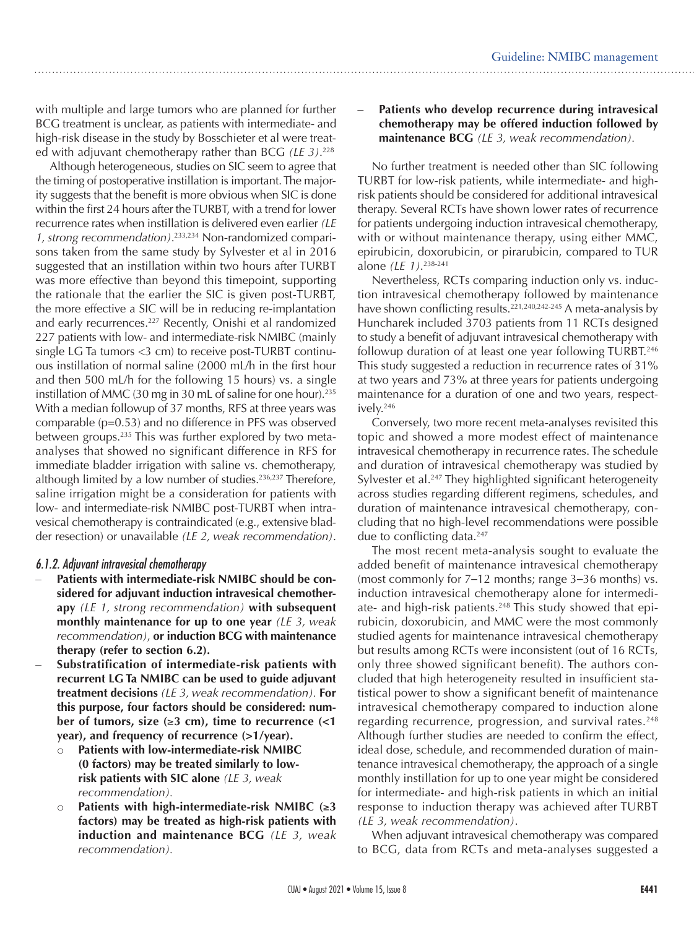with multiple and large tumors who are planned for further BCG treatment is unclear, as patients with intermediate- and high-risk disease in the study by Bosschieter et al were treated with adjuvant chemotherapy rather than BCG *(LE 3)*. 228

Although heterogeneous, studies on SIC seem to agree that the timing of postoperative instillation is important. The majority suggests that the benefit is more obvious when SIC is done within the first 24 hours after the TURBT, with a trend for lower recurrence rates when instillation is delivered even earlier *(LE 1, strong recommendation)*. 233,234 Non-randomized comparisons taken from the same study by Sylvester et al in 2016 suggested that an instillation within two hours after TURBT was more effective than beyond this timepoint, supporting the rationale that the earlier the SIC is given post-TURBT, the more effective a SIC will be in reducing re-implantation and early recurrences.<sup>227</sup> Recently, Onishi et al randomized 227 patients with low- and intermediate-risk NMIBC (mainly single LG Ta tumors <3 cm) to receive post-TURBT continuous instillation of normal saline (2000 mL/h in the first hour and then 500 mL/h for the following 15 hours) vs. a single instillation of MMC (30 mg in 30 mL of saline for one hour).<sup>235</sup> With a median followup of 37 months, RFS at three years was comparable (p=0.53) and no difference in PFS was observed between groups.235 This was further explored by two metaanalyses that showed no significant difference in RFS for immediate bladder irrigation with saline vs. chemotherapy, although limited by a low number of studies.<sup>236,237</sup> Therefore, saline irrigation might be a consideration for patients with low- and intermediate-risk NMIBC post-TURBT when intravesical chemotherapy is contraindicated (e.g., extensive bladder resection) or unavailable *(LE 2, weak recommendation)*.

#### *6.1.2. Adjuvant intravesical chemotherapy*

- Patients with intermediate-risk NMIBC should be con**sidered for adjuvant induction intravesical chemotherapy** *(LE 1, strong recommendation)* **with subsequent monthly maintenance for up to one year** *(LE 3, weak recommendation)*, **or induction BCG with maintenance therapy (refer to section 6.2).**
- Substratification of intermediate-risk patients with **recurrent LG Ta NMIBC can be used to guide adjuvant treatment decisions** *(LE 3, weak recommendation).* **For this purpose, four factors should be considered: number of tumors, size (**≥**3 cm), time to recurrence (<1 year), and frequency of recurrence (>1/year).**
	- o **Patients with low-intermediate-risk NMIBC (0 factors) may be treated similarly to lowrisk patients with SIC alone** *(LE 3, weak recommendation).*
	- Patients with high-intermediate-risk NMIBC  $(\geq 3)$ **factors) may be treated as high-risk patients with induction and maintenance BCG** *(LE 3, weak recommendation).*

#### Patients who develop recurrence during intravesical **chemotherapy may be offered induction followed by maintenance BCG** *(LE 3, weak recommendation).*

No further treatment is needed other than SIC following TURBT for low-risk patients, while intermediate- and highrisk patients should be considered for additional intravesical therapy. Several RCTs have shown lower rates of recurrence for patients undergoing induction intravesical chemotherapy, with or without maintenance therapy, using either MMC, epirubicin, doxorubicin, or pirarubicin, compared to TUR alone *(LE 1)*. 238-241

Nevertheless, RCTs comparing induction only vs. induction intravesical chemotherapy followed by maintenance have shown conflicting results.<sup>221,240,242-245</sup> A meta-analysis by Huncharek included 3703 patients from 11 RCTs designed to study a benefit of adjuvant intravesical chemotherapy with followup duration of at least one year following TURBT.<sup>246</sup> This study suggested a reduction in recurrence rates of 31% at two years and 73% at three years for patients undergoing maintenance for a duration of one and two years, respectively.246

Conversely, two more recent meta-analyses revisited this topic and showed a more modest effect of maintenance intravesical chemotherapy in recurrence rates. The schedule and duration of intravesical chemotherapy was studied by Sylvester et al.<sup>247</sup> They highlighted significant heterogeneity across studies regarding different regimens, schedules, and duration of maintenance intravesical chemotherapy, concluding that no high-level recommendations were possible due to conflicting data.<sup>247</sup>

The most recent meta-analysis sought to evaluate the added benefit of maintenance intravesical chemotherapy (most commonly for 7–12 months; range 3–36 months) vs. induction intravesical chemotherapy alone for intermediate- and high-risk patients.<sup>248</sup> This study showed that epirubicin, doxorubicin, and MMC were the most commonly studied agents for maintenance intravesical chemotherapy but results among RCTs were inconsistent (out of 16 RCTs, only three showed significant benefit). The authors concluded that high heterogeneity resulted in insufficient statistical power to show a significant benefit of maintenance intravesical chemotherapy compared to induction alone regarding recurrence, progression, and survival rates.<sup>248</sup> Although further studies are needed to confirm the effect, ideal dose, schedule, and recommended duration of maintenance intravesical chemotherapy, the approach of a single monthly instillation for up to one year might be considered for intermediate- and high-risk patients in which an initial response to induction therapy was achieved after TURBT *(LE 3, weak recommendation)*.

When adjuvant intravesical chemotherapy was compared to BCG, data from RCTs and meta-analyses suggested a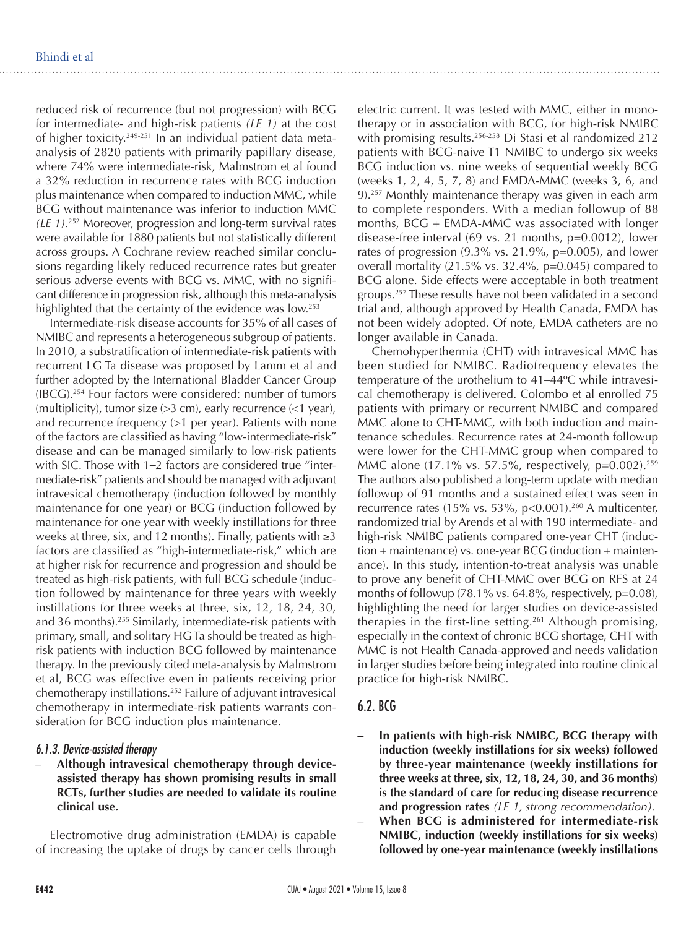reduced risk of recurrence (but not progression) with BCG for intermediate- and high-risk patients *(LE 1)* at the cost of higher toxicity.249-251 In an individual patient data metaanalysis of 2820 patients with primarily papillary disease, where 74% were intermediate-risk, Malmstrom et al found a 32% reduction in recurrence rates with BCG induction plus maintenance when compared to induction MMC, while BCG without maintenance was inferior to induction MMC *(LE 1)*. 252 Moreover, progression and long-term survival rates were available for 1880 patients but not statistically different across groups. A Cochrane review reached similar conclusions regarding likely reduced recurrence rates but greater serious adverse events with BCG vs. MMC, with no significant difference in progression risk, although this meta-analysis highlighted that the certainty of the evidence was low.<sup>253</sup>

Intermediate-risk disease accounts for 35% of all cases of NMIBC and represents a heterogeneous subgroup of patients. In 2010, a substratification of intermediate-risk patients with recurrent LG Ta disease was proposed by Lamm et al and further adopted by the International Bladder Cancer Group (IBCG).254 Four factors were considered: number of tumors (multiplicity), tumor size  $(>3$  cm), early recurrence  $(<1$  year), and recurrence frequency (>1 per year). Patients with none of the factors are classified as having "low-intermediate-risk" disease and can be managed similarly to low-risk patients with SIC. Those with 1–2 factors are considered true "intermediate-risk" patients and should be managed with adjuvant intravesical chemotherapy (induction followed by monthly maintenance for one year) or BCG (induction followed by maintenance for one year with weekly instillations for three weeks at three, six, and 12 months). Finally, patients with ≥3 factors are classified as "high-intermediate-risk," which are at higher risk for recurrence and progression and should be treated as high-risk patients, with full BCG schedule (induction followed by maintenance for three years with weekly instillations for three weeks at three, six, 12, 18, 24, 30, and 36 months).<sup>255</sup> Similarly, intermediate-risk patients with primary, small, and solitary HG Ta should be treated as highrisk patients with induction BCG followed by maintenance therapy. In the previously cited meta-analysis by Malmstrom et al, BCG was effective even in patients receiving prior chemotherapy instillations.252 Failure of adjuvant intravesical chemotherapy in intermediate-risk patients warrants consideration for BCG induction plus maintenance.

#### *6.1.3. Device-assisted therapy*

Although intravesical chemotherapy through device**assisted therapy has shown promising results in small RCTs, further studies are needed to validate its routine clinical use.**

Electromotive drug administration (EMDA) is capable of increasing the uptake of drugs by cancer cells through

electric current. It was tested with MMC, either in monotherapy or in association with BCG, for high-risk NMIBC with promising results.<sup>256-258</sup> Di Stasi et al randomized 212 patients with BCG-naive T1 NMIBC to undergo six weeks BCG induction vs. nine weeks of sequential weekly BCG (weeks 1, 2, 4, 5, 7, 8) and EMDA-MMC (weeks 3, 6, and 9).257 Monthly maintenance therapy was given in each arm to complete responders. With a median followup of 88 months, BCG + EMDA-MMC was associated with longer disease-free interval (69 vs. 21 months, p=0.0012), lower rates of progression  $(9.3\% \text{ vs. } 21.9\%, \text{ p} = 0.005)$ , and lower overall mortality (21.5% vs. 32.4%, p=0.045) compared to BCG alone. Side effects were acceptable in both treatment groups.257 These results have not been validated in a second trial and, although approved by Health Canada, EMDA has not been widely adopted. Of note, EMDA catheters are no longer available in Canada.

Chemohyperthermia (CHT) with intravesical MMC has been studied for NMIBC. Radiofrequency elevates the temperature of the urothelium to 41–44ºC while intravesical chemotherapy is delivered. Colombo et al enrolled 75 patients with primary or recurrent NMIBC and compared MMC alone to CHT-MMC, with both induction and maintenance schedules. Recurrence rates at 24-month followup were lower for the CHT-MMC group when compared to MMC alone (17.1% vs. 57.5%, respectively, p=0.002).<sup>259</sup> The authors also published a long-term update with median followup of 91 months and a sustained effect was seen in recurrence rates (15% vs. 53%, p<0.001).<sup>260</sup> A multicenter, randomized trial by Arends et al with 190 intermediate- and high-risk NMIBC patients compared one-year CHT (induction + maintenance) vs. one-year BCG (induction + maintenance). In this study, intention-to-treat analysis was unable to prove any benefit of CHT-MMC over BCG on RFS at 24 months of followup (78.1% vs. 64.8%, respectively, p=0.08), highlighting the need for larger studies on device-assisted therapies in the first-line setting.<sup>261</sup> Although promising, especially in the context of chronic BCG shortage, CHT with MMC is not Health Canada-approved and needs validation in larger studies before being integrated into routine clinical practice for high-risk NMIBC.

#### 6.2. BCG

- In patients with high-risk NMIBC, BCG therapy with **induction (weekly instillations for six weeks) followed by three-year maintenance (weekly instillations for three weeks at three, six, 12, 18, 24, 30, and 36 months) is the standard of care for reducing disease recurrence and progression rates** *(LE 1, strong recommendation).*
- **– When BCG is administered for intermediate-risk NMIBC, induction (weekly instillations for six weeks) followed by one-year maintenance (weekly instillations**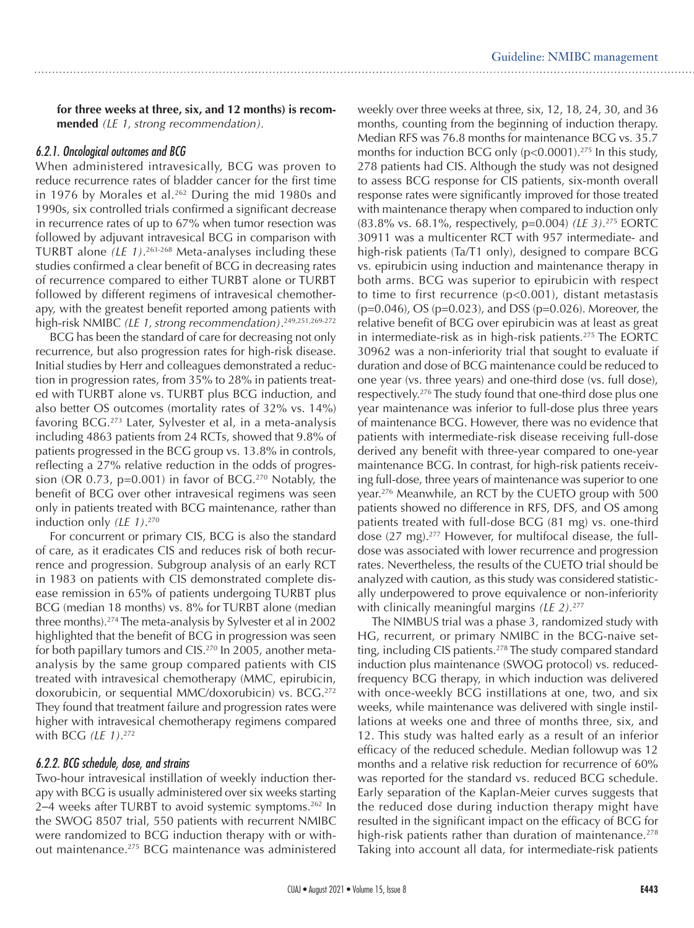**for three weeks at three, six, and 12 months) is recommended** *(LE 1, strong recommendation).*

#### *6.2.1. Oncological outcomes and BCG*

When administered intravesically, BCG was proven to reduce recurrence rates of bladder cancer for the first time in 1976 by Morales et al.<sup>262</sup> During the mid 1980s and 1990s, six controlled trials confirmed a significant decrease in recurrence rates of up to 67% when tumor resection was followed by adjuvant intravesical BCG in comparison with TURBT alone *(LE 1)*. 263-268 Meta-analyses including these studies confirmed a clear benefit of BCG in decreasing rates of recurrence compared to either TURBT alone or TURBT followed by different regimens of intravesical chemotherapy, with the greatest benefit reported among patients with high-risk NMIBC *(LE 1, strong recommendation)*. 249,251,269-272

BCG has been the standard of care for decreasing not only recurrence, but also progression rates for high-risk disease. Initial studies by Herr and colleagues demonstrated a reduction in progression rates, from 35% to 28% in patients treated with TURBT alone vs. TURBT plus BCG induction, and also better OS outcomes (mortality rates of 32% vs. 14%) favoring BCG.273 Later, Sylvester et al, in a meta-analysis including 4863 patients from 24 RCTs, showed that 9.8% of patients progressed in the BCG group vs. 13.8% in controls, reflecting a 27% relative reduction in the odds of progression (OR 0.73,  $p=0.001$ ) in favor of BCG.<sup>270</sup> Notably, the benefit of BCG over other intravesical regimens was seen only in patients treated with BCG maintenance, rather than induction only *(LE 1)*. 270

For concurrent or primary CIS, BCG is also the standard of care, as it eradicates CIS and reduces risk of both recurrence and progression. Subgroup analysis of an early RCT in 1983 on patients with CIS demonstrated complete disease remission in 65% of patients undergoing TURBT plus BCG (median 18 months) vs. 8% for TURBT alone (median three months).274 The meta-analysis by Sylvester et al in 2002 highlighted that the benefit of BCG in progression was seen for both papillary tumors and CIS.<sup>270</sup> In 2005, another metaanalysis by the same group compared patients with CIS treated with intravesical chemotherapy (MMC, epirubicin, doxorubicin, or sequential MMC/doxorubicin) vs. BCG.<sup>272</sup> They found that treatment failure and progression rates were higher with intravesical chemotherapy regimens compared with BCG *(LE 1)*. 272

#### *6.2.2. BCG schedule, dose, and strains*

Two-hour intravesical instillation of weekly induction therapy with BCG is usually administered over six weeks starting 2–4 weeks after TURBT to avoid systemic symptoms.<sup>262</sup> In the SWOG 8507 trial, 550 patients with recurrent NMIBC were randomized to BCG induction therapy with or without maintenance.275 BCG maintenance was administered

weekly over three weeks at three, six, 12, 18, 24, 30, and 36 months, counting from the beginning of induction therapy. Median RFS was 76.8 months for maintenance BCG vs. 35.7 months for induction BCG only  $(p<0.0001)$ .<sup>275</sup> In this study, 278 patients had CIS. Although the study was not designed to assess BCG response for CIS patients, six-month overall response rates were significantly improved for those treated with maintenance therapy when compared to induction only (83.8% vs. 68.1%, respectively, p=0.004) *(LE 3).*275 EORTC 30911 was a multicenter RCT with 957 intermediate- and high-risk patients (Ta/T1 only), designed to compare BCG vs. epirubicin using induction and maintenance therapy in both arms. BCG was superior to epirubicin with respect to time to first recurrence (p<0.001), distant metastasis (p=0.046), OS (p=0.023), and DSS (p=0.026). Moreover, the relative benefit of BCG over epirubicin was at least as great in intermediate-risk as in high-risk patients.275 The EORTC 30962 was a non-inferiority trial that sought to evaluate if duration and dose of BCG maintenance could be reduced to one year (vs. three years) and one-third dose (vs. full dose), respectively.<sup>276</sup> The study found that one-third dose plus one year maintenance was inferior to full-dose plus three years of maintenance BCG. However, there was no evidence that patients with intermediate-risk disease receiving full-dose derived any benefit with three-year compared to one-year maintenance BCG. In contrast, for high-risk patients receiving full-dose, three years of maintenance was superior to one year.276 Meanwhile, an RCT by the CUETO group with 500 patients showed no difference in RFS, DFS, and OS among patients treated with full-dose BCG (81 mg) vs. one-third dose (27 mg).277 However, for multifocal disease, the fulldose was associated with lower recurrence and progression rates. Nevertheless, the results of the CUETO trial should be analyzed with caution, as this study was considered statistically underpowered to prove equivalence or non-inferiority with clinically meaningful margins *(LE 2).*<sup>277</sup>

The NIMBUS trial was a phase 3, randomized study with HG, recurrent, or primary NMIBC in the BCG-naive setting, including CIS patients.<sup>278</sup> The study compared standard induction plus maintenance (SWOG protocol) vs. reducedfrequency BCG therapy, in which induction was delivered with once-weekly BCG instillations at one, two, and six weeks, while maintenance was delivered with single instillations at weeks one and three of months three, six, and 12. This study was halted early as a result of an inferior efficacy of the reduced schedule. Median followup was 12 months and a relative risk reduction for recurrence of 60% was reported for the standard vs. reduced BCG schedule. Early separation of the Kaplan-Meier curves suggests that the reduced dose during induction therapy might have resulted in the significant impact on the efficacy of BCG for high-risk patients rather than duration of maintenance.<sup>278</sup> Taking into account all data, for intermediate-risk patients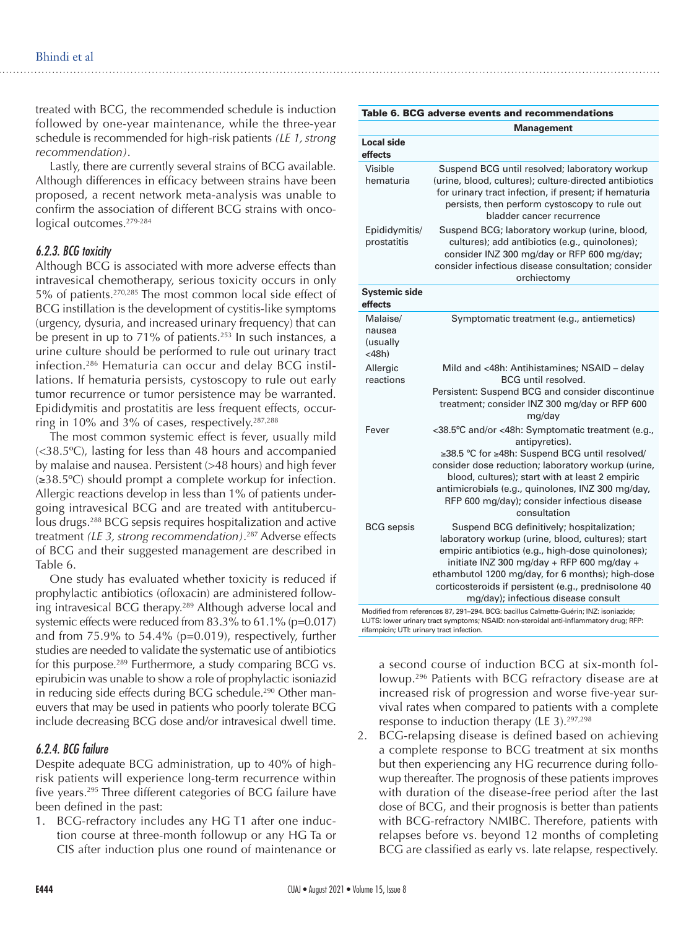treated with BCG, the recommended schedule is induction followed by one-year maintenance, while the three-year schedule is recommended for high-risk patients *(LE 1, strong recommendation)*.

Lastly, there are currently several strains of BCG available. Although differences in efficacy between strains have been proposed, a recent network meta-analysis was unable to confirm the association of different BCG strains with oncological outcomes.<sup>279-284</sup>

#### *6.2.3. BCG toxicity*

Although BCG is associated with more adverse effects than intravesical chemotherapy, serious toxicity occurs in only 5% of patients.270,285 The most common local side effect of BCG instillation is the development of cystitis-like symptoms (urgency, dysuria, and increased urinary frequency) that can be present in up to 71% of patients. $253$  In such instances, a urine culture should be performed to rule out urinary tract infection.286 Hematuria can occur and delay BCG instillations. If hematuria persists, cystoscopy to rule out early tumor recurrence or tumor persistence may be warranted. Epididymitis and prostatitis are less frequent effects, occurring in 10% and 3% of cases, respectively.287,288

The most common systemic effect is fever, usually mild (<38.5ºC), lasting for less than 48 hours and accompanied by malaise and nausea. Persistent (>48 hours) and high fever (≥38.5ºC) should prompt a complete workup for infection. Allergic reactions develop in less than 1% of patients undergoing intravesical BCG and are treated with antituberculous drugs.<sup>288</sup> BCG sepsis requires hospitalization and active treatment *(LE 3, strong recommendation)*. 287 Adverse effects of BCG and their suggested management are described in Table 6.

One study has evaluated whether toxicity is reduced if prophylactic antibiotics (ofloxacin) are administered following intravesical BCG therapy.<sup>289</sup> Although adverse local and systemic effects were reduced from 83.3% to 61.1% (p=0.017) and from 75.9% to 54.4% (p=0.019), respectively, further studies are needed to validate the systematic use of antibiotics for this purpose.<sup>289</sup> Furthermore, a study comparing BCG vs. epirubicin was unable to show a role of prophylactic isoniazid in reducing side effects during BCG schedule.<sup>290</sup> Other maneuvers that may be used in patients who poorly tolerate BCG include decreasing BCG dose and/or intravesical dwell time.

#### *6.2.4. BCG failure*

Despite adequate BCG administration, up to 40% of highrisk patients will experience long-term recurrence within five years.<sup>295</sup> Three different categories of BCG failure have been defined in the past:

1. BCG-refractory includes any HG T1 after one induction course at three-month followup or any HG Ta or CIS after induction plus one round of maintenance or

#### Table 6. BCG adverse events and recommendations

|                                            | <b>Management</b>                                                                                                                                                                                                                                                                                                                                     |
|--------------------------------------------|-------------------------------------------------------------------------------------------------------------------------------------------------------------------------------------------------------------------------------------------------------------------------------------------------------------------------------------------------------|
| <b>Local side</b><br>effects               |                                                                                                                                                                                                                                                                                                                                                       |
| Visible<br>hematuria                       | Suspend BCG until resolved; laboratory workup<br>(urine, blood, cultures); culture-directed antibiotics<br>for urinary tract infection, if present; if hematuria<br>persists, then perform cystoscopy to rule out<br>bladder cancer recurrence                                                                                                        |
| Epididymitis/<br>prostatitis               | Suspend BCG; laboratory workup (urine, blood,<br>cultures); add antibiotics (e.g., quinolones);<br>consider INZ 300 mg/day or RFP 600 mg/day;<br>consider infectious disease consultation; consider<br>orchiectomy                                                                                                                                    |
| <b>Systemic side</b><br>effects            |                                                                                                                                                                                                                                                                                                                                                       |
| Malaise/<br>nausea<br>(usually<br>$<$ 48h) | Symptomatic treatment (e.g., antiemetics)                                                                                                                                                                                                                                                                                                             |
| Allergic<br>reactions                      | Mild and <48h: Antihistamines; NSAID - delay<br>BCG until resolved.<br>Persistent: Suspend BCG and consider discontinue<br>treatment; consider INZ 300 mg/day or RFP 600<br>mg/day                                                                                                                                                                    |
| Fever                                      | <38.5°C and/or <48h: Symptomatic treatment (e.g.,<br>antipyretics).<br>≥38.5 °C for ≥48h: Suspend BCG until resolved/<br>consider dose reduction; laboratory workup (urine,<br>blood, cultures); start with at least 2 empiric<br>antimicrobials (e.g., quinolones, INZ 300 mg/day,<br>RFP 600 mg/day); consider infectious disease<br>consultation   |
| <b>BCG</b> sepsis                          | Suspend BCG definitively; hospitalization;<br>laboratory workup (urine, blood, cultures); start<br>empiric antibiotics (e.g., high-dose quinolones);<br>initiate INZ 300 mg/day + RFP 600 mg/day +<br>ethambutol 1200 mg/day, for 6 months); high-dose<br>corticosteroids if persistent (e.g., prednisolone 40<br>mg/day); infectious disease consult |
|                                            | Modified from references 87, 291-294. BCG: bacillus Calmette-Guérin; INZ: isoniazide;                                                                                                                                                                                                                                                                 |

LUTS: lower urinary tract symptoms; NSAID: non-steroidal anti-inflammatory drug; RFP: rifampicin; UTI: urinary tract infection.

a second course of induction BCG at six-month followup.296 Patients with BCG refractory disease are at increased risk of progression and worse five-year survival rates when compared to patients with a complete response to induction therapy (LE 3).<sup>297,298</sup>

2. BCG-relapsing disease is defined based on achieving a complete response to BCG treatment at six months but then experiencing any HG recurrence during followup thereafter. The prognosis of these patients improves with duration of the disease-free period after the last dose of BCG, and their prognosis is better than patients with BCG-refractory NMIBC. Therefore, patients with relapses before vs. beyond 12 months of completing BCG are classified as early vs. late relapse, respectively.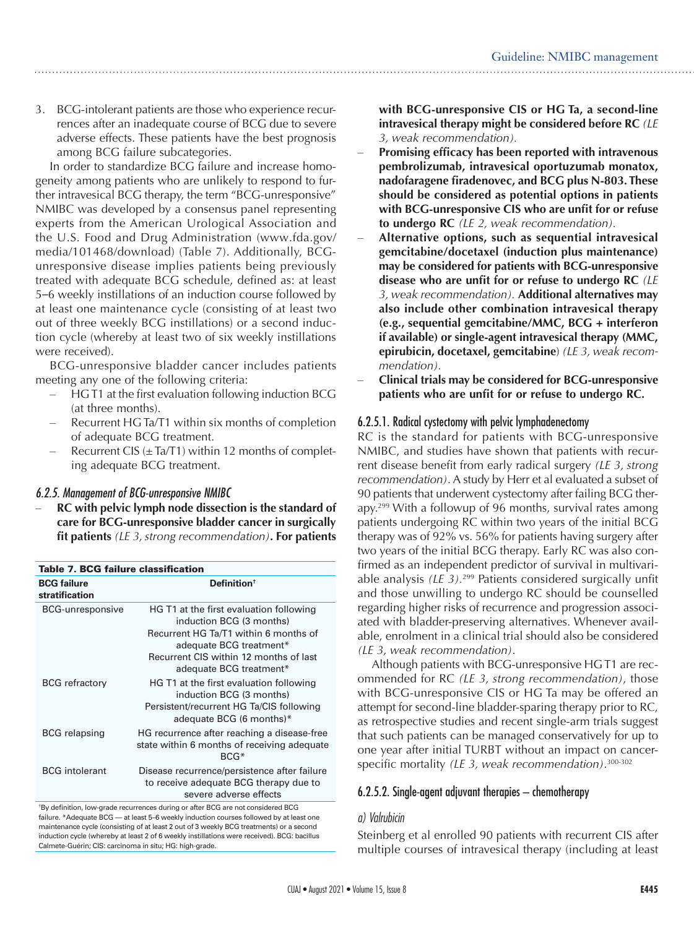3. BCG-intolerant patients are those who experience recurrences after an inadequate course of BCG due to severe adverse effects. These patients have the best prognosis among BCG failure subcategories.

In order to standardize BCG failure and increase homogeneity among patients who are unlikely to respond to further intravesical BCG therapy, the term "BCG-unresponsive" NMIBC was developed by a consensus panel representing experts from the American Urological Association and the U.S. Food and Drug Administration (www.fda.gov/ media/101468/download) (Table 7). Additionally, BCGunresponsive disease implies patients being previously treated with adequate BCG schedule, defined as: at least 5–6 weekly instillations of an induction course followed by at least one maintenance cycle (consisting of at least two out of three weekly BCG instillations) or a second induction cycle (whereby at least two of six weekly instillations were received).

BCG-unresponsive bladder cancer includes patients meeting any one of the following criteria:

- HG T1 at the first evaluation following induction BCG (at three months).
- Recurrent HG Ta/T1 within six months of completion of adequate BCG treatment.
- Recurrent CIS  $(\pm \text{Ta/T1})$  within 12 months of completing adequate BCG treatment.

#### *6.2.5. Management of BCG-unresponsive NMIBC*

RC with pelvic lymph node dissection is the standard of **care for BCG-unresponsive bladder cancer in surgically fit patients** *(LE 3, strong recommendation)***. For patients** 

| Table 7. BCG failure classification  |                                                                                                                                                                                                              |  |
|--------------------------------------|--------------------------------------------------------------------------------------------------------------------------------------------------------------------------------------------------------------|--|
| <b>BCG failure</b><br>stratification | Definition <sup>†</sup>                                                                                                                                                                                      |  |
| <b>BCG-unresponsive</b>              | HG T1 at the first evaluation following<br>induction BCG (3 months)<br>Recurrent HG Ta/T1 within 6 months of<br>adequate BCG treatment*<br>Recurrent CIS within 12 months of last<br>adequate BCG treatment* |  |
| <b>BCG</b> refractory                | HG T1 at the first evaluation following<br>induction BCG (3 months)<br>Persistent/recurrent HG Ta/CIS following<br>adequate BCG (6 months)*                                                                  |  |
| <b>BCG</b> relapsing                 | HG recurrence after reaching a disease-free<br>state within 6 months of receiving adequate<br>$BCG*$                                                                                                         |  |
| <b>BCG</b> intolerant                | Disease recurrence/persistence after failure<br>to receive adequate BCG therapy due to<br>severe adverse effects                                                                                             |  |
|                                      |                                                                                                                                                                                                              |  |

† By definition, low-grade recurrences during or after BCG are not considered BCG failure. \*Adequate BCG — at least 5–6 weekly induction courses followed by at least one maintenance cycle (consisting of at least 2 out of 3 weekly BCG treatments) or a second induction cycle (whereby at least 2 of 6 weekly instillations were received). BCG: bacillus Calmete-Guérin; CIS: carcinoma in situ; HG: high-grade.

**with BCG-unresponsive CIS or HG Ta, a second-line intravesical therapy might be considered before RC** *(LE 3, weak recommendation).*

- **Promising efficacy has been reported with intravenous pembrolizumab, intravesical oportuzumab monatox, nadofaragene firadenovec, and BCG plus N-803. These should be considered as potential options in patients with BCG-unresponsive CIS who are unfit for or refuse to undergo RC** *(LE 2, weak recommendation).*
- Alternative options, such as sequential intravesical **gemcitabine/docetaxel (induction plus maintenance) may be considered for patients with BCG-unresponsive disease who are unfit for or refuse to undergo RC** *(LE 3, weak recommendation).* **Additional alternatives may also include other combination intravesical therapy (e.g., sequential gemcitabine/MMC, BCG + interferon if available) or single-agent intravesical therapy (MMC, epirubicin, docetaxel, gemcitabine**) *(LE 3, weak recommendation).*
- **Clinical trials may be considered for BCG-unresponsive patients who are unfit for or refuse to undergo RC.**

# 6.2.5.1. Radical cystectomy with pelvic lymphadenectomy

RC is the standard for patients with BCG-unresponsive NMIBC, and studies have shown that patients with recurrent disease benefit from early radical surgery *(LE 3, strong recommendation)*. A study by Herr et al evaluated a subset of 90 patients that underwent cystectomy after failing BCG therapy.<sup>299</sup> With a followup of 96 months, survival rates among patients undergoing RC within two years of the initial BCG therapy was of 92% vs. 56% for patients having surgery after two years of the initial BCG therapy. Early RC was also confirmed as an independent predictor of survival in multivariable analysis *(LE 3).*299 Patients considered surgically unfit and those unwilling to undergo RC should be counselled regarding higher risks of recurrence and progression associated with bladder-preserving alternatives. Whenever available, enrolment in a clinical trial should also be considered *(LE 3, weak recommendation)*.

Although patients with BCG-unresponsive HG T1 are recommended for RC *(LE 3, strong recommendation)*, those with BCG-unresponsive CIS or HG Ta may be offered an attempt for second-line bladder-sparing therapy prior to RC, as retrospective studies and recent single-arm trials suggest that such patients can be managed conservatively for up to one year after initial TURBT without an impact on cancerspecific mortality *(LE 3, weak recommendation)*. 300-302

#### 6.2.5.2. Single-agent adjuvant therapies – chemotherapy

#### *a) Valrubicin*

Steinberg et al enrolled 90 patients with recurrent CIS after multiple courses of intravesical therapy (including at least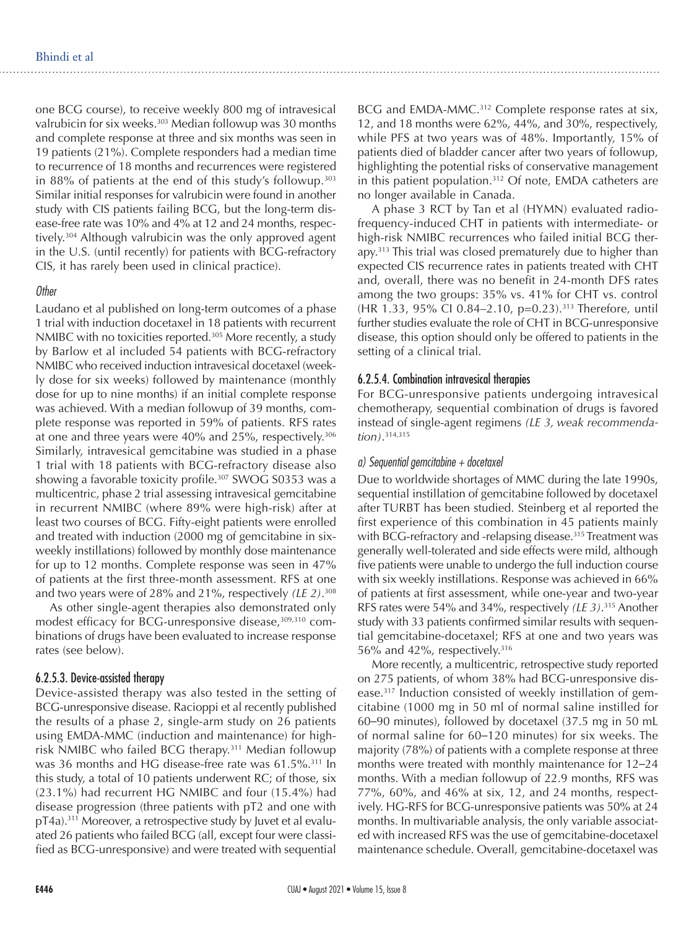one BCG course), to receive weekly 800 mg of intravesical valrubicin for six weeks.<sup>303</sup> Median followup was 30 months and complete response at three and six months was seen in 19 patients (21%). Complete responders had a median time to recurrence of 18 months and recurrences were registered in 88% of patients at the end of this study's followup.303 Similar initial responses for valrubicin were found in another study with CIS patients failing BCG, but the long-term disease-free rate was 10% and 4% at 12 and 24 months, respectively.304 Although valrubicin was the only approved agent in the U.S. (until recently) for patients with BCG-refractory CIS, it has rarely been used in clinical practice).

#### *Other*

Laudano et al published on long-term outcomes of a phase 1 trial with induction docetaxel in 18 patients with recurrent NMIBC with no toxicities reported.<sup>305</sup> More recently, a study by Barlow et al included 54 patients with BCG-refractory NMIBC who received induction intravesical docetaxel (weekly dose for six weeks) followed by maintenance (monthly dose for up to nine months) if an initial complete response was achieved. With a median followup of 39 months, complete response was reported in 59% of patients. RFS rates at one and three years were 40% and 25%, respectively.306 Similarly, intravesical gemcitabine was studied in a phase 1 trial with 18 patients with BCG-refractory disease also showing a favorable toxicity profile.<sup>307</sup> SWOG S0353 was a multicentric, phase 2 trial assessing intravesical gemcitabine in recurrent NMIBC (where 89% were high-risk) after at least two courses of BCG. Fifty-eight patients were enrolled and treated with induction (2000 mg of gemcitabine in sixweekly instillations) followed by monthly dose maintenance for up to 12 months. Complete response was seen in 47% of patients at the first three-month assessment. RFS at one and two years were of 28% and 21%, respectively *(LE 2)*. 308

As other single-agent therapies also demonstrated only modest efficacy for BCG-unresponsive disease,<sup>309,310</sup> combinations of drugs have been evaluated to increase response rates (see below).

#### 6.2.5.3. Device-assisted therapy

Device-assisted therapy was also tested in the setting of BCG-unresponsive disease. Racioppi et al recently published the results of a phase 2, single-arm study on 26 patients using EMDA-MMC (induction and maintenance) for highrisk NMIBC who failed BCG therapy.311 Median followup was 36 months and HG disease-free rate was 61.5%.<sup>311</sup> In this study, a total of 10 patients underwent RC; of those, six (23.1%) had recurrent HG NMIBC and four (15.4%) had disease progression (three patients with pT2 and one with pT4a).311 Moreover, a retrospective study by Juvet et al evaluated 26 patients who failed BCG (all, except four were classified as BCG-unresponsive) and were treated with sequential

BCG and EMDA-MMC.<sup>312</sup> Complete response rates at six, 12, and 18 months were 62%, 44%, and 30%, respectively, while PFS at two years was of 48%. Importantly, 15% of patients died of bladder cancer after two years of followup, highlighting the potential risks of conservative management in this patient population.312 Of note, EMDA catheters are no longer available in Canada.

A phase 3 RCT by Tan et al (HYMN) evaluated radiofrequency-induced CHT in patients with intermediate- or high-risk NMIBC recurrences who failed initial BCG therapy.<sup>313</sup> This trial was closed prematurely due to higher than expected CIS recurrence rates in patients treated with CHT and, overall, there was no benefit in 24-month DFS rates among the two groups: 35% vs. 41% for CHT vs. control (HR 1.33, 95% CI 0.84–2.10, p=0.23).313 Therefore, until further studies evaluate the role of CHT in BCG-unresponsive disease, this option should only be offered to patients in the setting of a clinical trial.

#### 6.2.5.4. Combination intravesical therapies

For BCG-unresponsive patients undergoing intravesical chemotherapy, sequential combination of drugs is favored instead of single-agent regimens *(LE 3, weak recommendation)*. 314,315

#### *a) Sequential gemcitabine + docetaxel*

Due to worldwide shortages of MMC during the late 1990s, sequential instillation of gemcitabine followed by docetaxel after TURBT has been studied. Steinberg et al reported the first experience of this combination in 45 patients mainly with BCG-refractory and -relapsing disease.<sup>315</sup> Treatment was generally well-tolerated and side effects were mild, although five patients were unable to undergo the full induction course with six weekly instillations. Response was achieved in 66% of patients at first assessment, while one-year and two-year RFS rates were 54% and 34%, respectively *(LE 3)*. 315 Another study with 33 patients confirmed similar results with sequential gemcitabine-docetaxel; RFS at one and two years was 56% and 42%, respectively.316

More recently, a multicentric, retrospective study reported on 275 patients, of whom 38% had BCG-unresponsive disease.317 Induction consisted of weekly instillation of gemcitabine (1000 mg in 50 ml of normal saline instilled for 60–90 minutes), followed by docetaxel (37.5 mg in 50 mL of normal saline for 60–120 minutes) for six weeks. The majority (78%) of patients with a complete response at three months were treated with monthly maintenance for 12–24 months. With a median followup of 22.9 months, RFS was 77%, 60%, and 46% at six, 12, and 24 months, respectively. HG-RFS for BCG-unresponsive patients was 50% at 24 months. In multivariable analysis, the only variable associated with increased RFS was the use of gemcitabine-docetaxel maintenance schedule. Overall, gemcitabine-docetaxel was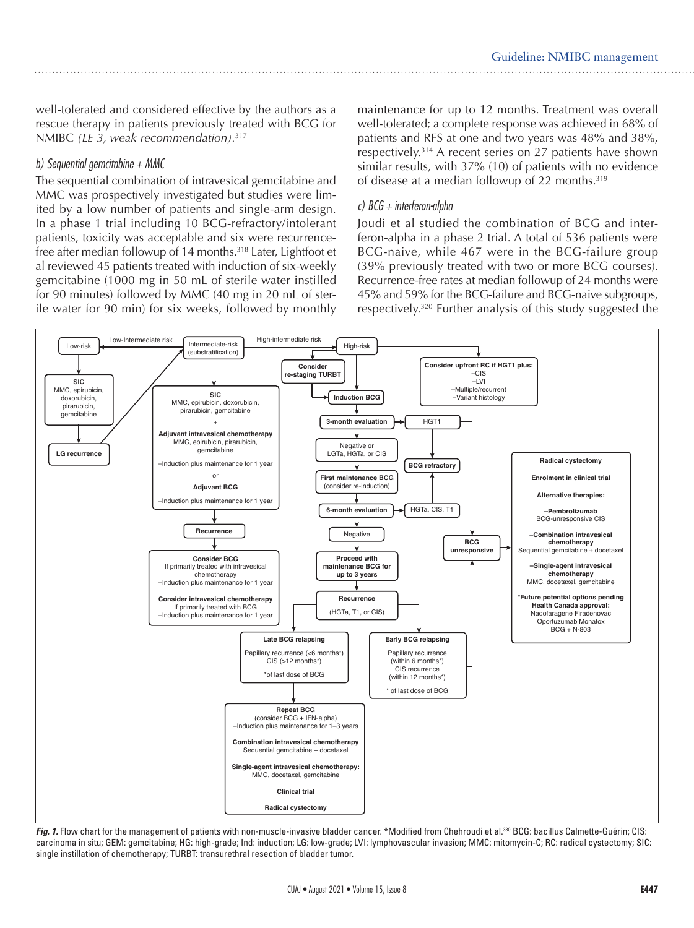well-tolerated and considered effective by the authors as a rescue therapy in patients previously treated with BCG for NMIBC *(LE 3, weak recommendation).*<sup>317</sup>

#### *b) Sequential gemcitabine + MMC*

The sequential combination of intravesical gemcitabine and MMC was prospectively investigated but studies were limited by a low number of patients and single-arm design. In a phase 1 trial including 10 BCG-refractory/intolerant patients, toxicity was acceptable and six were recurrencefree after median followup of 14 months.318 Later, Lightfoot et al reviewed 45 patients treated with induction of six-weekly gemcitabine (1000 mg in 50 mL of sterile water instilled for 90 minutes) followed by MMC (40 mg in 20 mL of sterile water for 90 min) for six weeks, followed by monthly

maintenance for up to 12 months. Treatment was overall well-tolerated; a complete response was achieved in 68% of patients and RFS at one and two years was 48% and 38%, respectively.314 A recent series on 27 patients have shown similar results, with 37% (10) of patients with no evidence of disease at a median followup of 22 months.319

#### *c) BCG + interferon-alpha*

Joudi et al studied the combination of BCG and interferon-alpha in a phase 2 trial. A total of 536 patients were BCG-naive, while 467 were in the BCG-failure group (39% previously treated with two or more BCG courses). Recurrence-free rates at median followup of 24 months were 45% and 59% for the BCG-failure and BCG-naive subgroups, respectively.320 Further analysis of this study suggested the



Fig. 1. Flow chart for the management of patients with non-muscle-invasive bladder cancer. \*Modified from Chehroudi et al.<sup>330</sup> BCG: bacillus Calmette-Guérin; CIS: carcinoma in situ; GEM: gemcitabine; HG: high-grade; Ind: induction; LG: low-grade; LVI: lymphovascular invasion; MMC: mitomycin-C; RC: radical cystectomy; SIC: single instillation of chemotherapy; TURBT: transurethral resection of bladder tumor.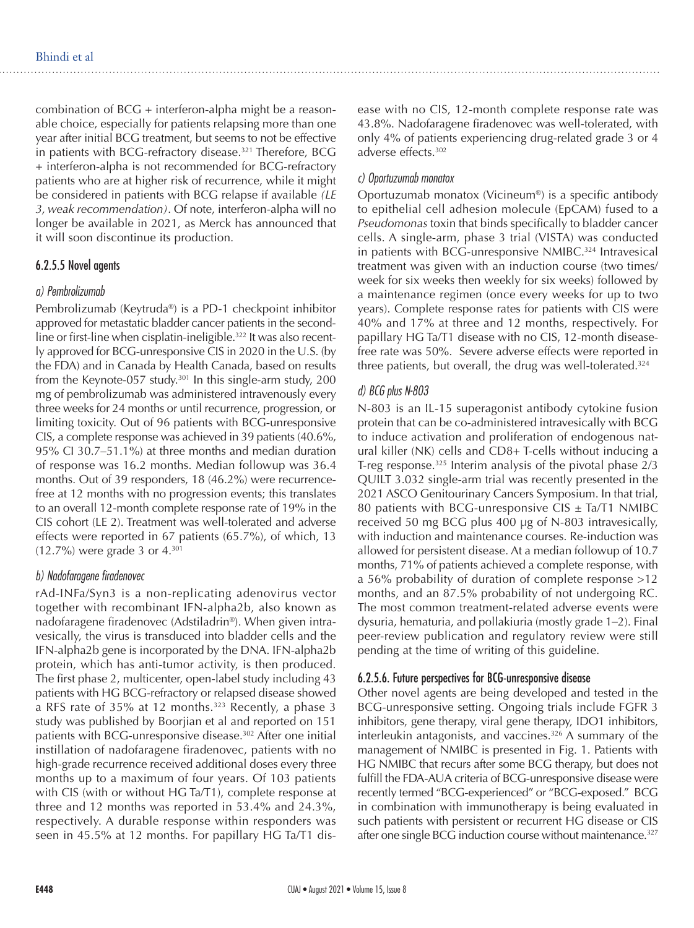combination of BCG + interferon-alpha might be a reasonable choice, especially for patients relapsing more than one year after initial BCG treatment, but seems to not be effective in patients with BCG-refractory disease.<sup>321</sup> Therefore, BCG + interferon-alpha is not recommended for BCG-refractory patients who are at higher risk of recurrence, while it might be considered in patients with BCG relapse if available *(LE 3, weak recommendation)*. Of note, interferon-alpha will no longer be available in 2021, as Merck has announced that it will soon discontinue its production.

#### 6.2.5.5 Novel agents

#### *a) Pembrolizumab*

Pembrolizumab (Keytruda®) is a PD-1 checkpoint inhibitor approved for metastatic bladder cancer patients in the secondline or first-line when cisplatin-ineligible.<sup>322</sup> It was also recently approved for BCG-unresponsive CIS in 2020 in the U.S. (by the FDA) and in Canada by Health Canada, based on results from the Keynote-057 study.<sup>301</sup> In this single-arm study, 200 mg of pembrolizumab was administered intravenously every three weeks for 24 months or until recurrence, progression, or limiting toxicity. Out of 96 patients with BCG-unresponsive CIS, a complete response was achieved in 39 patients (40.6%, 95% CI 30.7–51.1%) at three months and median duration of response was 16.2 months. Median followup was 36.4 months. Out of 39 responders, 18 (46.2%) were recurrencefree at 12 months with no progression events; this translates to an overall 12-month complete response rate of 19% in the CIS cohort (LE 2). Treatment was well-tolerated and adverse effects were reported in 67 patients (65.7%), of which, 13 (12.7%) were grade 3 or 4.301

#### *b) Nadofaragene firadenovec*

rAd-INFa/Syn3 is a non-replicating adenovirus vector together with recombinant IFN-alpha2b, also known as nadofaragene firadenovec (Adstiladrin®). When given intravesically, the virus is transduced into bladder cells and the IFN-alpha2b gene is incorporated by the DNA. IFN-alpha2b protein, which has anti-tumor activity, is then produced. The first phase 2, multicenter, open-label study including 43 patients with HG BCG-refractory or relapsed disease showed a RFS rate of 35% at 12 months.<sup>323</sup> Recently, a phase 3 study was published by Boorjian et al and reported on 151 patients with BCG-unresponsive disease.<sup>302</sup> After one initial instillation of nadofaragene firadenovec, patients with no high-grade recurrence received additional doses every three months up to a maximum of four years. Of 103 patients with CIS (with or without HG Ta/T1), complete response at three and 12 months was reported in 53.4% and 24.3%, respectively. A durable response within responders was seen in 45.5% at 12 months. For papillary HG Ta/T1 disease with no CIS, 12-month complete response rate was 43.8%. Nadofaragene firadenovec was well-tolerated, with only 4% of patients experiencing drug-related grade 3 or 4 adverse effects.302

#### *c) Oportuzumab monatox*

Oportuzumab monatox (Vicineum®) is a specific antibody to epithelial cell adhesion molecule (EpCAM) fused to a *Pseudomonas* toxin that binds specifically to bladder cancer cells. A single-arm, phase 3 trial (VISTA) was conducted in patients with BCG-unresponsive NMIBC.<sup>324</sup> Intravesical treatment was given with an induction course (two times/ week for six weeks then weekly for six weeks) followed by a maintenance regimen (once every weeks for up to two years). Complete response rates for patients with CIS were 40% and 17% at three and 12 months, respectively. For papillary HG Ta/T1 disease with no CIS, 12-month diseasefree rate was 50%. Severe adverse effects were reported in three patients, but overall, the drug was well-tolerated.324

#### *d) BCG plus N-803*

N-803 is an IL-15 superagonist antibody cytokine fusion protein that can be co-administered intravesically with BCG to induce activation and proliferation of endogenous natural killer (NK) cells and CD8+ T-cells without inducing a T-reg response. $325$  Interim analysis of the pivotal phase  $2/3$ QUILT 3.032 single-arm trial was recently presented in the 2021 ASCO Genitourinary Cancers Symposium. In that trial, 80 patients with BCG-unresponsive CIS  $\pm$  Ta/T1 NMIBC received 50 mg BCG plus 400 μg of N-803 intravesically, with induction and maintenance courses. Re-induction was allowed for persistent disease. At a median followup of 10.7 months, 71% of patients achieved a complete response, with a 56% probability of duration of complete response >12 months, and an 87.5% probability of not undergoing RC. The most common treatment-related adverse events were dysuria, hematuria, and pollakiuria (mostly grade 1–2). Final peer-review publication and regulatory review were still pending at the time of writing of this guideline.

#### 6.2.5.6. Future perspectives for BCG-unresponsive disease

Other novel agents are being developed and tested in the BCG-unresponsive setting. Ongoing trials include FGFR 3 inhibitors, gene therapy, viral gene therapy, IDO1 inhibitors, interleukin antagonists, and vaccines.326 A summary of the management of NMIBC is presented in Fig. 1. Patients with HG NMIBC that recurs after some BCG therapy, but does not fulfill the FDA-AUA criteria of BCG-unresponsive disease were recently termed "BCG-experienced" or "BCG-exposed." BCG in combination with immunotherapy is being evaluated in such patients with persistent or recurrent HG disease or CIS after one single BCG induction course without maintenance.<sup>327</sup>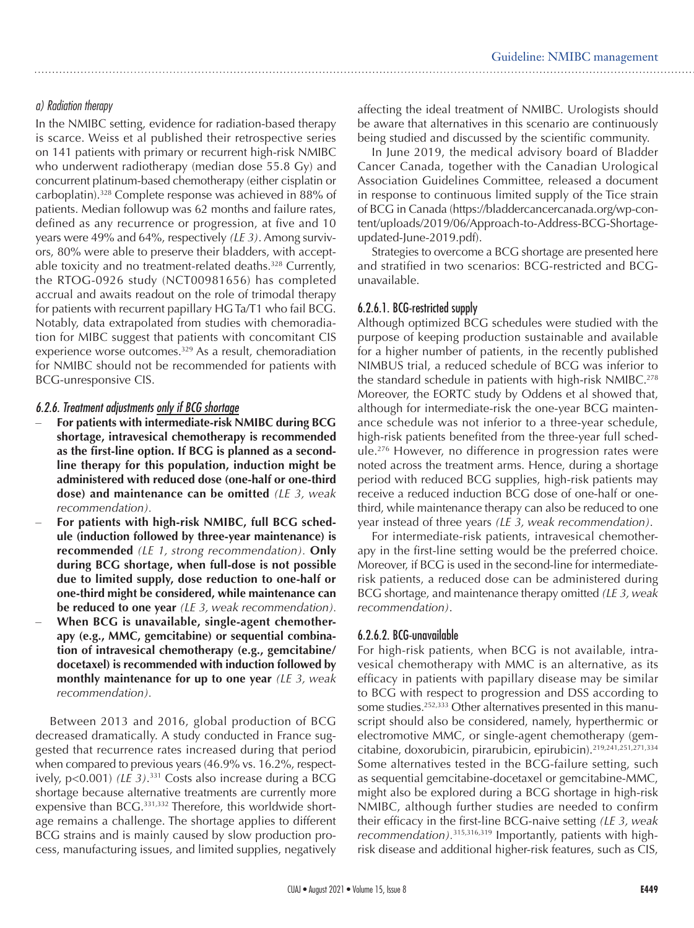### *a) Radiation therapy*

In the NMIBC setting, evidence for radiation-based therapy is scarce. Weiss et al published their retrospective series on 141 patients with primary or recurrent high-risk NMIBC who underwent radiotherapy (median dose 55.8 Gy) and concurrent platinum-based chemotherapy (either cisplatin or carboplatin).328 Complete response was achieved in 88% of patients. Median followup was 62 months and failure rates, defined as any recurrence or progression, at five and 10 years were 49% and 64%, respectively *(LE 3)*. Among survivors, 80% were able to preserve their bladders, with acceptable toxicity and no treatment-related deaths.<sup>328</sup> Currently, the RTOG-0926 study (NCT00981656) has completed accrual and awaits readout on the role of trimodal therapy for patients with recurrent papillary HG Ta/T1 who fail BCG. Notably, data extrapolated from studies with chemoradiation for MIBC suggest that patients with concomitant CIS experience worse outcomes.329 As a result, chemoradiation for NMIBC should not be recommended for patients with BCG-unresponsive CIS.

#### *6.2.6. Treatment adjustments only if BCG shortage*

- For patients with intermediate-risk NMIBC during BCG **shortage, intravesical chemotherapy is recommended as the first-line option. If BCG is planned as a secondline therapy for this population, induction might be administered with reduced dose (one-half or one-third dose) and maintenance can be omitted** *(LE 3, weak recommendation).*
- For patients with high-risk NMIBC, full BCG sched**ule (induction followed by three-year maintenance) is recommended** *(LE 1, strong recommendation).* **Only during BCG shortage, when full-dose is not possible due to limited supply, dose reduction to one-half or one-third might be considered, while maintenance can be reduced to one year** *(LE 3, weak recommendation).*
- **When BCG** is unavailable, single-agent chemother**apy (e.g., MMC, gemcitabine) or sequential combination of intravesical chemotherapy (e.g., gemcitabine/ docetaxel) is recommended with induction followed by monthly maintenance for up to one year** *(LE 3, weak recommendation).*

Between 2013 and 2016, global production of BCG decreased dramatically. A study conducted in France suggested that recurrence rates increased during that period when compared to previous years (46.9% vs. 16.2%, respectively, p<0.001) *(LE 3)*. 331 Costs also increase during a BCG shortage because alternative treatments are currently more expensive than BCG.<sup>331,332</sup> Therefore, this worldwide shortage remains a challenge. The shortage applies to different BCG strains and is mainly caused by slow production process, manufacturing issues, and limited supplies, negatively

affecting the ideal treatment of NMIBC. Urologists should be aware that alternatives in this scenario are continuously being studied and discussed by the scientific community.

In June 2019, the medical advisory board of Bladder Cancer Canada, together with the Canadian Urological Association Guidelines Committee, released a document in response to continuous limited supply of the Tice strain of BCG in Canada (https://bladdercancercanada.org/wp-content/uploads/2019/06/Approach-to-Address-BCG-Shortageupdated-June-2019.pdf).

Strategies to overcome a BCG shortage are presented here and stratified in two scenarios: BCG-restricted and BCGunavailable.

# 6.2.6.1. BCG-restricted supply

Although optimized BCG schedules were studied with the purpose of keeping production sustainable and available for a higher number of patients, in the recently published NIMBUS trial, a reduced schedule of BCG was inferior to the standard schedule in patients with high-risk  $NMIBC<sup>278</sup>$ Moreover, the EORTC study by Oddens et al showed that, although for intermediate-risk the one-year BCG maintenance schedule was not inferior to a three-year schedule, high-risk patients benefited from the three-year full schedule.276 However, no difference in progression rates were noted across the treatment arms. Hence, during a shortage period with reduced BCG supplies, high-risk patients may receive a reduced induction BCG dose of one-half or onethird, while maintenance therapy can also be reduced to one year instead of three years *(LE 3, weak recommendation)*.

For intermediate-risk patients, intravesical chemotherapy in the first-line setting would be the preferred choice. Moreover, if BCG is used in the second-line for intermediaterisk patients, a reduced dose can be administered during BCG shortage, and maintenance therapy omitted *(LE 3, weak recommendation)*.

# 6.2.6.2. BCG-unavailable

For high-risk patients, when BCG is not available, intravesical chemotherapy with MMC is an alternative, as its efficacy in patients with papillary disease may be similar to BCG with respect to progression and DSS according to some studies.252,333 Other alternatives presented in this manuscript should also be considered, namely, hyperthermic or electromotive MMC, or single-agent chemotherapy (gemcitabine, doxorubicin, pirarubicin, epirubicin).219,241,251,271,334 Some alternatives tested in the BCG-failure setting, such as sequential gemcitabine-docetaxel or gemcitabine-MMC, might also be explored during a BCG shortage in high-risk NMIBC, although further studies are needed to confirm their efficacy in the first-line BCG-naive setting *(LE 3, weak recommendation).*315,316,319 Importantly, patients with highrisk disease and additional higher-risk features, such as CIS,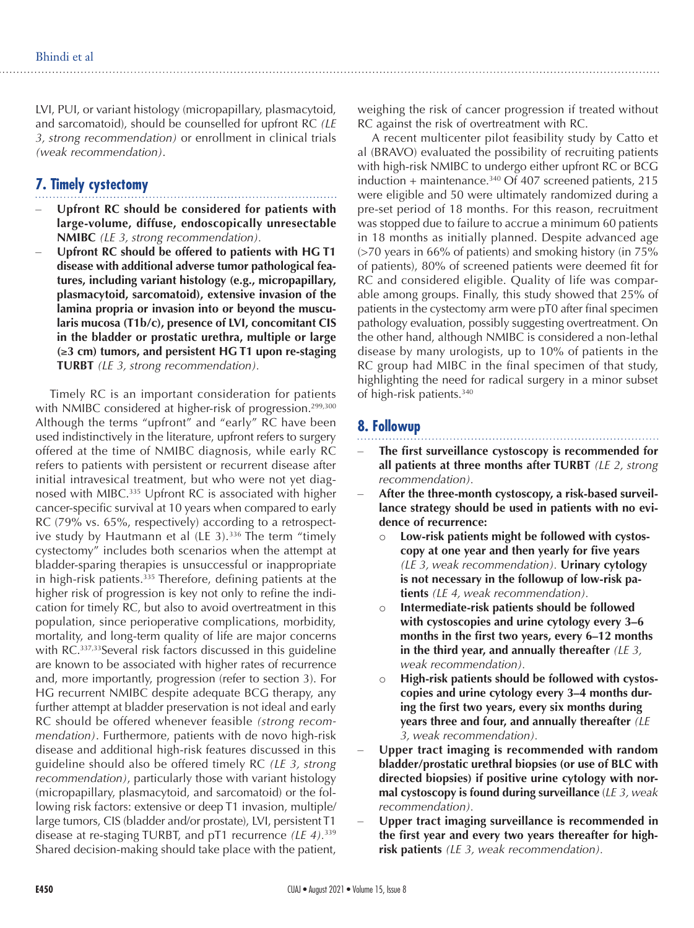LVI, PUI, or variant histology (micropapillary, plasmacytoid, and sarcomatoid), should be counselled for upfront RC *(LE 3, strong recommendation)* or enrollment in clinical trials *(weak recommendation)*.

# **7. Timely cystectomy**

- Upfront RC should be considered for patients with **large-volume, diffuse, endoscopically unresectable NMIBC** *(LE 3, strong recommendation).*
- Upfront RC should be offered to patients with HG T1 **disease with additional adverse tumor pathological features, including variant histology (e.g., micropapillary, plasmacytoid, sarcomatoid), extensive invasion of the lamina propria or invasion into or beyond the muscularis mucosa (T1b/c), presence of LVI, concomitant CIS in the bladder or prostatic urethra, multiple or large (**≥**3 cm) tumors, and persistent HG T1 upon re-staging TURBT** *(LE 3, strong recommendation).*

Timely RC is an important consideration for patients with NMIBC considered at higher-risk of progression.<sup>299,300</sup> Although the terms "upfront" and "early" RC have been used indistinctively in the literature, upfront refers to surgery offered at the time of NMIBC diagnosis, while early RC refers to patients with persistent or recurrent disease after initial intravesical treatment, but who were not yet diagnosed with MIBC.335 Upfront RC is associated with higher cancer-specific survival at 10 years when compared to early RC (79% vs. 65%, respectively) according to a retrospective study by Hautmann et al (LE 3).<sup>336</sup> The term "timely cystectomy" includes both scenarios when the attempt at bladder-sparing therapies is unsuccessful or inappropriate in high-risk patients.<sup>335</sup> Therefore, defining patients at the higher risk of progression is key not only to refine the indication for timely RC, but also to avoid overtreatment in this population, since perioperative complications, morbidity, mortality, and long-term quality of life are major concerns with RC.<sup>337,33</sup>Several risk factors discussed in this guideline are known to be associated with higher rates of recurrence and, more importantly, progression (refer to section 3). For HG recurrent NMIBC despite adequate BCG therapy, any further attempt at bladder preservation is not ideal and early RC should be offered whenever feasible *(strong recommendation)*. Furthermore, patients with de novo high-risk disease and additional high-risk features discussed in this guideline should also be offered timely RC *(LE 3, strong recommendation)*, particularly those with variant histology (micropapillary, plasmacytoid, and sarcomatoid) or the following risk factors: extensive or deep T1 invasion, multiple/ large tumors, CIS (bladder and/or prostate), LVI, persistent T1 disease at re-staging TURBT, and pT1 recurrence *(LE 4).*<sup>339</sup> Shared decision-making should take place with the patient,

weighing the risk of cancer progression if treated without RC against the risk of overtreatment with RC.

A recent multicenter pilot feasibility study by Catto et al (BRAVO) evaluated the possibility of recruiting patients with high-risk NMIBC to undergo either upfront RC or BCG induction + maintenance. $340$  Of 407 screened patients, 215 were eligible and 50 were ultimately randomized during a pre-set period of 18 months. For this reason, recruitment was stopped due to failure to accrue a minimum 60 patients in 18 months as initially planned. Despite advanced age (>70 years in 66% of patients) and smoking history (in 75% of patients), 80% of screened patients were deemed fit for RC and considered eligible. Quality of life was comparable among groups. Finally, this study showed that 25% of patients in the cystectomy arm were pT0 after final specimen pathology evaluation, possibly suggesting overtreatment. On the other hand, although NMIBC is considered a non-lethal disease by many urologists, up to 10% of patients in the RC group had MIBC in the final specimen of that study, highlighting the need for radical surgery in a minor subset of high-risk patients.340

# **8. Followup**

- The first surveillance cystoscopy is recommended for **all patients at three months after TURBT** *(LE 2, strong recommendation).*
- After the three-month cystoscopy, a risk-based surveil**lance strategy should be used in patients with no evidence of recurrence:**
	- o **Low-risk patients might be followed with cystoscopy at one year and then yearly for five years**  *(LE 3, weak recommendation).* **Urinary cytology is not necessary in the followup of low-risk patients** *(LE 4, weak recommendation).*
	- o **Intermediate-risk patients should be followed with cystoscopies and urine cytology every 3–6 months in the first two years, every 6–12 months in the third year, and annually thereafter** *(LE 3, weak recommendation).*
	- o **High-risk patients should be followed with cystoscopies and urine cytology every 3–4 months during the first two years, every six months during years three and four, and annually thereafter** *(LE 3, weak recommendation).*
- Upper tract imaging is recommended with random **bladder/prostatic urethral biopsies (or use of BLC with directed biopsies) if positive urine cytology with normal cystoscopy is found during surveillance** (*LE 3, weak recommendation).*
- Upper tract imaging surveillance is recommended in **the first year and every two years thereafter for highrisk patients** *(LE 3, weak recommendation).*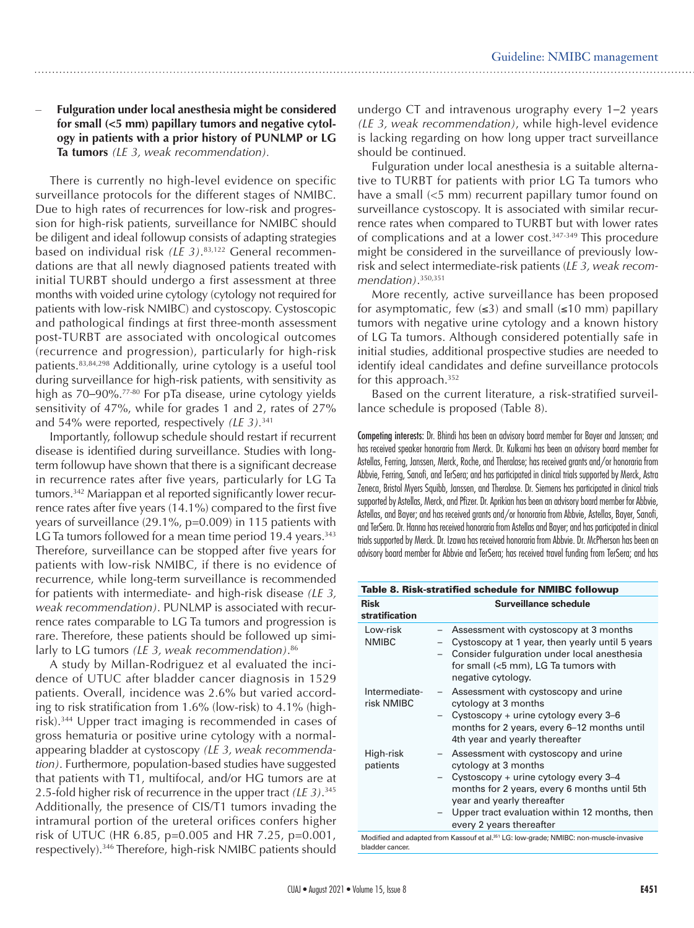#### **Fulguration under local anesthesia might be considered for small (<5 mm) papillary tumors and negative cytology in patients with a prior history of PUNLMP or LG Ta tumors** *(LE 3, weak recommendation).*

There is currently no high-level evidence on specific surveillance protocols for the different stages of NMIBC. Due to high rates of recurrences for low-risk and progression for high-risk patients, surveillance for NMIBC should be diligent and ideal followup consists of adapting strategies based on individual risk *(LE 3)*. 83,122 General recommendations are that all newly diagnosed patients treated with initial TURBT should undergo a first assessment at three months with voided urine cytology (cytology not required for patients with low-risk NMIBC) and cystoscopy. Cystoscopic and pathological findings at first three-month assessment post-TURBT are associated with oncological outcomes (recurrence and progression), particularly for high-risk patients.83,84,298 Additionally, urine cytology is a useful tool during surveillance for high-risk patients, with sensitivity as high as 70–90%.<sup>77-80</sup> For pTa disease, urine cytology yields sensitivity of 47%, while for grades 1 and 2, rates of 27% and 54% were reported, respectively *(LE 3).*<sup>341</sup>

Importantly, followup schedule should restart if recurrent disease is identified during surveillance. Studies with longterm followup have shown that there is a significant decrease in recurrence rates after five years, particularly for LG Ta tumors.342 Mariappan et al reported significantly lower recurrence rates after five years (14.1%) compared to the first five years of surveillance (29.1%, p=0.009) in 115 patients with LG Ta tumors followed for a mean time period 19.4 years.<sup>343</sup> Therefore, surveillance can be stopped after five years for patients with low-risk NMIBC, if there is no evidence of recurrence, while long-term surveillance is recommended for patients with intermediate- and high-risk disease *(LE 3, weak recommendation)*. PUNLMP is associated with recurrence rates comparable to LG Ta tumors and progression is rare. Therefore, these patients should be followed up similarly to LG tumors *(LE 3, weak recommendation)*. 86

A study by Millan-Rodriguez et al evaluated the incidence of UTUC after bladder cancer diagnosis in 1529 patients. Overall, incidence was 2.6% but varied according to risk stratification from 1.6% (low-risk) to 4.1% (highrisk).344 Upper tract imaging is recommended in cases of gross hematuria or positive urine cytology with a normalappearing bladder at cystoscopy *(LE 3, weak recommendation)*. Furthermore, population-based studies have suggested that patients with T1, multifocal, and/or HG tumors are at 2.5-fold higher risk of recurrence in the upper tract *(LE 3)*. 345 Additionally, the presence of CIS/T1 tumors invading the intramural portion of the ureteral orifices confers higher risk of UTUC (HR 6.85, p=0.005 and HR 7.25, p=0.001, respectively).346 Therefore, high-risk NMIBC patients should

undergo CT and intravenous urography every 1–2 years *(LE 3, weak recommendation)*, while high-level evidence is lacking regarding on how long upper tract surveillance should be continued.

Fulguration under local anesthesia is a suitable alternative to TURBT for patients with prior LG Ta tumors who have a small (<5 mm) recurrent papillary tumor found on surveillance cystoscopy. It is associated with similar recurrence rates when compared to TURBT but with lower rates of complications and at a lower cost.<sup>347-349</sup> This procedure might be considered in the surveillance of previously lowrisk and select intermediate-risk patients (*LE 3, weak recommendation)*. 350,351

More recently, active surveillance has been proposed for asymptomatic, few  $(\leq 3)$  and small  $(\leq 10 \text{ mm})$  papillary tumors with negative urine cytology and a known history of LG Ta tumors. Although considered potentially safe in initial studies, additional prospective studies are needed to identify ideal candidates and define surveillance protocols for this approach.352

Based on the current literature, a risk-stratified surveillance schedule is proposed (Table 8).

Competing interests: Dr. Bhindi has been an advisory board member for Bayer and Janssen; and has received speaker honoraria from Merck. Dr. Kulkarni has been an advisory board member for Astellas, Ferring, Janssen, Merck, Roche, and Theralase; has received grants and/or honoraria from Abbvie, Ferring, Sanofi, and TerSera; and has participated in clinical trials supported by Merck, Astra Zeneca, Bristol Myers Squibb, Janssen, and Theralase. Dr. Siemens has participated in clinical trials supported by Astellas, Merck, and Pfizer. Dr. Aprikian has been an advisory board member for Abbvie, Astellas, and Bayer; and has received grants and/or honoraria from Abbvie, Astellas, Bayer, Sanofi, and TerSera. Dr. Hanna has received honoraria from Astellas and Bayer; and has participated in clinical trials supported by Merck. Dr. Izawa has received honoraria from Abbvie. Dr. McPherson has been an advisory board member for Abbvie and TerSera; has received travel funding from TerSera; and has

| Table 8. Risk-stratified schedule for NMIBC followup |                                                                                                                                                                                                                                                                  |  |
|------------------------------------------------------|------------------------------------------------------------------------------------------------------------------------------------------------------------------------------------------------------------------------------------------------------------------|--|
| <b>Risk</b><br>stratification                        | Surveillance schedule                                                                                                                                                                                                                                            |  |
| Low-risk<br><b>NMIBC</b>                             | Assessment with cystoscopy at 3 months<br>Cystoscopy at 1 year, then yearly until 5 years<br>Consider fulguration under local anesthesia<br>for small (<5 mm), LG Ta tumors with<br>negative cytology.                                                           |  |
| Intermediate-<br>risk NMIBC                          | Assessment with cystoscopy and urine<br>cytology at 3 months<br>Cystoscopy + urine cytology every $3-6$<br>months for 2 years, every 6-12 months until<br>4th year and yearly thereafter                                                                         |  |
| High-risk<br>patients                                | Assessment with cystoscopy and urine<br>cytology at 3 months<br>Cystoscopy + urine cytology every 3-4<br>months for 2 years, every 6 months until 5th<br>year and yearly thereafter<br>Upper tract evaluation within 12 months, then<br>every 2 years thereafter |  |
|                                                      | Modified and adapted from Kassouf et al. <sup>351</sup> LG: low-grade; NMIBC: non-muscle-invasive                                                                                                                                                                |  |

bladder cancer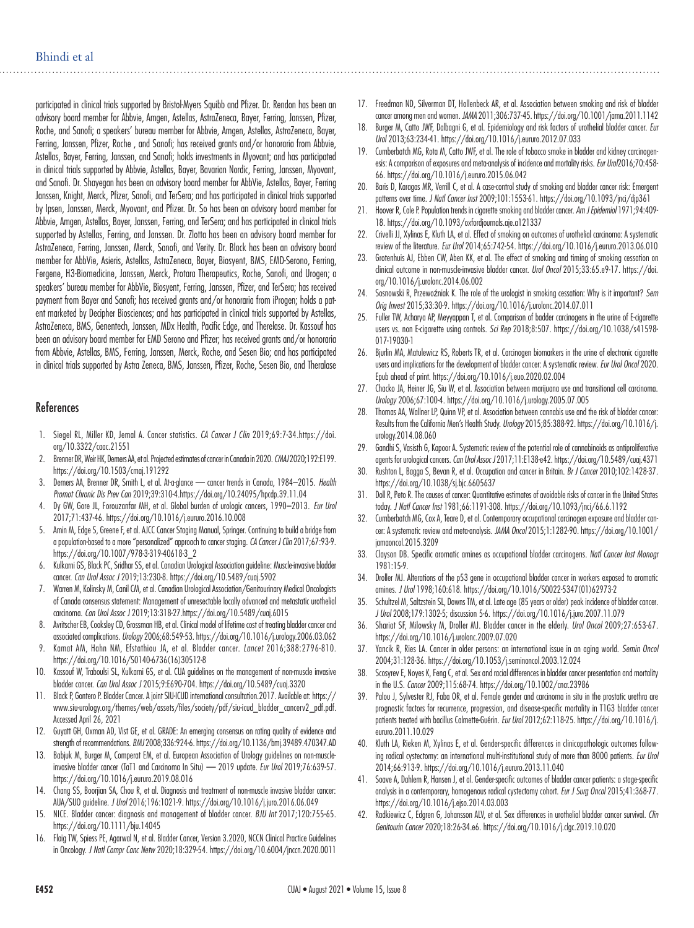participated in clinical trials supported by Bristol-Myers Squibb and Pfizer. Dr. Rendon has been an advisory board member for Abbvie, Amgen, Astellas, AstraZeneca, Bayer, Ferring, Janssen, Pfizer, Roche, and Sanofi; a speakers' bureau member for Abbvie, Amgen, Astellas, AstraZeneca, Bayer, Ferring, Janssen, Pfizer, Roche , and Sanofi; has received grants and/or honoraria from Abbvie, Astellas, Bayer, Ferring, Janssen, and Sanofi; holds investments in Myovant; and has participated in clinical trials supported by Abbvie, Astellas, Bayer, Bavarian Nordic, Ferring, Janssen, Myovant, and Sanofi. Dr. Shayegan has been an advisory board member for AbbVie, Astellas, Bayer, Ferring Janssen, Knight, Merck, Pfizer, Sanofi, and TerSera; and has participated in clinical trials supported by Ipsen, Janssen, Merck, Myovant, and Pfizer. Dr. So has been an advisory board member for Abbvie, Amgen, Astellas, Bayer, Janssen, Ferring, and TerSera; and has participated in clinical trials supported by Astellas, Ferring, and Janssen. Dr. Zlotta has been an advisory board member for AstraZeneca, Ferring, Janssen, Merck, Sanofi, and Verity. Dr. Black has been an advisory board member for AbbVie, Asieris, Astellas, AstraZeneca, Bayer, Biosyent, BMS, EMD-Serono, Ferring, Fergene, H3-Biomedicine, Janssen, Merck, Protara Therapeutics, Roche, Sanofi, and Urogen; a speakers' bureau member for AbbVie, Biosyent, Ferring, Janssen, Pfizer, and TerSera; has received payment from Bayer and Sanofi; has received grants and/or honoraria from iProgen; holds a patent marketed by Decipher Biosciences; and has participated in clinical trials supported by Astellas, AstraZeneca, BMS, Genentech, Janssen, MDx Health, Pacific Edge, and Therelase. Dr. Kassouf has been an advisory board member for EMD Serono and Pfizer; has received grants and/or honoraria from Abbvie, Astellas, BMS, Ferring, Janssen, Merck, Roche, and Sesen Bio; and has participated in clinical trials supported by Astra Zeneca, BMS, Janssen, Pfizer, Roche, Sesen Bio, and Theralase

#### **References**

- 1. Siegel RL, Miller KD, Jemal A. Cancer statistics. *CA Cancer J Clin* 2019;69:7-34.https://doi. org/10.3322/caac.21551
- 2. Brenner DR, Weir HK, Demers AA, et al. Projected estimates of cancer in Canada in 2020. *CMAJ* 2020;192:E199. https://doi.org/10.1503/cmaj.191292
- 3. Demers AA, Brenner DR, Smith L, et al. At-a-glance cancer trends in Canada, 1984–2015. *Health Promot Chronic Dis Prev Can* 2019;39:310-4.https://doi.org/10.24095/hpcdp.39.11.04
- 4. Dy GW, Gore JL, Forouzanfar MH, et al. Global burden of urologic cancers, 1990–2013. *Eur Urol*  2017;71:437-46. https://doi.org/10.1016/j.eururo.2016.10.008
- 5. Amin M, Edge S, Greene F, et al. AJCC Cancer Staging Manual, Springer. Continuing to build a bridge from a population-based to a more "personalized" approach to cancer staging. *CA Cancer J Clin* 2017;67:93-9. https://doi.org/10.1007/978-3-319-40618-3\_2
- 6. Kulkarni GS, Black PC, Sridhar SS, et al. Canadian Urological Association guideline: Muscle-invasive bladder cancer. *Can Urol Assoc J* 2019;13:230-8. https://doi.org/10.5489/cuaj.5902
- 7. Warren M, Kolinsky M, Canil CM, et al. Canadian Urological Association/Genitourinary Medical Oncologists of Canada consensus statement: Management of unresectable locally advanced and metastatic urothelial carcinoma. *Can Urol Assoc J* 2019;13:318-27.https://doi.org/10.5489/cuaj.6015
- Avritscher EB, Cooksley CD, Grossman HB, et al. Clinical model of lifetime cost of treating bladder cancer and associated complications. *Urology* 2006;68:549-53. https://doi.org/10.1016/j.urology.2006.03.062
- 9. Kamat AM, Hahn NM, Efstathiou JA, et al. Bladder cancer. *Lancet* 2016;388:2796-810. https://doi.org/10.1016/S0140-6736(16)30512-8
- 10. Kassouf W, Traboulsi SL, Kulkarni GS, et al. CUA guidelines on the management of non-muscle invasive bladder cancer. *Can Urol Assoc J* 2015;9:E690-704. https://doi.org/10.5489/cuaj.3320
- 11. Black P, Gontero P. Bladder Cancer. A joint SIU-ICUD international consultation.2017. Available at: https:// www.siu-urology.org/themes/web/assets/files/society/pdf/siu-icud\_bladder\_cancerv2\_pdf.pdf. Accessed April 26, 2021
- 12. Guyatt GH, Oxman AD, Vist GE, et al. GRADE: An emerging consensus on rating quality of evidence and strength of recommendations. *BMJ* 2008;336:924-6. https://doi.org/10.1136/bmj.39489.470347.AD
- 13. Babjuk M, Burger M, Comperat EM, et al. European Association of Urology guidelines on non-muscleinvasive bladder cancer (TaT1 and Carcinoma In Situ) — 2019 update. *Eur Urol* 2019;76:639-57. https://doi.org/10.1016/j.eururo.2019.08.016
- 14. Chang SS, Boorjian SA, Chou R, et al. Diagnosis and treatment of non-muscle invasive bladder cancer: AUA/SUO guideline. *J Urol* 2016;196:1021-9. https://doi.org/10.1016/j.juro.2016.06.049
- 15. NICE. Bladder cancer: diagnosis and management of bladder cancer. *BJU Int* 2017;120:755-65. https://doi.org/10.1111/bju.14045
- 16. Flaig TW, Spiess PE, Agarwal N, et al. Bladder Cancer, Version 3.2020, NCCN Clinical Practice Guidelines in Oncology. *J Natl Compr Canc Netw* 2020;18:329-54. https://doi.org/10.6004/jnccn.2020.0011
- 17. Freedman ND, Silverman DT, Hollenbeck AR, et al. Association between smoking and risk of bladder cancer among men and women. *JAMA* 2011;306:737-45. https://doi.org/10.1001/jama.2011.1142
- 18. Burger M, Catto JWF, Dalbagni G, et al. Epidemiology and risk factors of urothelial bladder cancer. *Eur Urol* 2013;63:234-41. https://doi.org/10.1016/j.eururo.2012.07.033
- 19. Cumberbatch MG, Rota M, Catto JWF, et al. The role of tobacco smoke in bladder and kidney carcinogenesis: A comparison of exposures and meta-analysis of incidence and mortality risks. *Eur Urol*2016;70:458- 66. https://doi.org/10.1016/j.eururo.2015.06.042
- 20. Baris D, Karagas MR, Verrill C, et al. A case-control study of smoking and bladder cancer risk: Emergent patterns over time. *J Natl Cancer Inst* 2009;101:1553-61. https://doi.org/10.1093/jnci/djp361
- 21. Hoover R, Cole P. Population trends in cigarette smoking and bladder cancer. *Am J Epidemiol* 1971;94:409- 18. https://doi.org/10.1093/oxfordjournals.aje.a121337
- 22. Crivelli JJ, Xylinas E, Kluth LA, et al. Effect of smoking on outcomes of urothelial carcinoma: A systematic review of the literature. *Eur Urol* 2014;65:742-54. https://doi.org/10.1016/j.eururo.2013.06.010
- 23. Grotenhuis AJ, Ebben CW, Aben KK, et al. The effect of smoking and timing of smoking cessation on clinical outcome in non-muscle-invasive bladder cancer. *Urol Oncol* 2015;33:65.e9-17. https://doi. org/10.1016/j.urolonc.2014.06.002
- 24. Sosnowski R, Przewoźniak K. The role of the urologist in smoking cessation: Why is it important? *Sem Orig Invest* 2015;33:30-9. https://doi.org/10.1016/j.urolonc.2014.07.011
- 25. Fuller TW, Acharya AP, Meyyappan T, et al. Comparison of badder carcinogens in the urine of E-cigarette users vs. non E-cigarette using controls. *Sci Rep* 2018;8:507. https://doi.org/10.1038/s41598- 017-19030-1
- 26. Bjurlin MA, Matulewicz RS, Roberts TR, et al. Carcinogen biomarkers in the urine of electronic cigarette users and implications for the development of bladder cancer: A systematic review. *Eur Urol Oncol* 2020. Epub ahead of print. https://doi.org/10.1016/j.euo.2020.02.004
- 27. Chacko JA, Heiner JG, Siu W, et al. Association between marijuana use and transitional cell carcinoma. *Urology* 2006;67:100-4. https://doi.org/10.1016/j.urology.2005.07.005
- 28. Thomas AA, Wallner LP, Quinn VP, et al. Association between cannabis use and the risk of bladder cancer: Results from the California Men's Health Study. *Urology* 2015;85:388-92. https://doi.org/10.1016/j. urology.2014.08.060
- 29. Gandhi S, Vasisth G, Kapoor A. Systematic review of the potential role of cannabinoids as antiproliferative agents for urological cancers. *Can Urol Assoc J* 2017;11:E138-e42. https://doi.org/10.5489/cuaj.4371
- 30. Rushton L, Bagga S, Bevan R, et al. Occupation and cancer in Britain. *Br J Cancer* 2010;102:1428-37. https://doi.org/10.1038/sj.bjc.6605637
- 31. Doll R, Peto R. The causes of cancer: Quantitative estimates of avoidable risks of cancer in the United States today. *J Natl Cancer Inst* 1981;66:1191-308. https://doi.org/10.1093/jnci/66.6.1192
- 32. Cumberbatch MG, Cox A, Teare D, et al. Contemporary occupational carcinogen exposure and bladder cancer: A systematic review and meta-analysis. *JAMA Oncol* 2015;1:1282-90. https://doi.org/10.1001/ jamaoncol.2015.3209
- 33. Clayson DB. Specific aromatic amines as occupational bladder carcinogens. *Natl Cancer Inst Monogr* 1981:15-9.
- 34. Droller MJ. Alterations of the p53 gene in occupational bladder cancer in workers exposed to aromatic amines. *J Urol* 1998;160:618. https://doi.org/10.1016/S0022-5347(01)62973-2
- 35. Schultzel M, Saltzstein SL, Downs TM, et al. Late age (85 years or older) peak incidence of bladder cancer*. J Urol* 2008;179:1302-5; discussion 5-6. https://doi.org/10.1016/j.juro.2007.11.079
- 36. Shariat SF, Milowsky M, Droller MJ. Bladder cancer in the elderly. *Urol Oncol* 2009;27:653-67. https://doi.org/10.1016/j.urolonc.2009.07.020
- 37. Yancik R, Ries LA. Cancer in older persons: an international issue in an aging world. *Semin Oncol* 2004;31:128-36. https://doi.org/10.1053/j.seminoncol.2003.12.024
- 38. Scosyrev E, Noyes K, Feng C, et al. Sex and racial differences in bladder cancer presentation and mortality in the U.S. *Cancer* 2009;115:68-74. https://doi.org/10.1002/cncr.23986
- 39. Palou J, Sylvester RJ, Faba OR, et al. Female gender and carcinoma in situ in the prostatic urethra are prognostic factors for recurrence, progression, and disease-specific mortality in T1G3 bladder cancer patients treated with bacillus Calmette-Guérin. *Eur Urol* 2012;62:118-25. https://doi.org/10.1016/j. eururo.2011.10.029
- 40. Kluth LA, Rieken M, Xylinas E, et al. Gender-specific differences in clinicopathologic outcomes following radical cystectomy: an international multi-institutional study of more than 8000 patients. *Eur Urol* 2014;66:913-9. https://doi.org/10.1016/j.eururo.2013.11.040
- 41. Soave A, Dahlem R, Hansen J, et al. Gender-specific outcomes of bladder cancer patients: a stage-specific analysis in a contemporary, homogenous radical cystectomy cohort. *Eur J Surg Oncol* 2015;41:368-77*.*  https://doi.org/10.1016/j.ejso.2014.03.003
- 42. Radkiewicz C, Edgren G, Johansson ALV, et al. Sex differences in urothelial bladder cancer survival. *Clin Genitourin Cancer* 2020;18:26-34.e6. https://doi.org/10.1016/j.clgc.2019.10.020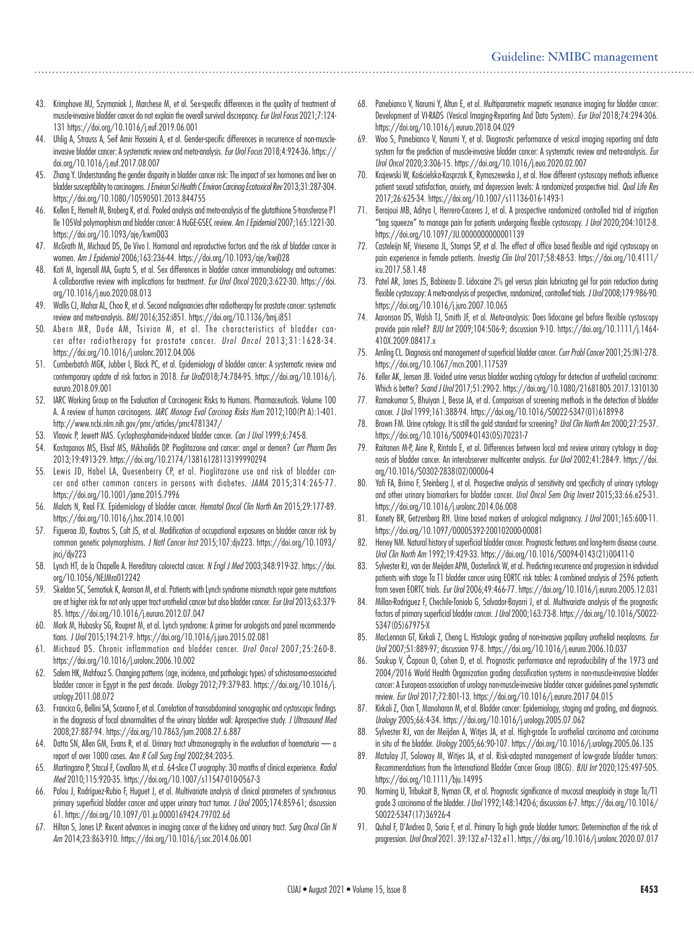- 43. Krimphove MJ, Szymaniak J, Marchese M, et al. Sex-specific differences in the quality of treatment of muscle-invasive bladder cancer do not explain the overall survival discrepancy. *Eur Urol Focus* 2021;7:124- 131 https://doi.org/10.1016/j.euf.2019.06.001
- 44. Uhlig A, Strauss A, Seif Amir Hosseini A, et al. Gender-specific differences in recurrence of non-muscleinvasive bladder cancer: A systematic review and meta-analysis. *Eur Urol Focus* 2018;4:924-36. https:// doi.org/10.1016/j.euf.2017.08.007
- 45. Zhang Y. Understanding the gender disparity in bladder cancer risk: The impact of sex hormones and liver on bladder susceptibility to carcinogens. *J Environ Sci Health C Environ Carcinog Ecotoxicol Rev* 2013;31:287-304. https://doi.org/10.1080/10590501.2013.844755
- 46. Kellen E, Hemelt M, Broberg K, et al. Pooled analysis and meta-analysis of the glutathione S-transferase P1 Ile 105Val polymorphism and bladder cancer: A HuGE-GSEC review. *Am J Epidemiol* 2007;165:1221-30. https://doi.org/10.1093/aje/kwm003
- 47. McGrath M, Michaud DS, De Vivo I. Hormonal and reproductive factors and the risk of bladder cancer in women. *Am J Epidemiol* 2006;163:236-44. https://doi.org/10.1093/aje/kwj028
- 48. Koti M, Ingersoll MA, Gupta S, et al. Sex differences in bladder cancer immunobiology and outcomes: A collaborative review with implications for treatment. *Eur Urol Oncol* 2020;3:622-30. https://doi. org/10.1016/j.euo.2020.08.013
- 49. Wallis CJ, Mahar AL, Choo R, et al. Second malignancies after radiotherapy for prostate cancer: systematic review and meta-analysis. *BMJ* 2016;352:i851. https://doi.org/10.1136/bmj.i851
- 50. Abern MR, Dude AM, Tsivian M, et al. The characteristics of bladder cancer after radiotherapy for prostate cancer. *Urol Oncol* 2013;31:1628-34. https://doi.org/10.1016/j.urolonc.2012.04.006
- 51. Cumberbatch MGK, Jubber I, Black PC, et al. Epidemiology of bladder cancer: A systematic review and contemporary update of risk factors in 2018. *Eur Urol*2018;74:784-95. https://doi.org/10.1016/j. eururo.2018.09.001
- 52. IARC Working Group on the Evaluation of Carcinogenic Risks to Humans. Pharmaceuticals. Volume 100 A. A review of human carcinogens. *IARC Monogr Eval Carcinog Risks Hum* 2012;100(Pt A):1-401. http://www.ncbi.nlm.nih.gov/pmc/articles/pmc4781347/
- 53. Vlaovic P, Jewett MAS. Cyclophosphamide-induced bladder cancer. *Can J Urol* 1999;6:745-8.
- 54. Kostapanos MS, Elisaf MS, Mikhailidis DP. Pioglitazone and cancer: angel or demon? *Curr Pharm Des* 2013;19:4913-29. https://doi.org/10.2174/13816128113199990294
- 55. Lewis JD, Habel LA, Quesenberry CP, et al. Pioglitazone use and risk of bladder cancer and other common cancers in persons with diabetes. *JAMA* 2015;314:265-77. https://doi.org/10.1001/jama.2015.7996
- 56. Malats N, Real FX. Epidemiology of bladder cancer. *Hematol Oncol Clin North Am* 2015;29:177-89. https://doi.org/10.1016/j.hoc.2014.10.001
- 57. Figueroa JD, Koutros S, Colt JS, et al. Modification of occupational exposures on bladder cancer risk by common genetic polymorphisms. *J Natl Cancer Inst* 2015;107:djv223. https://doi.org/10.1093/ jnci/djv223
- 58. Lynch HT, de la Chapelle A. Hereditary colorectal cancer. *N Engl J Med* 2003;348:919-32. https://doi. org/10.1056/NEJMra012242
- 59. Skeldon SC, Semotiuk K, Aronson M, et al. Patients with Lynch syndrome mismatch repair gene mutations are at higher risk for not only upper tract urothelial cancer but also bladder cancer. *Eur Urol* 2013;63:379- 85. https://doi.org/10.1016/j.eururo.2012.07.047
- Mork M, Hubosky SG, Roupret M, et al. Lynch syndrome: A primer for urologists and panel recommendations. *J Urol* 2015;194:21-9. https://doi.org/10.1016/j.juro.2015.02.081
- 61. Michaud DS. Chronic inflammation and bladder cancer. *Urol Oncol* 2007;25:260-8. https://doi.org/10.1016/j.urolonc.2006.10.002
- 62. Salem HK, Mahfouz S. Changing patterns (age, incidence, and pathologic types) of schistosoma-associated bladder cancer in Egypt in the past decade. *Urology* 2012;79:379-83. https://doi.org/10.1016/j. urology.2011.08.072
- 63. Francica G, Bellini SA, Scarano F, et al. Correlation of transabdominal sonographic and cystoscopic findings in the diagnosis of focal abnormalities of the urinary bladder wall: Aprospective study. *J Ultrasound Med* 2008;27:887-94. https://doi.org/10.7863/jum.2008.27.6.887
- 64. Datta SN, Allen GM, Evans R, et al. Urinary tract ultrasonography in the evaluation of haematuria a report of over 1000 cases. *Ann R Coll Surg Engl* 2002;84:203-5.
- 65. Martingano P, Stacul F, Cavallaro M, et al. 64-slice CT urography: 30 months of clinical experience. *Radiol Med* 2010;115:920-35. https://doi.org/10.1007/s11547-010-0567-3
- Palou J, Rodríguez-Rubio F, Huguet J, et al. Multivariate analysis of clinical parameters of synchronous primary superficial bladder cancer and upper urinary tract tumor. *J Urol* 2005;174:859-61; discussion 61. https://doi.org/10.1097/01.ju.0000169424.79702.6d
- 67. Hilton S, Jones LP. Recent advances in imaging cancer of the kidney and urinary tract. *Surg Oncol Clin N Am* 2014;23:863-910. https://doi.org/10.1016/j.soc.2014.06.001
- 68. Panebianco V, Narumi Y, Altun E, et al. Multiparametric magnetic resonance imaging for bladder cancer: Development of VI-RADS (Vesical Imaging-Reporting And Data System). *Eur Urol* 2018;74:294-306. https://doi.org/10.1016/j.eururo.2018.04.029
- 69. Woo S, Panebianco V, Narumi Y, et al. Diagnostic performance of vesical imaging reporting and data system for the prediction of muscle-invasive bladder cancer: A systematic review and meta-analysis. *Eur Urol Oncol* 2020;3:306-15. https://doi.org/10.1016/j.euo.2020.02.007
- 70. Krajewski W, Kościelska-Kasprzak K, Rymaszewska J, et al. How different cystoscopy methods influence patient sexual satisfaction, anxiety, and depression levels: A randomized prospective trial. *Qual Life Res* 2017;26:625-34. https://doi.org/10.1007/s11136-016-1493-1
- 71. Berajoui MB, Aditya I, Herrera-Caceres J, et al. A prospective randomized controlled trial of irrigation "bag squeeze" to manage pain for patients undergoing flexible cystoscopy. *J Urol* 2020;204:1012-8. https://doi.org/10.1097/JU.0000000000001139
- 72. Casteleijn NF, Vriesema JL, Stomps SP, et al. The effect of office based flexible and rigid cystoscopy on pain experience in female patients. *Investig Clin Urol* 2017;58:48-53. https://doi.org/10.4111/ icu.2017.58.1.48
- 73. Patel AR, Jones JS, Babineau D. Lidocaine 2% gel versus plain lubricating gel for pain reduction during flexible cystoscopy: A meta-analysis of prospective, randomized, controlled trials. *J Urol* 2008;179:986-90. https://doi.org/10.1016/j.juro.2007.10.065
- 74. Aaronson DS, Walsh TJ, Smith JF, et al. Meta-analysis: Does lidocaine gel before flexible cystoscopy provide pain relief? *BJU Int* 2009;104:506-9; discussion 9-10. https://doi.org/10.1111/j.1464- 410X.2009.08417.x
- 75. Amling CL. Diagnosis and management of superficial bladder cancer. *Curr Probl Cancer* 2001;25:IN1-278. https://doi.org/10.1067/mcn.2001.117539
- 76. Keller AK, Jensen JB. Voided urine versus bladder washing cytology for detection of urothelial carcinoma: Which is better? *Scand J Urol* 2017;51:290-2. https://doi.org/10.1080/21681805.2017.1310130
- 77. Ramakumar S, Bhuiyan J, Besse JA, et al. Comparison of screening methods in the detection of bladder cancer. *J Urol* 1999;161:388-94. https://doi.org/10.1016/S0022-5347(01)61899-8
- 78. Brown FM. Urine cytology. It is still the gold standard for screening? *Urol Clin North Am* 2000;27:25-37. https://doi.org/10.1016/S0094-0143(05)70231-7
- 79. Raitanen M-P, Aine R, Rintala E, et al. Differences between local and review urinary cytology in diagnosis of bladder cancer. An interobserver multicenter analysis. *Eur Urol* 2002;41:284-9. https://doi. org/10.1016/S0302-2838(02)00006-4
- 80. Yafi FA, Brimo F, Steinberg J, et al. Prospective analysis of sensitivity and specificity of urinary cytology and other urinary biomarkers for bladder cancer. *Urol Oncol Sem Orig Invest* 2015;33:66.e25-31. https://doi.org/10.1016/j.urolonc.2014.06.008
- 81. Konety BR, Getzenberg RH. Urine based markers of urological malignancy. *J Urol* 2001;165:600-11. https://doi.org/10.1097/00005392-200102000-00081
- 82. Heney NM. Natural history of superficial bladder cancer. Prognostic features and long-term disease course. *Urol Clin North Am* 1992;19:429-33. https://doi.org/10.1016/S0094-0143(21)00411-0
- 83. Sylvester RJ, van der Meijden APM, Oosterlinck W, et al. Predicting recurrence and progression in individual patients with stage Ta T1 bladder cancer using EORTC risk tables: A combined analysis of 2596 patients from seven EORTC trials. *Eur Urol* 2006;49:466-77. https://doi.org/10.1016/j.eururo.2005.12.031
- 84. Millan-Rodriguez F, Chechile-Toniolo G, Salvador-Bayarri J, et al. Multivariate analysis of the prognostic factors of primary superficial bladder cancer. *J Urol* 2000;163:73-8. https://doi.org/10.1016/S0022- 5347(05)67975-X
- 85. MacLennan GT, Kirkali Z, Cheng L. Histologic grading of non-invasive papillary urothelial neoplasms. *Eur Urol* 2007;51:889-97; discussion 97-8. https://doi.org/10.1016/j.eururo.2006.10.037
- 86. Soukup V, Čapoun O, Cohen D, et al. Prognostic performance and reproducibility of the 1973 and 2004/2016 World Health Organization grading classification systems in non-muscle-invasive bladder cancer: A European association of urology non-muscle-invasive bladder cancer guidelines panel systematic review. *Eur Urol* 2017;72:801-13. https://doi.org/10.1016/j.eururo.2017.04.015
- 87. Kirkali Z, Chan T, Manoharan M, et al. Bladder cancer: Epidemiology, staging and grading, and diagnosis. *Urology* 2005;66:4-34. https://doi.org/10.1016/j.urology.2005.07.062
- 88. Sylvester RJ, van der Meijden A, Witjes JA, et al. High-grade Ta urothelial carcinoma and carcinoma in situ of the bladder. *Urology* 2005;66:90-107. https://doi.org/10.1016/j.urology.2005.06.135
- 89. Matulay JT, Soloway M, Witjes JA, et al. Risk-adapted management of low-grade bladder tumors: Recommendations from the International Bladder Cancer Group (IBCG). *BJU Int* 2020;125:497-505. https://doi.org/10.1111/bju.14995
- Norming U, Tribukait B, Nyman CR, et al. Prognostic significance of mucosal aneuploidy in stage Ta/T1 grade 3 carcinoma of the bladder. *J Urol* 1992;148:1420-6; discussion 6-7. https://doi.org/10.1016/ S0022-5347(17)36926-4
- 91. Quhal F, D'Andrea D, Soria F, et al. Primary Ta high grade bladder tumors: Determination of the risk of progression. *Urol Oncol* 2021. 39:132.e7-132.e11. https://doi.org/10.1016/j.urolonc.2020.07.017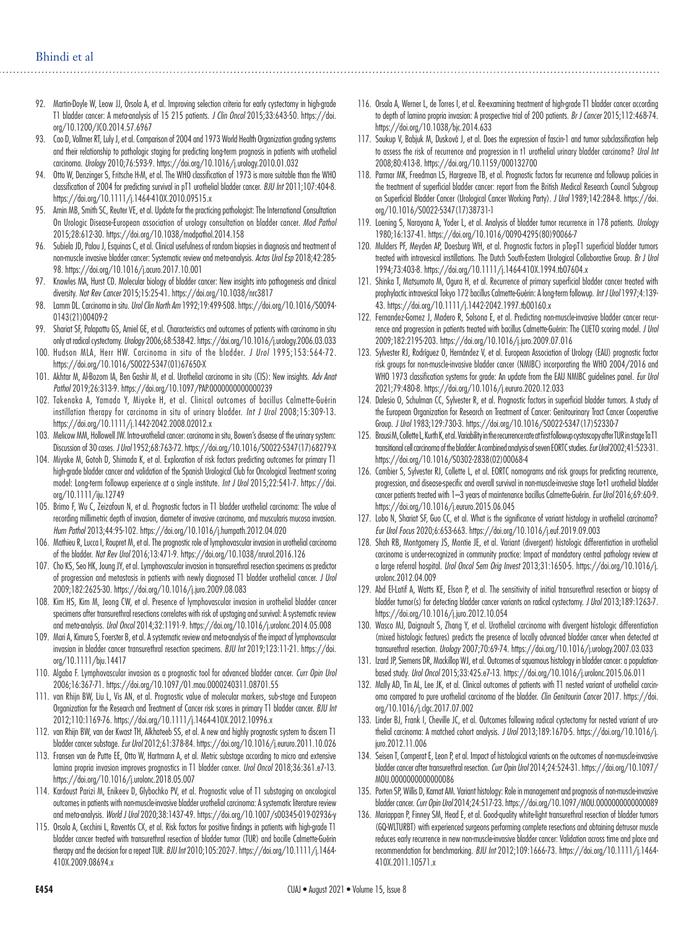- 92. Martin-Doyle W, Leow JJ, Orsola A, et al. Improving selection criteria for early cystectomy in high-grade T1 bladder cancer: A meta-analysis of 15 215 patients. *J Clin Oncol* 2015;33:643-50. https://doi. org/10.1200/JCO.2014.57.6967
- 93. Cao D, Vollmer RT, Luly J, et al. Comparison of 2004 and 1973 World Health Organization grading systems and their relationship to pathologic staging for predicting long-term prognosis in patients with urothelial carcinoma. *Urology* 2010;76:593-9. https://doi.org/10.1016/j.urology.2010.01.032
- 94. Otto W, Denzinger S, Fritsche H-M, et al. The WHO classification of 1973 is more suitable than the WHO classification of 2004 for predicting survival in pT1 urothelial bladder cancer. *BJU Int* 2011;107:404-8. https://doi.org/10.1111/j.1464-410X.2010.09515.x
- 95. Amin MB, Smith SC, Reuter VE, et al. Update for the practicing pathologist: The International Consultation On Urologic Disease-European association of urology consultation on bladder cancer. *Mod Pathol* 2015;28:612-30. https://doi.org/10.1038/modpathol.2014.158
- 96. Subiela JD, Palou J, Esquinas C, et al. Clinical usefulness of random biopsies in diagnosis and treatment of non-muscle invasive bladder cancer: Systematic review and meta-analysis. *Actas Urol Esp* 2018;42:285- 98. https://doi.org/10.1016/j.acuro.2017.10.001
- 97. Knowles MA, Hurst CD. Molecular biology of bladder cancer: New insights into pathogenesis and clinical diversity. *Nat Rev Cancer* 2015;15:25-41. https://doi.org/10.1038/nrc3817
- 98. Lamm DL. Carcinoma in situ. *Urol Clin North Am* 1992;19:499-508. https://doi.org/10.1016/S0094- 0143(21)00409-2
- 99. Shariat SF, Palapattu GS, Amiel GE, et al. Characteristics and outcomes of patients with carcinoma in situ only at radical cystectomy. *Urology* 2006;68:538-42. https://doi.org/10.1016/j.urology.2006.03.033
- 100. Hudson MLA, Herr HW. Carcinoma in situ of the bladder. *J Urol* 1995;153:564-72. https://doi.org/10.1016/S0022-5347(01)67650-X
- 101. Akhtar M, Al-Bozom IA, Ben Gashir M, et al. Urothelial carcinoma in situ (CIS): New insights. *Adv Anat Pathol* 2019;26:313-9. https://doi.org/10.1097/PAP.0000000000000239
- 102. Takenaka A, Yamada Y, Miyake H, et al. Clinical outcomes of bacillus Calmette-Guérin instillation therapy for carcinoma in situ of urinary bladder. *Int J Urol* 2008;15:309-13. https://doi.org/10.1111/j.1442-2042.2008.02012.x
- 103. Melicow MM, Hollowell JW. Intra-urothelial cancer: carcinoma in situ, Bowen's disease of the urinary system: Discussion of 30 cases. *J Urol* 1952;68:763-72. https://doi.org/10.1016/S0022-5347(17)68279-X
- 104. Miyake M, Gotoh D, Shimada K, et al. Exploration of risk factors predicting outcomes for primary T1 high-grade bladder cancer and validation of the Spanish Urological Club for Oncological Treatment scoring model: Long-term followup experience at a single institute. *Int J Urol* 2015;22:541-7. https://doi. org/10.1111/iju.12749
- 105. Brimo F, Wu C, Zeizafoun N, et al. Prognostic factors in T1 bladder urothelial carcinoma: The value of recording millimetric depth of invasion, diameter of invasive carcinoma, and muscularis mucosa invasion. *Hum Pathol* 2013;44:95-102. https://doi.org/10.1016/j.humpath.2012.04.020
- 106. Mathieu R, Lucca I, Roupret M, et al. The prognostic role of lymphovascular invasion in urothelial carcinoma of the bladder. *Nat Rev Urol* 2016;13:471-9. https://doi.org/10.1038/nrurol.2016.126
- 107. Cho KS, Seo HK, Joung JY, et al. Lymphovascular invasion in transurethral resection specimens as predictor of progression and metastasis in patients with newly diagnosed T1 bladder urothelial cancer. *J Urol* 2009;182:2625-30. https://doi.org/10.1016/j.juro.2009.08.083
- 108. Kim HS, Kim M, Jeong CW, et al. Presence of lymphovascular invasion in urothelial bladder cancer specimens after transurethral resections correlates with risk of upstaging and survival: A systematic review and meta-analysis. *Urol Oncol* 2014;32:1191-9. https://doi.org/10.1016/j.urolonc.2014.05.008
- 109. Mari A, Kimura S, Foerster B, et al. A systematic review and meta-analysis of the impact of lymphovascular invasion in bladder cancer transurethral resection specimens. *BJU Int* 2019;123:11-21. https://doi. org/10.1111/bju.14417
- 110. Algaba F. Lymphovascular invasion as a prognostic tool for advanced bladder cancer. *Curr Opin Urol* 2006;16:367-71. https://doi.org/10.1097/01.mou.0000240311.08701.55
- 111. van Rhijn BW, Liu L, Vis AN, et al. Prognostic value of molecular markers, sub-stage and European Organization for the Research and Treatment of Cancer risk scores in primary T1 bladder cancer. *BJU Int* 2012;110:1169-76. https://doi.org/10.1111/j.1464-410X.2012.10996.x
- 112. van Rhijn BW, van der Kwast TH, Alkhateeb SS, et al. A new and highly prognostic system to discern T1 bladder cancer substage. *Eur Urol* 2012;61:378-84. https://doi.org/10.1016/j.eururo.2011.10.026
- 113. Fransen van de Putte EE, Otto W, Hartmann A, et al. Metric substage according to micro and extensive lamina propria invasion improves prognostics in T1 bladder cancer. *Urol Oncol* 2018;36:361.e7-13. https://doi.org/10.1016/j.urolonc.2018.05.007
- 114. Kardoust Parizi M, Enikeev D, Glybochko PV, et al. Prognostic value of T1 substaging on oncological outcomes in patients with non-muscle-invasive bladder urothelial carcinoma: A systematic literature review and meta-analysis. *World J Urol* 2020;38:1437-49. https://doi.org/10.1007/s00345-019-02936-y
- 115. Orsola A, Cecchini L, Raventós CX, et al. Risk factors for positive findings in patients with high-grade T1 bladder cancer treated with transurethral resection of bladder tumor (TUR) and bacille Calmette-Guérin therapy and the decision for a repeat TUR*. BJU Int* 2010;105:202-7. https://doi.org/10.1111/j.1464- 410X.2009.08694.x
- 116. Orsola A, Werner L, de Torres I, et al. Re-examining treatment of high-grade T1 bladder cancer according to depth of lamina propria invasion: A prospective trial of 200 patients. *Br J Cancer* 2015;112:468-74. https://doi.org/10.1038/bjc.2014.633
- 117. Soukup V, Babjuk M, Dusková J, et al. Does the expression of fascin-1 and tumor subclassification help to assess the risk of recurrence and progression in t1 urothelial urinary bladder carcinoma? *Urol Int* 2008;80:413-8. https://doi.org/10.1159/000132700
- 118. Parmar MK, Freedman LS, Hargreave TB, et al. Prognostic factors for recurrence and followup policies in the treatment of superficial bladder cancer: report from the British Medical Research Council Subgroup on Superficial Bladder Cancer (Urological Cancer Working Party). *J Urol* 1989;142:284-8. https://doi. org/10.1016/S0022-5347(17)38731-1
- 119. Loening S, Narayana A, Yoder L, et al. Analysis of bladder tumor recurrence in 178 patients. *Urology* 1980;16:137-41. https://doi.org/10.1016/0090-4295(80)90066-7
- 120. Mulders PF, Meyden AP, Doesburg WH, et al. Prognostic factors in pTa-pT1 superficial bladder tumors treated with intravesical instillations. The Dutch South-Eastern Urological Collaborative Group. *Br J Urol* 1994;73:403-8. https://doi.org/10.1111/j.1464-410X.1994.tb07604.x
- 121. Shinka T, Matsumoto M, Ogura H, et al. Recurrence of primary superficial bladder cancer treated with prophylactic intravesical Tokyo 172 bacillus Calmette-Guérin: A long-term followup. *Int J Urol* 1997;4:139- 43. https://doi.org/10.1111/j.1442-2042.1997.tb00160.x
- 122. Fernandez-Gomez J, Madero R, Solsona E, et al. Predicting non-muscle-invasive bladder cancer recurrence and progression in patients treated with bacillus Calmette-Guérin: The CUETO scoring model. *J Urol* 2009;182:2195-203. https://doi.org/10.1016/j.juro.2009.07.016
- 123. Sylvester RJ, Rodríguez O, Hernández V, et al. European Association of Urology (EAU) prognostic factor risk groups for non-muscle-invasive bladder cancer (NMIBC) incorporating the WHO 2004/2016 and WHO 1973 classification systems for grade: An update from the EAU NMIBC guidelines panel. *Eur Urol* 2021;79:480-8. https://doi.org/10.1016/j.eururo.2020.12.033
- 124. Dalesio O, Schulman CC, Sylvester R, et al. Prognostic factors in superficial bladder tumors. A study of the European Organization for Research on Treatment of Cancer: Genitourinary Tract Cancer Cooperative Group. *J Urol* 1983;129:730-3. https://doi.org/10.1016/S0022-5347(17)52330-7
- 125. Brausi M, Collette L, Kurth K, et al. Variability in the recurrence rate at first followup cystoscopy after TUR in stage Ta T1 transitional cell carcinoma of the bladder: A combined analysis of seven EORTC studies. *Eur Urol* 2002;41:523-31. https://doi.org/10.1016/S0302-2838(02)00068-4
- 126. Cambier S, Sylvester RJ, Collette L, et al. EORTC nomograms and risk groups for predicting recurrence, progression, and disease-specific and overall survival in non-muscle-invasive stage Ta-t1 urothelial bladder cancer patients treated with 1–3 years of maintenance bacillus Calmette-Guérin. *Eur Urol* 2016;69:60-9. https://doi.org/10.1016/j.eururo.2015.06.045
- 127. Lobo N, Shariat SF, Guo CC, et al. What is the significance of variant histology in urothelial carcinoma? *Eur Urol Focus* 2020;6:653-663. https://doi.org/10.1016/j.euf.2019.09.003
- 128. Shah RB, Montgomery JS, Montie JE, et al. Variant (divergent) histologic differentiation in urothelial carcinoma is under-recognized in community practice: Impact of mandatory central pathology review at a large referral hospital. *Urol Oncol Sem Orig Invest* 2013;31:1650-5. https://doi.org/10.1016/j. urolonc.2012.04.009
- 129. Abd El-Latif A, Watts KE, Elson P, et al. The sensitivity of initial transurethral resection or biopsy of bladder tumor(s) for detecting bladder cancer variants on radical cystectomy. *J Urol* 2013;189:1263-7. https://doi.org/10.1016/j.juro.2012.10.054
- 130. Wasco MJ, Daignault S, Zhang Y, et al. Urothelial carcinoma with divergent histologic differentiation (mixed histologic features) predicts the presence of locally advanced bladder cancer when detected at transurethral resection. *Urology* 2007;70:69-74. https://doi.org/10.1016/j.urology.2007.03.033
- 131. Izard JP, Siemens DR, Mackillop WJ, et al. Outcomes of squamous histology in bladder cancer: a populationbased study. *Urol Oncol* 2015;33:425.e7-13. https://doi.org/10.1016/j.urolonc.2015.06.011
- 132. Mally AD, Tin AL, Lee JK, et al. Clinical outcomes of patients with T1 nested variant of urothelial carcinoma compared to pure urothelial carcinoma of the bladder. *Clin Genitourin Cancer* 2017. https://doi. org/10.1016/j.clgc.2017.07.002
- 133. Linder BJ, Frank I, Cheville JC, et al. Outcomes following radical cystectomy for nested variant of urothelial carcinoma: A matched cohort analysis. *J Urol* 2013;189:1670-5. https://doi.org/10.1016/j. juro.2012.11.006
- 134. Seisen T, Comperat E, Leon P, et al. Impact of histological variants on the outcomes of non-muscle-invasive bladder cancer after transurethral resection. *Curr Opin Urol* 2014;24:524-31. https://doi.org/10.1097/ MOU.0000000000000086
- 135. Porten SP, Willis D, Kamat AM. Variant histology: Role in management and prognosis of non-muscle-invasive bladder cancer. *Curr Opin Urol* 2014;24:517-23. https://doi.org/10.1097/MOU.0000000000000089
- 136. Mariappan P, Finney SM, Head E, et al. Good-quality white-light transurethral resection of bladder tumors (GQ-WLTURBT) with experienced surgeons performing complete resections and obtaining detrusor muscle reduces early recurrence in new non-muscle-invasive bladder cancer: Validation across time and place and recommendation for benchmarking. *BJU Int* 2012;109:1666-73. https://doi.org/10.1111/j.1464- 410X.2011.10571.x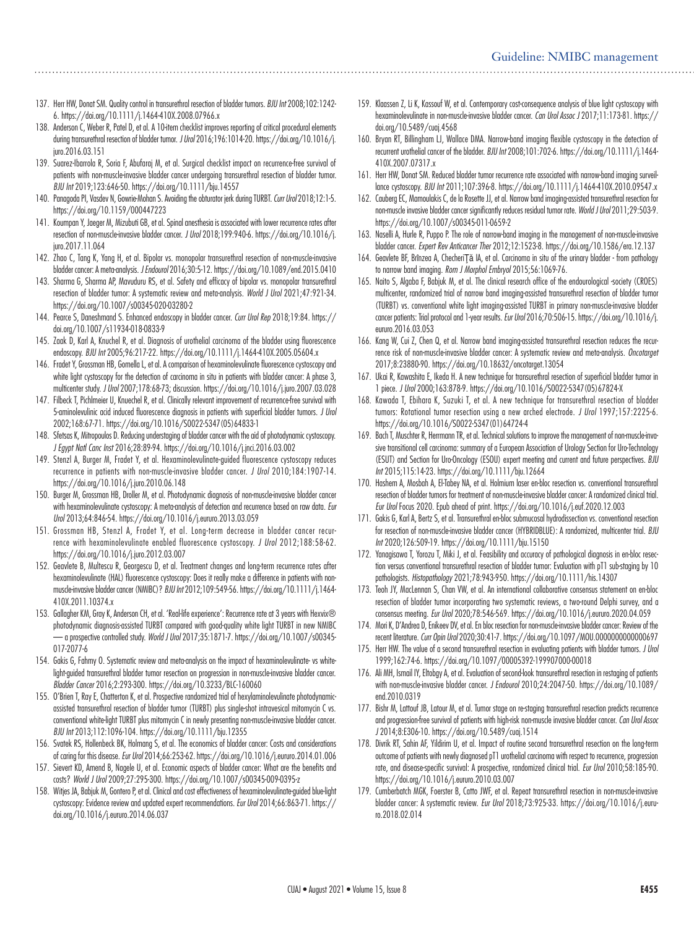- 137. Herr HW, Donat SM. Quality control in transurethral resection of bladder tumors. *BJU Int* 2008;102:1242- 6. https://doi.org/10.1111/j.1464-410X.2008.07966.x
- 138. Anderson C, Weber R, Patel D, et al. A 10-item checklist improves reporting of critical procedural elements during transurethral resection of bladder tumor. *J Urol* 2016;196:1014-20. https://doi.org/10.1016/j. juro.2016.03.151
- 139. Suarez-Ibarrola R, Soria F, Abufaraj M, et al. Surgical checklist impact on recurrence-free survival of patients with non-muscle-invasive bladder cancer undergoing transurethral resection of bladder tumor. *BJU Int* 2019;123:646-50. https://doi.org/10.1111/bju.14557
- 140. Panagoda PI, Vasdev N, Gowrie-Mohan S. Avoiding the obturator jerk during TURBT. *Curr Urol* 2018;12:1-5. https://doi.org/10.1159/000447223
- 141. Koumpan Y, Jaeger M, Mizubuti GB, et al. Spinal anesthesia is associated with lower recurrence rates after resection of non-muscle-invasive bladder cancer. *J Urol* 2018;199:940-6. https://doi.org/10.1016/j. juro.2017.11.064
- 142. Zhao C, Tang K, Yang H, et al. Bipolar vs. monopolar transurethral resection of non-muscle-invasive bladder cancer: A meta-analysis. *J Endourol* 2016;30:5-12. https://doi.org/10.1089/end.2015.0410
- 143. Sharma G, Sharma AP, Mavuduru RS, et al. Safety and efficacy of bipolar vs. monopolar transurethral resection of bladder tumor: A systematic review and meta-analysis. *World J Urol* 2021;47:921-34. https://doi.org/10.1007/s00345-020-03280-2
- 144. Pearce S, Daneshmand S. Enhanced endoscopy in bladder cancer. *Curr Urol Rep* 2018;19:84. https:// doi.org/10.1007/s11934-018-0833-9
- 145. Zaak D, Karl A, Knuchel R, et al. Diagnosis of urothelial carcinoma of the bladder using fluorescence endoscopy. *BJU Int* 2005;96:217-22. https://doi.org/10.1111/j.1464-410X.2005.05604.x
- 146. Fradet Y, Grossman HB, Gomella L, et al. A comparison of hexaminolevulinate fluorescence cystoscopy and white light cystoscopy for the detection of carcinoma in situ in patients with bladder cancer: A phase 3, multicenter study. *J Urol* 2007;178:68-73; discussion. https://doi.org/10.1016/j.juro.2007.03.028
- 147. Filbeck T, Pichlmeier U, Knuechel R, et al. Clinically relevant improvement of recurrence-free survival with 5-aminolevulinic acid induced fluorescence diagnosis in patients with superficial bladder tumors. *J Urol* 2002;168:67-71. https://doi.org/10.1016/S0022-5347(05)64833-1
- 148. Sfetsas K, Mitropoulos D. Reducing understaging of bladder cancer with the aid of photodynamic cystoscopy. *J Egypt Natl Canc Inst* 2016;28:89-94. https://doi.org/10.1016/j.jnci.2016.03.002
- 149. Stenzl A, Burger M, Fradet Y, et al. Hexaminolevulinate-guided fluorescence cystoscopy reduces recurrence in patients with non-muscle-invasive bladder cancer. *J Urol* 2010;184:1907-14. https://doi.org/10.1016/j.juro.2010.06.148
- 150. Burger M, Grossman HB, Droller M, et al. Photodynamic diagnosis of non-muscle-invasive bladder cancer with hexaminolevulinate cystoscopy: A meta-analysis of detection and recurrence based on raw data. *Eur Urol* 2013;64:846-54. https://doi.org/10.1016/j.eururo.2013.03.059
- 151. Grossman HB, Stenzl A, Fradet Y, et al. Long-term decrease in bladder cancer recurrence with hexaminolevulinate enabled fluorescence cystoscopy. *J Urol* 2012;188:58-62. https://doi.org/10.1016/j.juro.2012.03.007
- 152. Geavlete B, Multescu R, Georgescu D, et al. Treatment changes and long-term recurrence rates after hexaminolevulinate (HAL) fluorescence cystoscopy: Does it really make a difference in patients with nonmuscle-invasive bladder cancer (NMIBC)? *BJU Int* 2012;109:549-56. https://doi.org/10.1111/j.1464- 410X.2011.10374.x
- 153. Gallagher KM, Gray K, Anderson CH, et al. 'Real-life experience': Recurrence rate at 3 years with Hexvix® photodynamic diagnosis-assisted TURBT compared with good-quality white light TURBT in new NMIBC — a prospective controlled study. *World J Urol* 2017;35:1871-7. https://doi.org/10.1007/s00345- 017-2077-6
- 154. Gakis G, Fahmy O. Systematic review and meta-analysis on the impact of hexaminolevulinate- vs whitelight-guided transurethral bladder tumor resection on progression in non-muscle-invasive bladder cancer. *Bladder Cancer* 2016;2:293-300. https://doi.org/10.3233/BLC-160060
- 155. O'Brien T, Ray E, Chatterton K, et al. Prospective randomized trial of hexylaminolevulinate photodynamicassisted transurethral resection of bladder tumor (TURBT) plus single-shot intravesical mitomycin C vs. conventional white-light TURBT plus mitomycin C in newly presenting non-muscle-invasive bladder cancer. *BJU Int* 2013;112:1096-104. https://doi.org/10.1111/bju.12355
- 156. Svatek RS, Hollenbeck BK, Holmang S, et al. The economics of bladder cancer: Costs and considerations of caring for this disease. *Eur Urol* 2014;66:253-62. https://doi.org/10.1016/j.eururo.2014.01.006
- 157. Sievert KD, Amend B, Nagele U, et al. Economic aspects of bladder cancer: What are the benefits and costs? *World J Urol* 2009;27:295-300. https://doi.org/10.1007/s00345-009-0395-z
- 158. Witjes JA, Babjuk M, Gontero P, et al. Clinical and cost effectiveness of hexaminolevulinate-guided blue-light cystoscopy: Evidence review and updated expert recommendations. *Eur Urol* 2014;66:863-71. https:// doi.org/10.1016/j.eururo.2014.06.037
- 159. Klaassen Z, Li K, Kassouf W, et al. Contemporary cost-consequence analysis of blue light cystoscopy with hexaminolevulinate in non-muscle-invasive bladder cancer. *Can Urol Assoc J* 2017;11:173-81. https:// doi.org/10.5489/cuaj.4568
- 160. Bryan RT, Billingham LJ, Wallace DMA. Narrow-band imaging flexible cystoscopy in the detection of recurrent urothelial cancer of the bladder. *BJU Int* 2008;101:702-6. https://doi.org/10.1111/j.1464- 410X.2007.07317.x
- 161. Herr HW, Donat SM. Reduced bladder tumor recurrence rate associated with narrow-band imaging surveillance cystoscopy. *BJU Int* 2011;107:396-8. https://doi.org/10.1111/j.1464-410X.2010.09547.x
- 162. Cauberg EC, Mamoulakis C, de la Rosette JJ, et al. Narrow band imaging-assisted transurethral resection for non-muscle invasive bladder cancer significantly reduces residual tumor rate. *World J Urol* 2011;29:503-9. https://doi.org/10.1007/s00345-011-0659-2
- 163. Naselli A, Hurle R, Puppo P. The role of narrow-band imaging in the management of non-muscle-invasive bladder cancer. *Expert Rev Anticancer Ther* 2012;12:1523-8. https://doi.org/10.1586/era.12.137
- 164. Geavlete BF, Brînzea A, ChecheriŢă IA, et al. Carcinoma in situ of the urinary bladder from pathology to narrow band imaging. *Rom J Morphol Embryol* 2015;56:1069-76.
- 165. Naito S, Algaba F, Babjuk M, et al. The clinical research office of the endourological -society (CROES) multicenter, randomized trial of narrow band imaging-assisted transurethral resection of bladder tumor (TURBT) vs. conventional white light imaging-assisted TURBT in primary non-muscle-invasive bladder cancer patients: Trial protocol and 1-year results. *Eur Urol* 2016;70:506-15. https://doi.org/10.1016/j. eururo.2016.03.053
- 166. Kang W, Cui Z, Chen Q, et al. Narrow band imaging-assisted transurethral resection reduces the recurrence risk of non-muscle-invasive bladder cancer: A systematic review and meta-analysis. *Oncotarget*  2017;8:23880-90. https://doi.org/10.18632/oncotarget.13054
- 167. Ukai R, Kawashita E, Ikeda H. A new technique for transurethral resection of superficial bladder tumor in 1 piece. *J Urol* 2000;163:878-9. https://doi.org/10.1016/S0022-5347(05)67824-X
- 168. Kawada T, Ebihara K, Suzuki T, et al. A new technique for transurethral resection of bladder tumors: Rotational tumor resection using a new arched electrode. *J Urol* 1997;157:2225-6. https://doi.org/10.1016/S0022-5347(01)64724-4
- 169. Bach T, Muschter R, Herrmann TR, et al. Technical solutions to improve the management of non-muscle-invasive transitional cell carcinoma: summary of a European Association of Urology Section for Uro-Technology (ESUT) and Section for Uro-Oncology (ESOU) expert meeting and current and future perspectives. *BJU Int* 2015;115:14-23. https://doi.org/10.1111/bju.12664
- 170. Hashem A, Mosbah A, El-Tabey NA, et al. Holmium laser en-bloc resection vs. conventional transurethral resection of bladder tumors for treatment of non-muscle-invasive bladder cancer: A randomized clinical trial. *Eur Urol* Focus 2020. Epub ahead of print. https://doi.org/10.1016/j.euf.2020.12.003
- 171. Gakis G, Karl A, Bertz S, et al. Transurethral en-bloc submucosal hydrodissection vs. conventional resection for resection of non-muscle-invasive bladder cancer (HYBRIDBLUE): A randomized, multicenter trial. *BJU Int* 2020;126:509-19. https://doi.org/10.1111/bju.15150
- 172. Yanagisawa T, Yorozu T, Miki J, et al. Feasibility and accuracy of pathological diagnosis in en-bloc resection versus conventional transurethral resection of bladder tumor: Evaluation with pT1 sub-staging by 10 pathologists. *Histopathology* 2021;78:943-950. https://doi.org/10.1111/his.14307
- 173. Teoh JY, MacLennan S, Chan VW, et al. An international collaborative consensus statement on en-bloc resection of bladder tumor incorporating two systematic reviews, a two-round Delphi survey, and a consensus meeting. *Eur Urol* 2020;78:546-569. https://doi.org/10.1016/j.eururo.2020.04.059
- 174. Mori K, D'Andrea D, Enikeev DV, et al. En bloc resection for non-muscle-invasive bladder cancer: Review of the recent literature. *Curr Opin Urol* 2020;30:41-7. https://doi.org/10.1097/MOU.0000000000000697
- 175. Herr HW. The value of a second transurethral resection in evaluating patients with bladder tumors. *J Urol*  1999;162:74-6. https://doi.org/10.1097/00005392-199907000-00018
- 176. Ali MH, Ismail IY, Eltobgy A, et al. Evaluation of second-look transurethral resection in restaging of patients with non-muscle-invasive bladder cancer. *J Endourol* 2010;24:2047-50. https://doi.org/10.1089/ end.2010.0319
- 177. Bishr M, Lattouf JB, Latour M, et al. Tumor stage on re-staging transurethral resection predicts recurrence and progression-free survival of patients with high-risk non-muscle invasive bladder cancer. *Can Urol Assoc J* 2014;8:E306-10. https://doi.org/10.5489/cuaj.1514
- 178. Divrik RT, Sahin AF, Yildirim U, et al. Impact of routine second transurethral resection on the long-term outcome of patients with newly diagnosed pT1 urothelial carcinoma with respect to recurrence, progression rate, and disease-specific survival: A prospective, randomized clinical trial. *Eur Urol* 2010;58:185-90. https://doi.org/10.1016/j.eururo.2010.03.007
- 179. Cumberbatch MGK, Foerster B, Catto JWF, et al. Repeat transurethral resection in non-muscle-invasive bladder cancer: A systematic review. *Eur Urol* 2018;73:925-33. https://doi.org/10.1016/j.eururo.2018.02.014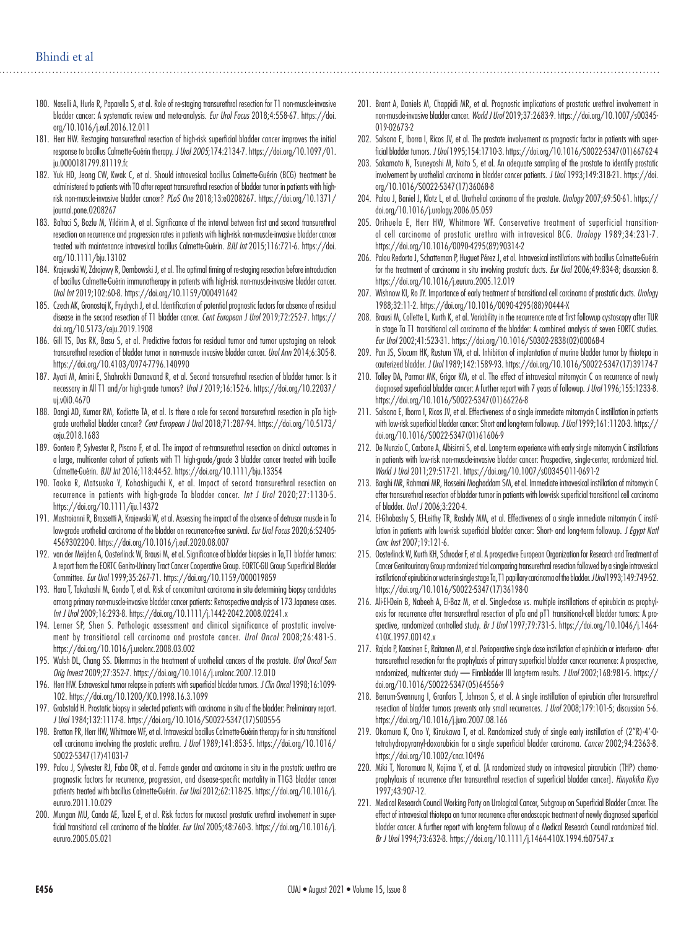- 180. Naselli A, Hurle R, Paparella S, et al. Role of re-staging transurethral resection for T1 non-muscle-invasive bladder cancer: A systematic review and meta-analysis. *Eur Urol Focus* 2018;4:558-67. https://doi. org/10.1016/j.euf.2016.12.011
- 181. Herr HW. Restaging transurethral resection of high-risk superficial bladder cancer improves the initial response to bacillus Calmette-Guérin therapy. *J Urol 2005*;174:2134-7. https://doi.org/10.1097/01. ju.0000181799.81119.fc
- 182. Yuk HD, Jeong CW, Kwak C, et al. Should intravesical bacillus Calmette-Guérin (BCG) treatment be administered to patients with T0 after repeat transurethral resection of bladder tumor in patients with highrisk non-muscle-invasive bladder cancer? *PLoS One* 2018;13:e0208267. https://doi.org/10.1371/ journal.pone.0208267
- 183. Baltaci S, Bozlu M, Yildirim A, et al. Significance of the interval between first and second transurethral resection on recurrence and progression rates in patients with high-risk non-muscle-invasive bladder cancer treated with maintenance intravesical bacillus Calmette-Guérin*. BJU Int* 2015;116:721-6. https://doi. org/10.1111/bju.13102
- 184. Krajewski W, Zdrojowy R, Dembowski J, et al. The optimal timing of re-staging resection before introduction of bacillus Calmette-Guérin immunotherapy in patients with high-risk non-muscle-invasive bladder cancer. *Urol Int* 2019;102:60-8. https://doi.org/10.1159/000491642
- 185. Czech AK, Gronostaj K, Frydrych J, et al. Identification of potential prognostic factors for absence of residual disease in the second resection of T1 bladder cancer. *Cent European J Urol* 2019;72:252-7. https:// doi.org/10.5173/ceju.2019.1908
- 186. Gill TS, Das RK, Basu S, et al. Predictive factors for residual tumor and tumor upstaging on relook transurethral resection of bladder tumor in non-muscle invasive bladder cancer. *Urol Ann* 2014;6:305-8. https://doi.org/10.4103/0974-7796.140990
- 187. Ayati M, Amini E, Shahrokhi Damavand R, et al. Second transurethral resection of bladder tumor: Is it necessary in All T1 and/or high-grade tumors? *Urol J* 2019;16:152-6. https://doi.org/10.22037/ uj.v0i0.4670
- 188. Dangi AD, Kumar RM, Kodiatte TA, et al. Is there a role for second transurethral resection in pTa highgrade urothelial bladder cancer? *Cent European J Urol* 2018;71:287-94. https://doi.org/10.5173/ ceju.2018.1683
- 189. Gontero P, Sylvester R, Pisano F, et al. The impact of re-transurethral resection on clinical outcomes in a large, multicenter cohort of patients with T1 high-grade/grade 3 bladder cancer treated with bacille Calmette-Guérin. *BJU Int* 2016;118:44-52. https://doi.org/10.1111/bju.13354
- 190. Taoka R, Matsuoka Y, Kohashiguchi K, et al. Impact of second transurethral resection on recurrence in patients with high-grade Ta bladder cancer. *Int J Urol* 2020;27:1130-5. https://doi.org/10.1111/iju.14372
- 191. Mastroianni R, Brassetti A, Krajewski W, et al. Assessing the impact of the absence of detrusor muscle in Ta low-grade urothelial carcinoma of the bladder on recurrence-free survival. *Eur Urol Focus* 2020;6:S2405- 456930220-0. https://doi.org/10.1016/j.euf.2020.08.007
- 192. van der Meijden A, Oosterlinck W, Brausi M, et al. Significance of bladder biopsies in Ta,T1 bladder tumors: A report from the EORTC Genito-Urinary Tract Cancer Cooperative Group. EORTC-GU Group Superficial Bladder Committee. *Eur Urol* 1999;35:267-71. https://doi.org/10.1159/000019859
- 193. Hara T, Takahashi M, Gondo T, et al. Risk of concomitant carcinoma in situ determining biopsy candidates among primary non-muscle-invasive bladder cancer patients: Retrospective analysis of 173 Japanese cases. *Int J Urol* 2009;16:293-8. https://doi.org/10.1111/j.1442-2042.2008.02241.x
- 194. Lerner SP, Shen S. Pathologic assessment and clinical significance of prostatic involvement by transitional cell carcinoma and prostate cancer. *Urol Oncol* 2008;26:481-5. https://doi.org/10.1016/j.urolonc.2008.03.002
- 195. Walsh DL, Chang SS. Dilemmas in the treatment of urothelial cancers of the prostate. *Urol Oncol Sem Orig Invest* 2009;27:352-7. https://doi.org/10.1016/j.urolonc.2007.12.010
- 196. Herr HW. Extravesical tumor relapse in patients with superficial bladder tumors. *J Clin Oncol* 1998;16:1099- 102. https://doi.org/10.1200/JCO.1998.16.3.1099
- 197. Grabstald H. Prostatic biopsy in selected patients with carcinoma in situ of the bladder: Preliminary report*. J Urol* 1984;132:1117-8. https://doi.org/10.1016/S0022-5347(17)50055-5
- 198. Bretton PR, Herr HW, Whitmore WF, et al. Intravesical bacillus Calmette-Guérin therapy for in situ transitional cell carcinoma involving the prostatic urethra. *J Urol* 1989;141:853-5. https://doi.org/10.1016/ S0022-5347(17)41031-7
- 199. Palou J, Sylvester RJ, Faba OR, et al. Female gender and carcinoma in situ in the prostatic urethra are prognostic factors for recurrence, progression, and disease-specific mortality in T1G3 bladder cancer patients treated with bacillus Calmette-Guérin. *Eur Urol* 2012;62:118-25. https://doi.org/10.1016/j. eururo.2011.10.029
- 200. Mungan MU, Canda AE, Tuzel E, et al. Risk factors for mucosal prostatic urethral involvement in superficial transitional cell carcinoma of the bladder. *Eur Urol* 2005;48:760-3. https://doi.org/10.1016/j. eururo.2005.05.021
- 201. Brant A, Daniels M, Chappidi MR, et al. Prognostic implications of prostatic urethral involvement in non-muscle-invasive bladder cancer. *World J Urol* 2019;37:2683-9. https://doi.org/10.1007/s00345- 019-02673-2
- 202. Solsona E, Iborra I, Ricos JV, et al. The prostate involvement as prognostic factor in patients with superficial bladder tumors. *J Urol* 1995;154:1710-3. https://doi.org/10.1016/S0022-5347(01)66762-4
- 203. Sakamoto N, Tsuneyoshi M, Naito S, et al. An adequate sampling of the prostate to identify prostatic involvement by urothelial carcinoma in bladder cancer patients. *J Urol* 1993;149:318-21. https://doi. org/10.1016/S0022-5347(17)36068-8
- 204. Palou J, Baniel J, Klotz L, et al. Urothelial carcinoma of the prostate. *Urology* 2007;69:50-61. https:// doi.org/10.1016/j.urology.2006.05.059
- 205. Orihuela E, Herr HW, Whitmore WF. Conservative treatment of superficial transitional cell carcinoma of prostatic urethra with intravesical BCG. *Urology* 1989;34:231-7. https://doi.org/10.1016/0090-4295(89)90314-2
- 206. Palou Redorta J, Schatteman P, Huguet Pérez J, et al. Intravesical instillations with bacillus Calmette-Guérin for the treatment of carcinoma in situ involving prostatic ducts. *Eur Urol* 2006;49:834-8; discussion 8. https://doi.org/10.1016/j.eururo.2005.12.019
- 207. Wishnow KI, Ro JY. Importance of early treatment of transitional cell carcinoma of prostatic ducts. *Urolog*y 1988;32:11-2. https://doi.org/10.1016/0090-4295(88)90444-X
- 208. Brausi M, Collette L, Kurth K, et al. Variability in the recurrence rate at first followup cystoscopy after TUR in stage Ta T1 transitional cell carcinoma of the bladder: A combined analysis of seven EORTC studies. *Eur Urol* 2002;41:523-31. https://doi.org/10.1016/S0302-2838(02)00068-4
- 209. Pan JS, Slocum HK, Rustum YM, et al. Inhibition of implantation of murine bladder tumor by thiotepa in cauterized bladder. *J Urol* 1989;142:1589-93. https://doi.org/10.1016/S0022-5347(17)39174-7
- 210. Tolley DA, Parmar MK, Grigor KM, et al. The effect of intravesical mitomycin C on recurrence of newly diagnosed superficial bladder cancer: A further report with 7 years of followup. *J Urol* 1996;155:1233-8. https://doi.org/10.1016/S0022-5347(01)66226-8
- 211. Solsona E, Iborra I, Ricos JV, et al. Effectiveness of a single immediate mitomycin C instillation in patients with low-risk superficial bladder cancer: Short and long-term followup. *J Urol* 1999;161:1120-3. https:// doi.org/10.1016/S0022-5347(01)61606-9
- 212. De Nunzio C, Carbone A, Albisinni S, et al. Long-term experience with early single mitomycin C instillations in patients with low-risk non-muscle-invasive bladder cancer: Prospective, single-center, randomized trial. *World J Urol* 2011;29:517-21. https://doi.org/10.1007/s00345-011-0691-2
- 213. Barghi MR, Rahmani MR, Hosseini Moghaddam SM, et al. Immediate intravesical instillation of mitomycin C after transurethral resection of bladder tumor in patients with low-risk superficial transitional cell carcinoma of bladder. *Urol J* 2006;3:220-4.
- 214. El-Ghobashy S, El-Leithy TR, Roshdy MM, et al. Effectiveness of a single immediate mitomycin C instillation in patients with low-risk superficial bladder cancer: Short- and long-term followup. *J Egypt Natl Canc Inst* 2007;19:121-6.
- 215. Oosterlinck W, Kurth KH, Schroder F, et al. A prospective European Organization for Research and Treatment of Cancer Genitourinary Group randomized trial comparing transurethral resection followed by a single intravesical instillation of epirubicin or water in single stage Ta, T1 papillary carcinoma of the bladder. *J Urol* 1993;149:749-52. https://doi.org/10.1016/S0022-5347(17)36198-0
- 216. Ali-El-Dein B, Nabeeh A, El-Baz M, et al. Single-dose vs. multiple instillations of epirubicin as prophylaxis for recurrence after transurethral resection of pTa and pT1 transitional-cell bladder tumors: A prospective, randomized controlled study. *Br J Urol* 1997;79:731-5. https://doi.org/10.1046/j.1464- 410X.1997.00142.x
- 217. Rajala P, Kaasinen E, Raitanen M, et al. Perioperative single dose instillation of epirubicin or interferon-α after transurethral resection for the prophylaxis of primary superficial bladder cancer recurrence: A prospective, randomized, multicenter study — Finnbladder III long-term results. *J Urol* 2002;168:981-5. https:// doi.org/10.1016/S0022-5347(05)64556-9
- 218. Berrum-Svennung I, Granfors T, Jahnson S, et al. A single instillation of epirubicin after transurethral resection of bladder tumors prevents only small recurrences. *J Urol* 2008;179:101-5; discussion 5-6. https://doi.org/10.1016/j.juro.2007.08.166
- 219. Okamura K, Ono Y, Kinukawa T, et al. Randomized study of single early instillation of (2"R)-4'-Otetrahydropyranyl-doxorubicin for a single superficial bladder carcinoma. *Cancer* 2002;94:2363-8. https://doi.org/10.1002/cncr.10496
- 220. Miki T, Nonomura N, Kojima Y, et al. [A randomized study on intravesical pirarubicin (THP) chemoprophylaxis of recurrence after transurethral resection of superficial bladder cancer]. *Hinyokika Kiyo* 1997;43:907-12.
- 221. Medical Research Council Working Party on Urological Cancer, Subgroup on Superficial Bladder Cancer. The effect of intravesical thiotepa on tumor recurrence after endoscopic treatment of newly diagnosed superficial bladder cancer. A further report with long-term followup of a Medical Research Council randomized trial. *Br J Urol* 1994;73:632-8. https://doi.org/10.1111/j.1464-410X.1994.tb07547.x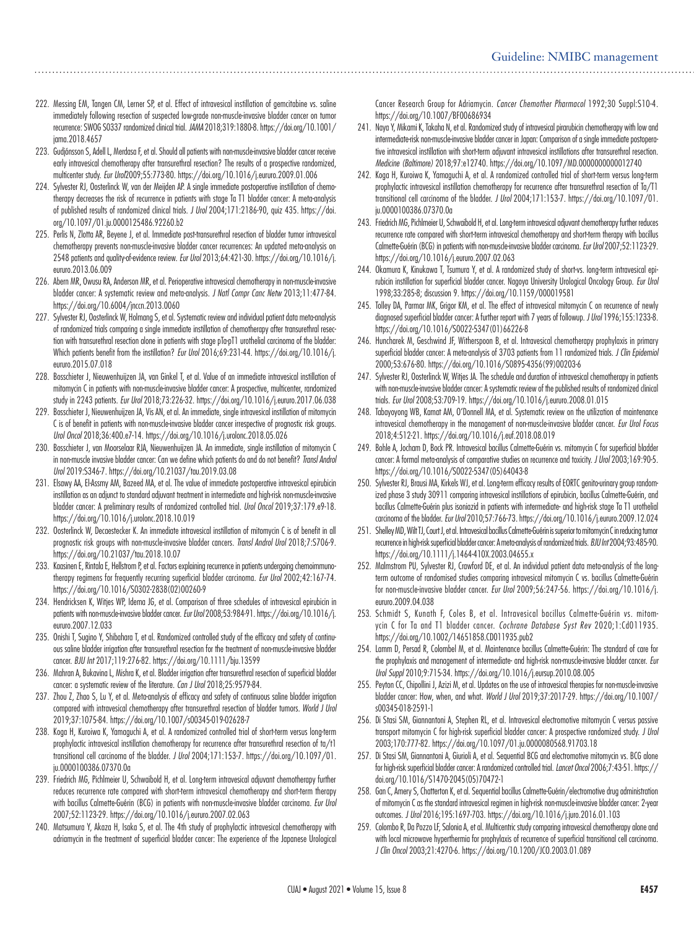- 222. Messing EM, Tangen CM, Lerner SP, et al. Effect of intravesical instillation of gemcitabine vs. saline immediately following resection of suspected low-grade non-muscle-invasive bladder cancer on tumor recurrence: SWOG S0337 randomized clinical trial. *JAMA* 2018;319:1880-8. https://doi.org/10.1001/ jama.2018.4657
- 223. Gudjónsson S, Adell L, Merdasa F, et al. Should all patients with non-muscle-invasive bladder cancer receive early intravesical chemotherapy after transurethral resection? The results of a prospective randomized, multicenter study. *Eur Urol*2009;55:773-80. https://doi.org/10.1016/j.eururo.2009.01.006
- 224. Sylvester RJ, Oosterlinck W, van der Meijden AP. A single immediate postoperative instillation of chemotherapy decreases the risk of recurrence in patients with stage Ta T1 bladder cancer: A meta-analysis of published results of randomized clinical trials. *J Urol* 2004;171:2186-90, quiz 435. https://doi. org/10.1097/01.ju.0000125486.92260.b2
- 225. Perlis N, Zlotta AR, Beyene J, et al. Immediate post-transurethral resection of bladder tumor intravesical chemotherapy prevents non-muscle-invasive bladder cancer recurrences: An updated meta-analysis on 2548 patients and quality-of-evidence review. *Eur Urol* 2013;64:421-30. https://doi.org/10.1016/j. eururo.2013.06.009
- 226. Abern MR, Owusu RA, Anderson MR, et al. Perioperative intravesical chemotherapy in non-muscle-invasive bladder cancer: A systematic review and meta-analysis. *J Natl Compr Canc Netw* 2013;11:477-84. https://doi.org/10.6004/jnccn.2013.0060
- 227. Sylvester RJ, Oosterlinck W, Holmang S, et al. Systematic review and individual patient data meta-analysis of randomized trials comparing a single immediate instillation of chemotherapy after transurethral resection with transurethral resection alone in patients with stage pTa-pT1 urothelial carcinoma of the bladder: Which patients benefit from the instillation? *Eur Urol* 2016;69:231-44. https://doi.org/10.1016/j. eururo.2015.07.018
- 228. Bosschieter J, Nieuwenhuijzen JA, van Ginkel T, et al. Value of an immediate intravesical instillation of mitomycin C in patients with non-muscle-invasive bladder cancer: A prospective, multicenter, randomized study in 2243 patients. *Eur Urol* 2018;73:226-32. https://doi.org/10.1016/j.eururo.2017.06.038
- 229. Bosschieter J, Nieuwenhuijzen JA, Vis AN, et al. An immediate, single intravesical instillation of mitomycin C is of benefit in patients with non-muscle-invasive bladder cancer irrespective of prognostic risk groups. *Urol Oncol* 2018;36:400.e7-14. https://doi.org/10.1016/j.urolonc.2018.05.026
- 230. Bosschieter J, van Moorselaar RJA, Nieuwenhuijzen JA. An immediate, single instillation of mitomycin C in non-muscle invasive bladder cancer: Can we define which patients do and do not benefit? *Transl Androl Urol* 2019:S346-7. https://doi.org/10.21037/tau.2019.03.08
- 231. Elsawy AA, El-Assmy AM, Bazeed MA, et al. The value of immediate postoperative intravesical epirubicin instillation as an adjunct to standard adjuvant treatment in intermediate and high-risk non-muscle-invasive bladder cancer: A preliminary results of randomized controlled trial. *Urol Oncol* 2019;37:179.e9-18. https://doi.org/10.1016/j.urolonc.2018.10.019
- 232. Oosterlinck W, Decaestecker K. An immediate intravesical instillation of mitomycin C is of benefit in all prognostic risk groups with non-muscle-invasive bladder cancers. *Transl Androl Urol* 2018;7:S706-9. https://doi.org/10.21037/tau.2018.10.07
- 233. Kaasinen E, Rintala E, Hellstrom P, et al. Factors explaining recurrence in patients undergoing chemoimmunotherapy regimens for frequently recurring superficial bladder carcinoma. *Eur Urol* 2002;42:167-74. https://doi.org/10.1016/S0302-2838(02)00260-9
- 234. Hendricksen K, Witjes WP, Idema JG, et al. Comparison of three schedules of intravesical epirubicin in patients with non-muscle-invasive bladder cancer. *Eur Urol* 2008;53:984-91. https://doi.org/10.1016/j. eururo.2007.12.033
- 235. Onishi T, Sugino Y, Shibahara T, et al. Randomized controlled study of the efficacy and safety of continuous saline bladder irrigation after transurethral resection for the treatment of non-muscle-invasive bladder cancer. *BJU Int* 2017;119:276-82. https://doi.org/10.1111/bju.13599
- 236. Mahran A, Bukavina L, Mishra K, et al. Bladder irrigation after transurethral resection of superficial bladder cancer: a systematic review of the literature. *Can J Urol* 2018;25:9579-84.
- 237. Zhou Z, Zhao S, Lu Y, et al. Meta-analysis of efficacy and safety of continuous saline bladder irrigation compared with intravesical chemotherapy after transurethral resection of bladder tumors. *World J Urol* 2019;37:1075-84. https://doi.org/10.1007/s00345-019-02628-7
- 238. Koga H, Kuroiwa K, Yamaguchi A, et al. A randomized controlled trial of short-term versus long-term prophylactic intravesical instillation chemotherapy for recurrence after transurethral resection of ta/t1 transitional cell carcinoma of the bladder. *J Urol* 2004;171:153-7. https://doi.org/10.1097/01. ju.0000100386.07370.0a
- 239. Friedrich MG, Pichlmeier U, Schwaibold H, et al. Long-term intravesical adjuvant chemotherapy further reduces recurrence rate compared with short-term intravesical chemotherapy and short-term therapy with bacillus Calmette-Guérin (BCG) in patients with non-muscle-invasive bladder carcinoma. *Eur Urol* 2007;52:1123-29. https://doi.org/10.1016/j.eururo.2007.02.063
- 240. Matsumura Y, Akaza H, Isaka S, et al. The 4th study of prophylactic intravesical chemotherapy with adriamycin in the treatment of superficial bladder cancer: The experience of the Japanese Urological

Cancer Research Group for Adriamycin. *Cancer Chemother Pharmacol* 1992;30 Suppl:S10-4. https://doi.org/10.1007/BF00686934

- 241. Naya Y, Mikami K, Takaha N, et al. Randomized study of intravesical pirarubicin chemotherapy with low and intermediate-risk non-muscle-invasive bladder cancer in Japan: Comparison of a single immediate postoperative intravesical instillation with short-term adjuvant intravesical instillations after transurethral resection. *Medicine (Baltimore)* 2018;97:e12740. https://doi.org/10.1097/MD.0000000000012740
- 242. Koga H, Kuroiwa K, Yamaguchi A, et al. A randomized controlled trial of short-term versus long-term prophylactic intravesical instillation chemotherapy for recurrence after transurethral resection of Ta/T1 transitional cell carcinoma of the bladder. *J Urol* 2004;171:153-7. https://doi.org/10.1097/01. ju.0000100386.07370.0a
- 243. Friedrich MG, Pichlmeier U, Schwaibold H, et al. Long-term intravesical adjuvant chemotherapy further reduces recurrence rate compared with short-term intravesical chemotherapy and short-term therapy with bacillus Calmette-Guérin (BCG) in patients with non-muscle-invasive bladder carcinoma. *Eur Urol* 2007;52:1123-29. https://doi.org/10.1016/j.eururo.2007.02.063
- 244. Okamura K, Kinukawa T, Tsumura Y, et al. A randomized study of short-vs. long-term intravesical epirubicin instillation for superficial bladder cancer. Nagoya University Urological Oncology Group. *Eur Urol* 1998;33:285-8; discussion 9. https://doi.org/10.1159/000019581
- 245. Tolley DA, Parmar MK, Grigor KM, et al. The effect of intravesical mitomycin C on recurrence of newly diagnosed superficial bladder cancer: A further report with 7 years of followup. *J Urol* 1996;155:1233-8. https://doi.org/10.1016/S0022-5347(01)66226-8
- 246. Huncharek M, Geschwind JF, Witherspoon B, et al. Intravesical chemotherapy prophylaxis in primary superficial bladder cancer: A meta-analysis of 3703 patients from 11 randomized trials. *J Clin Epidemiol* 2000;53:676-80. https://doi.org/10.1016/S0895-4356(99)00203-6
- 247. Sylvester RJ, Oosterlinck W, Witjes JA. The schedule and duration of intravesical chemotherapy in patients with non-muscle-invasive bladder cancer: A systematic review of the published results of randomized clinical trials. *Eur Urol* 2008;53:709-19. https://doi.org/10.1016/j.eururo.2008.01.015
- 248. Tabayoyong WB, Kamat AM, O'Donnell MA, et al. Systematic review on the utilization of maintenance intravesical chemotherapy in the management of non-muscle-invasive bladder cancer. *Eur Urol Focus* 2018;4:512-21. https://doi.org/10.1016/j.euf.2018.08.019
- 249. Bohle A, Jocham D, Bock PR. Intravesical bacillus Calmette-Guérin vs. mitomycin C for superficial bladder cancer: A formal meta-analysis of comparative studies on recurrence and toxicity. *J Urol* 2003;169:90-5. https://doi.org/10.1016/S0022-5347(05)64043-8
- 250. Sylvester RJ, Brausi MA, Kirkels WJ, et al. Long-term efficacy results of EORTC genito-urinary group randomized phase 3 study 30911 comparing intravesical instillations of epirubicin, bacillus Calmette-Guérin, and bacillus Calmette-Guérin plus isoniazid in patients with intermediate- and high-risk stage Ta T1 urothelial carcinoma of the bladder. *Eur Urol* 2010;57:766-73. https://doi.org/10.1016/j.eururo.2009.12.024
- 251. Shelley MD, Wilt TJ, Court J, et al. Intravesical bacillus Calmette-Guérin is superior to mitomycin C in reducing tumor recurrence in high-risk superficial bladder cancer: A meta-analysis of randomized trials. *BJU Int* 2004;93:485-90. https://doi.org/10.1111/j.1464-410X.2003.04655.x
- 252. Malmstrom PU, Sylvester RJ, Crawford DE, et al. An individual patient data meta-analysis of the longterm outcome of randomised studies comparing intravesical mitomycin C vs. bacillus Calmette-Guérin for non-muscle-invasive bladder cancer. *Eur Urol* 2009;56:247-56. https://doi.org/10.1016/j. eururo.2009.04.038
- 253. Schmidt S, Kunath F, Coles B, et al. Intravesical bacillus Calmette-Guérin vs. mitomycin C for Ta and T1 bladder cancer. *Cochrane Database Syst Rev* 2020;1:Cd011935. https://doi.org/10.1002/14651858.CD011935.pub2
- 254. Lamm D, Persad R, Colombel M, et al. Maintenance bacillus Calmette-Guérin: The standard of care for the prophylaxis and management of intermediate- and high-risk non-muscle-invasive bladder cancer. *Eur Urol Suppl* 2010;9:715-34. https://doi.org/10.1016/j.eursup.2010.08.005
- 255. Peyton CC, Chipollini J, Azizi M, et al. Updates on the use of intravesical therapies for non-muscle-invasive bladder cancer: How, when, and what. *World J Urol* 2019;37:2017-29. https://doi.org/10.1007/ s00345-018-2591-1
- 256. Di Stasi SM, Giannantoni A, Stephen RL, et al. Intravesical electromotive mitomycin C versus passive transport mitomycin C for high-risk superficial bladder cancer: A prospective randomized study. *J Urol* 2003;170:777-82. https://doi.org/10.1097/01.ju.0000080568.91703.18
- 257. Di Stasi SM, Giannantoni A, Giurioli A, et al. Sequential BCG and electromotive mitomycin vs. BCG alone for high-risk superficial bladder cancer: A randomized controlled trial. *Lancet Oncol* 2006;7:43-51. https:// doi.org/10.1016/S1470-2045(05)70472-1
- 258. Gan C, Amery S, Chatterton K, et al. Sequential bacillus Calmette-Guérin/electromotive drug administration of mitomycin C as the standard intravesical regimen in high-risk non-muscle-invasive bladder cancer: 2-year outcomes. *J Urol* 2016;195:1697-703. https://doi.org/10.1016/j.juro.2016.01.103
- 259. Colombo R, Da Pozzo LF, Salonia A, et al. Multicentric study comparing intravesical chemotherapy alone and with local microwave hyperthermia for prophylaxis of recurrence of superficial transitional cell carcinoma. *J Clin Oncol* 2003;21:4270-6. https://doi.org/10.1200/JCO.2003.01.089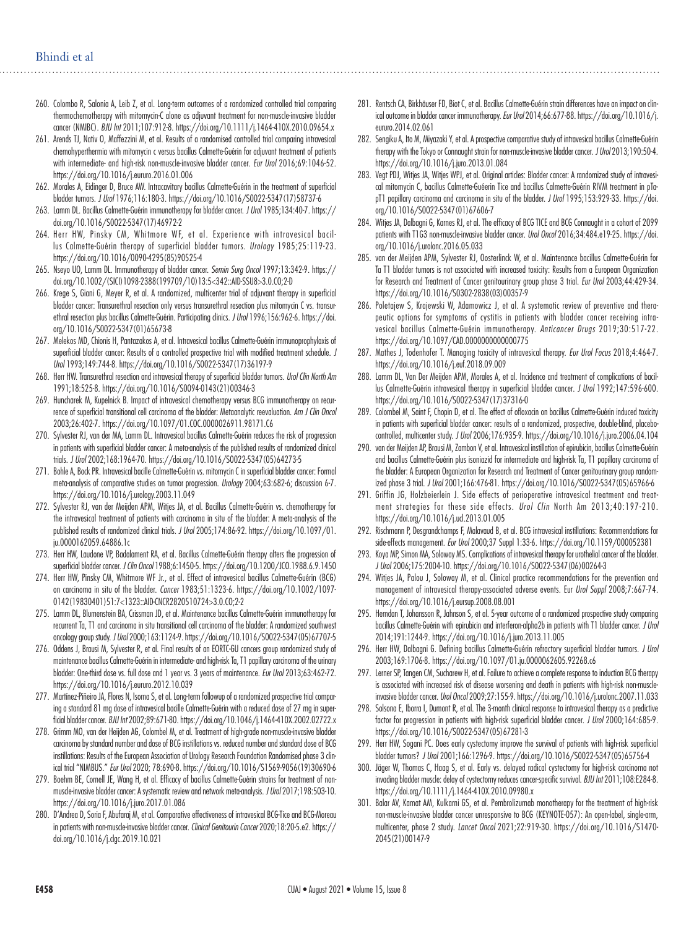- 260. Colombo R, Salonia A, Leib Z, et al. Long-term outcomes of a randomized controlled trial comparing thermochemotherapy with mitomycin-C alone as adjuvant treatment for non-muscle-invasive bladder cancer (NMIBC). *BJU Int* 2011;107:912-8. https://doi.org/10.1111/j.1464-410X.2010.09654.x
- 261. Arends TJ, Nativ O, Maffezzini M, et al. Results of a randomised controlled trial comparing intravesical chemohyperthermia with mitomycin c versus bacillus Calmette-Guérin for adjuvant treatment of patients with intermediate- and high-risk non-muscle-invasive bladder cancer. *Eur Urol* 2016;69:1046-52. https://doi.org/10.1016/j.eururo.2016.01.006
- 262. Morales A, Eidinger D, Bruce AW. Intracavitary bacillus Calmette-Guérin in the treatment of superficial bladder tumors. *J Urol* 1976;116:180-3. https://doi.org/10.1016/S0022-5347(17)58737-6
- 263. Lamm DL. Bacillus Calmette-Guérin immunotherapy for bladder cancer. *J Urol* 1985;134:40-7. https:// doi.org/10.1016/S0022-5347(17)46972-2
- 264. Herr HW, Pinsky CM, Whitmore WF, et al. Experience with intravesical bacillus Calmette-Guérin therapy of superficial bladder tumors. *Urology* 1985;25:119-23. https://doi.org/10.1016/0090-4295(85)90525-4
- 265. Nseyo UO, Lamm DL. Immunotherapy of bladder cancer. *Semin Surg Oncol* 1997;13:342-9. https:// doi.org/10.1002/(SICI)1098-2388(199709/10)13:5<342::AID-SSU8>3.0.CO;2-D
- 266. Krege S, Giani G, Meyer R, et al. A randomized, multicenter trial of adjuvant therapy in superficial bladder cancer: Transurethral resection only versus transurethral resection plus mitomycin C vs. transurethral resection plus bacillus Calmette-Guérin. Participating clinics. *J Urol* 1996;156:962-6. https://doi. org/10.1016/S0022-5347(01)65673-8
- 267. Melekos MD, Chionis H, Pantazakos A, et al. Intravesical bacillus Calmette-Guérin immunoprophylaxis of superficial bladder cancer: Results of a controlled prospective trial with modified treatment schedule. *J Urol* 1993;149:744-8. https://doi.org/10.1016/S0022-5347(17)36197-9
- 268. Herr HW. Transurethral resection and intravesical therapy of superficial bladder tumors. *Urol Clin North Am* 1991;18:525-8. https://doi.org/10.1016/S0094-0143(21)00346-3
- 269. Huncharek M, Kupelnick B. Impact of intravesical chemotherapy versus BCG immunotherapy on recurrence of superficial transitional cell carcinoma of the bladder: Metaanalytic reevaluation. *Am J Clin Oncol* 2003;26:402-7. https://doi.org/10.1097/01.COC.0000026911.98171.C6
- 270. Sylvester RJ, van der MA, Lamm DL. Intravesical bacillus Calmette-Guérin reduces the risk of progression in patients with superficial bladder cancer: A meta-analysis of the published results of randomized clinical trials. *J Urol* 2002;168:1964-70. https://doi.org/10.1016/S0022-5347(05)64273-5
- 271. Bohle A, Bock PR. Intravesical bacille Calmette-Guérin vs. mitomycin C in superficial bladder cancer: Formal meta-analysis of comparative studies on tumor progression. *Urology* 2004;63:682-6; discussion 6-7. https://doi.org/10.1016/j.urology.2003.11.049
- 272. Sylvester RJ, van der Meijden APM, Witjes JA, et al. Bacillus Calmette-Guérin vs. chemotherapy for the intravesical treatment of patients with carcinoma in situ of the bladder: A meta-analysis of the published results of randomized clinical trials*. J Urol* 2005;174:86-92. https://doi.org/10.1097/01. ju.0000162059.64886.1c
- 273. Herr HW, Laudone VP, Badalament RA, et al. Bacillus Calmette-Guérin therapy alters the progression of superficial bladder cancer. *J Clin Oncol* 1988;6:1450-5. https://doi.org/10.1200/JCO.1988.6.9.1450
- 274. Herr HW, Pinsky CM, Whitmore WF Jr., et al. Effect of intravesical bacillus Calmette-Guérin (BCG) on carcinoma in situ of the bladder. *Cancer* 1983;51:1323-6. https://doi.org/10.1002/1097- 0142(19830401)51:7<1323::AID-CNCR2820510724>3.0.CO;2-2
- 275. Lamm DL, Blumenstein BA, Crissman JD, et al. Maintenance bacillus Calmette-Guérin immunotherapy for recurrent Ta, T1 and carcinoma in situ transitional cell carcinoma of the bladder: A randomized southwest oncology group study. *J Urol* 2000;163:1124-9. https://doi.org/10.1016/S0022-5347(05)67707-5
- 276. Oddens J, Brausi M, Sylvester R, et al. Final results of an EORTC-GU cancers group randomized study of maintenance bacillus Calmette-Guérin in intermediate- and high-risk Ta, T1 papillary carcinoma of the urinary bladder: One-third dose vs. full dose and 1 year vs. 3 years of maintenance. *Eur Urol* 2013;63:462-72. https://doi.org/10.1016/j.eururo.2012.10.039
- 277. Martínez-Piñeiro JA, Flores N, Isorna S, et al. Long-term followup of a randomized prospective trial comparing a standard 81 mg dose of intravesical bacille Calmette-Guérin with a reduced dose of 27 mg in superficial bladder cancer. *BJU Int* 2002;89:671-80. https://doi.org/10.1046/j.1464-410X.2002.02722.x
- 278. Grimm MO, van der Heijden AG, Colombel M, et al. Treatment of high-grade non-muscle-invasive bladder carcinoma by standard number and dose of BCG instillations vs. reduced number and standard dose of BCG instillations: Results of the European Association of Urology Research Foundation Randomised phase 3 clinical trial "NIMBUS." *Eur Urol* 2020; 78:690-8. https://doi.org/10.1016/S1569-9056(19)30690-6
- 279. Boehm BE, Cornell JE, Wang H, et al. Efficacy of bacillus Calmette-Guérin strains for treatment of nonmuscle-invasive bladder cancer: A systematic review and network meta-analysis. *J Urol* 2017;198:503-10. https://doi.org/10.1016/j.juro.2017.01.086
- 280. D'Andrea D, Soria F, Abufaraj M, et al. Comparative effectiveness of intravesical BCG-Tice and BCG-Moreau in patients with non-muscle-invasive bladder cancer. *Clinical Genitourin Cancer* 2020;18:20-5.e2. https:// doi.org/10.1016/j.clgc.2019.10.021
- 281. Rentsch CA, Birkhäuser FD, Biot C, et al. Bacillus Calmette-Guérin strain differences have an impact on clinical outcome in bladder cancer immunotherapy. *Eur Urol* 2014;66:677-88. https://doi.org/10.1016/j. eururo.2014.02.061
- 282. Sengiku A, Ito M, Miyazaki Y, et al. A prospective comparative study of intravesical bacillus Calmette-Guérin therapy with the Tokyo or Connaught strain for non-muscle-invasive bladder cancer. *J Urol* 2013;190:50-4. https://doi.org/10.1016/j.juro.2013.01.084
- 283. Vegt PDJ, Witjes JA, Witjes WPJ, et al. Original articles: Bladder cancer: A randomized study of intravesical mitomycin C, bacillus Calmette-Guéerin Tice and bacillus Calmette-Guérin RIVM treatment in pTapT1 papillary carcinoma and carcinoma in situ of the bladder. *J Urol* 1995;153:929-33. https://doi. org/10.1016/S0022-5347(01)67606-7
- 284. Witjes JA, Dalbagni G, Karnes RJ, et al. The efficacy of BCG TICE and BCG Connaught in a cohort of 2099 patients with T1G3 non-muscle-invasive bladder cancer. *Urol Oncol* 2016;34:484.e19-25. https://doi. org/10.1016/j.urolonc.2016.05.033
- 285. van der Meijden APM, Sylvester RJ, Oosterlinck W, et al. Maintenance bacillus Calmette-Guérin for Ta T1 bladder tumors is not associated with increased toxicity: Results from a European Organization for Research and Treatment of Cancer genitourinary group phase 3 trial. *Eur Urol* 2003;44:429-34. https://doi.org/10.1016/S0302-2838(03)00357-9
- 286. Poletajew S, Krajewski W, Adamowicz J, et al. A systematic review of preventive and therapeutic options for symptoms of cystitis in patients with bladder cancer receiving intravesical bacillus Calmette-Guérin immunotherapy. *Anticancer Drugs* 2019;30:517-22. https://doi.org/10.1097/CAD.0000000000000775
- 287. Mathes J, Todenhofer T. Managing toxicity of intravesical therapy. *Eur Urol Focus* 2018;4:464-7. https://doi.org/10.1016/j.euf.2018.09.009
- 288. Lamm DL, Van Der Meijden APM, Morales A, et al. Incidence and treatment of complications of bacillus Calmette-Guérin intravesical therapy in superficial bladder cancer. *J Urol* 1992;147:596-600. https://doi.org/10.1016/S0022-5347(17)37316-0
- 289. Colombel M, Saint F, Chopin D, et al. The effect of ofloxacin on bacillus Calmette-Guérin induced toxicity in patients with superficial bladder cancer: results of a randomized, prospective, double-blind, placebocontrolled, multicenter study. *J Urol* 2006;176:935-9. https://doi.org/10.1016/j.juro.2006.04.104
- 290. van der Meijden AP, Brausi M, Zambon V, et al. Intravesical instillation of epirubicin, bacillus Calmette-Guérin and bacillus Calmette-Guérin plus isoniazid for intermediate and high-risk Ta, T1 papillary carcinoma of the bladder: A European Organization for Research and Treatment of Cancer genitourinary group randomized phase 3 trial. *J Urol* 2001;166:476-81. https://doi.org/10.1016/S0022-5347(05)65966-6
- 291. Griffin JG, Holzbeierlein J. Side effects of perioperative intravesical treatment and treatment strategies for these side effects. *Urol Clin* North Am 2013;40:197-210. https://doi.org/10.1016/j.ucl.2013.01.005
- 292. Rischmann P, Desgrandchamps F, Malavaud B, et al. BCG intravesical instillations: Recommendations for side-effects management. *Eur Urol* 2000;37 Suppl 1:33-6. https://doi.org/10.1159/000052381
- 293. Koya MP, Simon MA, Soloway MS. Complications of intravesical therapy for urothelial cancer of the bladder*. J Urol* 2006;175:2004-10. https://doi.org/10.1016/S0022-5347(06)00264-3
- 294. Witjes JA, Palou J, Soloway M, et al. Clinical practice recommendations for the prevention and management of intravesical therapy-associated adverse events. Eur *Urol Suppl* 2008;7:667-74. https://doi.org/10.1016/j.eursup.2008.08.001
- 295. Hemdan T, Johansson R, Jahnson S, et al. 5-year outcome of a randomized prospective study comparing bacillus Calmette-Guérin with epirubicin and interferon-alpha2b in patients with T1 bladder cancer. *J Urol* 2014;191:1244-9. https://doi.org/10.1016/j.juro.2013.11.005
- 296. Herr HW, Dalbagni G. Defining bacillus Calmette-Guérin refractory superficial bladder tumors. *J Urol* 2003;169:1706-8. https://doi.org/10.1097/01.ju.0000062605.92268.c6
- 297. Lerner SP, Tangen CM, Sucharew H, et al. Failure to achieve a complete response to induction BCG therapy is associated with increased risk of disease worsening and death in patients with high-risk non-muscleinvasive bladder cancer. *Urol Oncol* 2009;27:155-9. https://doi.org/10.1016/j.urolonc.2007.11.033
- 298. Solsona E, Iborra I, Dumont R, et al. The 3-month clinical response to intravesical therapy as a predictive factor for progression in patients with high-risk superficial bladder cancer. *J Urol* 2000;164:685-9. https://doi.org/10.1016/S0022-5347(05)67281-3
- 299. Herr HW, Sogani PC. Does early cystectomy improve the survival of patients with high-risk superficial bladder tumors? *J Urol* 2001;166:1296-9. https://doi.org/10.1016/S0022-5347(05)65756-4
- 300. Jäger W, Thomas C, Haag S, et al. Early vs. delayed radical cystectomy for high-risk carcinoma not invading bladder muscle: delay of cystectomy reduces cancer-specific survival. *BJU Int* 2011;108:E284-8. https://doi.org/10.1111/j.1464-410X.2010.09980.x
- 301. Balar AV, Kamat AM, Kulkarni GS, et al. Pembrolizumab monotherapy for the treatment of high-risk non-muscle-invasive bladder cancer unresponsive to BCG (KEYNOTE-057): An open-label, single-arm, multicenter, phase 2 study. *Lancet Oncol* 2021;22:919-30. https://doi.org/10.1016/S1470- 2045(21)00147-9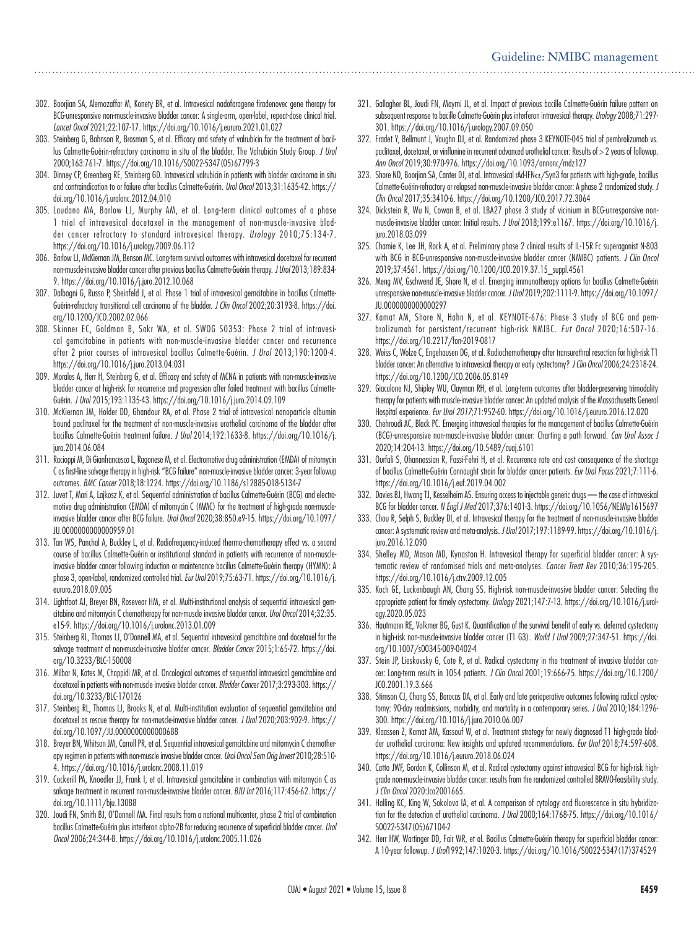#### Guideline: NMIBC management

- 302. Boorjian SA, Alemozaffar M, Konety BR, et al. Intravesical nadofaragene firadenovec gene therapy for BCG-unresponsive non-muscle-invasive bladder cancer: A single-arm, open-label, repeat-dose clinical trial*. Lancet Oncol* 2021;22:107-17. https://doi.org/10.1016/j.eururo.2021.01.027
- 303. Steinberg G, Bahnson R, Brosman S, et al. Efficacy and safety of valrubicin for the treatment of bacillus Calmette-Guérin-refractory carcinoma in situ of the bladder. The Valrubicin Study Group. *J Urol*  2000;163:761-7. https://doi.org/10.1016/S0022-5347(05)67799-3
- 304. Dinney CP, Greenberg RE, Steinberg GD. Intravesical valrubicin in patients with bladder carcinoma in situ and contraindication to or failure after bacillus Calmette-Guérin. *Urol Oncol* 2013;31:1635-42. https:// doi.org/10.1016/j.urolonc.2012.04.010
- 305. Laudano MA, Barlow LJ, Murphy AM, et al. Long-term clinical outcomes of a phase 1 trial of intravesical docetaxel in the management of non-muscle-invasive bladder cancer refractory to standard intravesical therapy. *Urology* 2010;75:134-7. https://doi.org/10.1016/j.urology.2009.06.112
- 306. Barlow LJ, McKiernan JM, Benson MC. Long-term survival outcomes with intravesical docetaxel for recurrent non-muscle-invasive bladder cancer after previous bacillus Calmette-Guérin therapy. *J Urol* 2013;189:834- 9. https://doi.org/10.1016/j.juro.2012.10.068
- 307. Dalbagni G, Russo P, Sheinfeld J, et al. Phase 1 trial of intravesical gemcitabine in bacillus Calmette-Guérin-refractory transitional cell carcinoma of the bladder. *J Clin Oncol* 2002;20:3193-8. https://doi. org/10.1200/JCO.2002.02.066
- 308. Skinner EC, Goldman B, Sakr WA, et al. SWOG S0353: Phase 2 trial of intravesical gemcitabine in patients with non-muscle-invasive bladder cancer and recurrence after 2 prior courses of intravesical bacillus Calmette-Guérin. *J Urol* 2013;190:1200-4. https://doi.org/10.1016/j.juro.2013.04.031
- 309. Morales A, Herr H, Steinberg G, et al. Efficacy and safety of MCNA in patients with non-muscle-invasive bladder cancer at high-risk for recurrence and progression after failed treatment with bacillus Calmette-Guérin. *J Urol* 2015;193:1135-43. https://doi.org/10.1016/j.juro.2014.09.109
- 310. McKiernan JM, Holder DD, Ghandour RA, et al. Phase 2 trial of intravesical nanoparticle albumin bound paclitaxel for the treatment of non-muscle-invasive urothelial carcinoma of the bladder after bacillus Calmette-Guérin treatment failure. *J Urol* 2014;192:1633-8. https://doi.org/10.1016/j. juro.2014.06.084
- 311. Racioppi M, Di Gianfrancesco L, Ragonese M, et al. Electromotive drug administration (EMDA) of mitomycin C as first-line salvage therapy in high-risk "BCG failure" non-muscle-invasive bladder cancer: 3-year followup outcomes. *BMC Cancer* 2018;18:1224. https://doi.org/10.1186/s12885-018-5134-7
- 312. Juvet T, Mari A, Lajkosz K, et al. Sequential administration of bacillus Calmette-Guérin (BCG) and electromotive drug administration (EMDA) of mitomycin C (MMC) for the treatment of high-grade non-muscleinvasive bladder cancer after BCG failure. *Urol Oncol* 2020;38:850.e9-15. https://doi.org/10.1097/ JU.0000000000000959.01
- 313. Tan WS, Panchal A, Buckley L, et al. Radiofrequency-induced thermo-chemotherapy effect vs. a second course of bacillus Calmette-Guérin or institutional standard in patients with recurrence of non-muscleinvasive bladder cancer following induction or maintenance bacillus Calmette-Guérin therapy (HYMN): A phase 3, open-label, randomized controlled trial. *Eur Urol* 2019;75:63-71. https://doi.org/10.1016/j. eururo.2018.09.005
- 314. Lightfoot AJ, Breyer BN, Rosevear HM, et al. Multi-institutional analysis of sequential intravesical gemcitabine and mitomycin C chemotherapy for non-muscle invasive bladder cancer. *Urol Oncol* 2014;32:35. e15-9. https://doi.org/10.1016/j.urolonc.2013.01.009
- 315. Steinberg RL, Thomas LJ, O'Donnell MA, et al. Sequential intravesical gemcitabine and docetaxel for the salvage treatment of non-muscle-invasive bladder cancer. *Bladder Cancer* 2015;1:65-72. https://doi. org/10.3233/BLC-150008
- 316. Milbar N, Kates M, Chappidi MR, et al. Oncological outcomes of sequential intravesical gemcitabine and docetaxel in patients with non-muscle invasive bladder cancer. *Bladder Canc*e*r* 2017;3:293-303. https:// doi.org/10.3233/BLC-170126
- 317. Steinberg RL, Thomas LJ, Brooks N, et al. Multi-institution evaluation of sequential gemcitabine and docetaxel as rescue therapy for non-muscle-invasive bladder cancer. *J Urol* 2020;203:902-9. https:// doi.org/10.1097/JU.0000000000000688
- 318. Breyer BN, Whitson JM, Carroll PR, et al. Sequential intravesical gemcitabine and mitomycin C chemotherapy regimen in patients with non-muscle invasive bladder cancer. *Urol Oncol Sem Orig Invest* 2010;28:510- 4. https://doi.org/10.1016/j.urolonc.2008.11.019
- 319. Cockerill PA, Knoedler JJ, Frank I, et al. Intravesical gemcitabine in combination with mitomycin C as salvage treatment in recurrent non-muscle-invasive bladder cancer. *BJU Int* 2016;117:456-62. https:// doi.org/10.1111/bju.13088
- 320. Joudi FN, Smith BJ, O'Donnell MA. Final results from a national multicenter, phase 2 trial of combination bacillus Calmette-Guérin plus interferon alpha-2B for reducing recurrence of superficial bladder cancer. *Urol Oncol* 2006;24:344-8. https://doi.org/10.1016/j.urolonc.2005.11.026
- 321. Gallagher BL, Joudi FN, Maymi JL, et al. Impact of previous bacille Calmette-Guérin failure pattern on subsequent response to bacille Calmette-Guérin plus interferon intravesical therapy. *Urology* 2008;71:297- 301. https://doi.org/10.1016/j.urology.2007.09.050
- 322. Fradet Y, Bellmunt J, Vaughn DJ, et al. Randomized phase 3 KEYNOTE-045 trial of pembrolizumab vs. paclitaxel, docetaxel, or vinflunine in recurrent advanced urothelial cancer: Results of > 2 years of followup. *Ann Oncol* 2019;30:970-976. https://doi.org/10.1093/annonc/mdz127
- 323. Shore ND, Boorjian SA, Canter DJ, et al. Intravesical rAd-IFN $\alpha$ /Syn3 for patients with high-grade, bacillus Calmette-Guérin-refractory or relapsed non-muscle-invasive bladder cancer: A phase 2 randomized study. *J Clin Oncol* 2017;35:3410-6. https://doi.org/10.1200/JCO.2017.72.3064
- 324. Dickstein R, Wu N, Cowan B, et al. LBA27 phase 3 study of vicinium in BCG-unresponsive nonmuscle-invasive bladder cancer: Initial results. *J Urol* 2018;199:e1167. https://doi.org/10.1016/j. juro.2018.03.099
- 325. Chamie K, Lee JH, Rock A, et al. Preliminary phase 2 clinical results of IL-15R Fc superagonist N-803 with BCG in BCG-unresponsive non-muscle-invasive bladder cancer (NMIBC) patients. *J Clin Oncol*  2019;37:4561. https://doi.org/10.1200/JCO.2019.37.15\_suppl.4561
- 326. Meng MV, Gschwend JE, Shore N, et al. Emerging immunotherapy options for bacillus Calmette-Guérin unresponsive non-muscle-invasive bladder cancer. *J Urol* 2019;202:1111-9. https://doi.org/10.1097/ JU.0000000000000297
- 327. Kamat AM, Shore N, Hahn N, et al. KEYNOTE-676: Phase 3 study of BCG and pembrolizumab for persistent/recurrent high-risk NMIBC. *Fut Oncol* 2020;16:507-16. https://doi.org/10.2217/fon-2019-0817
- 328. Weiss C, Wolze C, Engehausen DG, et al. Radiochemotherapy after transurethral resection for high-risk T1 bladder cancer: An alternative to intravesical therapy or early cystectomy? *J Clin Oncol* 2006;24:2318-24. https://doi.org/10.1200/JCO.2006.05.8149
- 329. Giacalone NJ, Shipley WU, Clayman RH, et al. Long-term outcomes after bladder-preserving trimodality therapy for patients with muscle-invasive bladder cancer: An updated analysis of the Massachusetts General Hospital experience. *Eur Urol 2017*;71:952-60. https://doi.org/10.1016/j.eururo.2016.12.020
- 330. Chehroudi AC, Black PC. Emerging intravesical therapies for the management of bacillus Calmette-Guérin (BCG)-unresponsive non-muscle-invasive bladder cancer: Charting a path forward. *Can Urol Assoc J*  2020;14:204-13. https://doi.org/10.5489/cuaj.6101
- 331. Ourfali S, Ohannessian R, Fassi-Fehri H, et al. Recurrence rate and cost consequence of the shortage of bacillus Calmette-Guérin Connaught strain for bladder cancer patients. *Eur Urol Focus* 2021;7:111-6. https://doi.org/10.1016/j.euf.2019.04.002
- 332. Davies BJ, Hwang TJ, Kesselheim AS. Ensuring access to injectable generic drugs the case of intravesical BCG for bladder cancer. *N Engl J Med* 2017;376:1401-3. https://doi.org/10.1056/NEJMp1615697
- 333. Chou R, Selph S, Buckley DI, et al. Intravesical therapy for the treatment of non-muscle-invasive bladder cancer: A systematic review and meta-analysis*. J Urol* 2017;197:1189-99. https://doi.org/10.1016/j. juro.2016.12.090
- 334. Shelley MD, Mason MD, Kynaston H. Intravesical therapy for superficial bladder cancer: A systematic review of randomised trials and meta-analyses. *Cancer Treat Rev* 2010;36:195-205. https://doi.org/10.1016/j.ctrv.2009.12.005
- 335. Koch GE, Luckenbaugh AN, Chang SS. High-risk non-muscle-invasive bladder cancer: Selecting the appropriate patient for timely cystectomy. *Urology* 2021;147:7-13. https://doi.org/10.1016/j.urology.2020.05.023
- 336. Hautmann RE, Volkmer BG, Gust K. Quantification of the survival benefit of early vs. deferred cystectomy in high-risk non-muscle-invasive bladder cancer (T1 G3). *World J Urol* 2009;27:347-51. https://doi. org/10.1007/s00345-009-0402-4
- 337. Stein JP, Lieskovsky G, Cote R, et al. Radical cystectomy in the treatment of invasive bladder cancer: Long-term results in 1054 patients. *J Clin Oncol* 2001;19:666-75. https://doi.org/10.1200/ JCO.2001.19.3.666
- 338. Stimson CJ, Chang SS, Barocas DA, et al. Early and late perioperative outcomes following radical cystectomy: 90-day readmissions, morbidity, and mortality in a contemporary series. *J Urol* 2010;184:1296- 300. https://doi.org/10.1016/j.juro.2010.06.007
- 339. Klaassen Z, Kamat AM, Kassouf W, et al. Treatment strategy for newly diagnosed T1 high-grade bladder urothelial carcinoma: New insights and updated recommendations. *Eur Urol* 2018;74:597-608. https://doi.org/10.1016/j.eururo.2018.06.024
- 340. Catto JWF, Gordon K, Collinson M, et al. Radical cystectomy against intravesical BCG for high-risk highgrade non-muscle-invasive bladder cancer: results from the randomized controlled BRAVO-feasibility study. *J Clin Oncol* 2020:Jco2001665.
- 341. Halling KC, King W, Sokolova IA, et al. A comparison of cytology and fluorescence in situ hybridization for the detection of urothelial carcinoma. *J Urol* 2000;164:1768-75. https://doi.org/10.1016/ S0022-5347(05)67104-2
- 342. Herr HW, Wartinger DD, Fair WR, et al. Bacillus Calmette-Guérin therapy for superficial bladder cancer: A 10-year followup. *J Urol*1992;147:1020-3. https://doi.org/10.1016/S0022-5347(17)37452-9